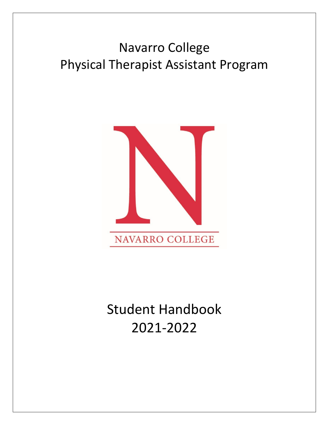# Navarro College Physical Therapist Assistant Program



# Student Handbook 2021-2022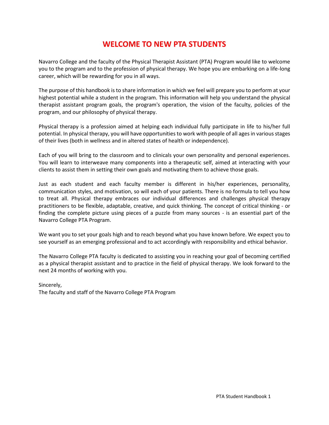# **WELCOME TO NEW PTA STUDENTS**

<span id="page-1-0"></span>Navarro College and the faculty of the Physical Therapist Assistant (PTA) Program would like to welcome you to the program and to the profession of physical therapy. We hope you are embarking on a life-long career, which will be rewarding for you in all ways.

The purpose of this handbook is to share information in which we feel will prepare you to perform at your highest potential while a student in the program. This information will help you understand the physical therapist assistant program goals, the program's operation, the vision of the faculty, policies of the program, and our philosophy of physical therapy.

Physical therapy is a profession aimed at helping each individual fully participate in life to his/her full potential. In physical therapy, you will have opportunities to work with people of all ages in various stages of their lives (both in wellness and in altered states of health or independence).

Each of you will bring to the classroom and to clinicals your own personality and personal experiences. You will learn to interweave many components into a therapeutic self, aimed at interacting with your clients to assist them in setting their own goals and motivating them to achieve those goals.

Just as each student and each faculty member is different in his/her experiences, personality, communication styles, and motivation, so will each of your patients. There is no formula to tell you how to treat all. Physical therapy embraces our individual differences and challenges physical therapy practitioners to be flexible, adaptable, creative, and quick thinking. The concept of critical thinking - or finding the complete picture using pieces of a puzzle from many sources - is an essential part of the Navarro College PTA Program.

We want you to set your goals high and to reach beyond what you have known before. We expect you to see yourself as an emerging professional and to act accordingly with responsibility and ethical behavior.

The Navarro College PTA faculty is dedicated to assisting you in reaching your goal of becoming certified as a physical therapist assistant and to practice in the field of physical therapy. We look forward to the next 24 months of working with you.

Sincerely, The faculty and staff of the Navarro College PTA Program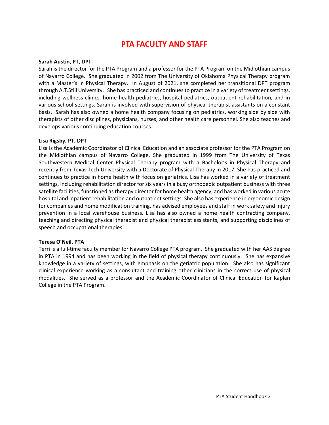# **PTA FACULTY AND STAFF**

#### <span id="page-2-0"></span>**Sarah Austin, PT, DPT**

Sarah is the director for the PTA Program and a professor for the PTA Program on the Midlothian campus of Navarro College. She graduated in 2002 from The University of Oklahoma Physical Therapy program with a Master's in Physical Therapy. In August of 2021, she completed her transitional DPT program through A.T.Still University. She has practiced and continues to practice in a variety of treatment settings, including wellness clinics, home health pediatrics, hospital pediatrics, outpatient rehabilitation, and in various school settings. Sarah is involved with supervision of physical therapist assistants on a constant basis. Sarah has also owned a home health company focusing on pediatrics, working side by side with therapists of other disciplines, physicians, nurses, and other health care personnel. She also teaches and develops various continuing education courses.

#### **Lisa Rigsby, PT, DPT**

Lisa is the Academic Coordinator of Clinical Education and an associate professor for the PTA Program on the Midlothian campus of Navarro College. She graduated in 1999 from The University of Texas Southwestern Medical Center Physical Therapy program with a Bachelor's in Physical Therapy and recently from Texas Tech University with a Doctorate of Physical Therapy in 2017. She has practiced and continues to practice in home health with focus on geriatrics. Lisa has worked in a variety of treatment settings, including rehabilitation director for six years in a busy orthopedic outpatient business with three satellite facilities, functioned as therapy director for home health agency, and has worked in various acute hospital and inpatient rehabilitation and outpatient settings. She also has experience in ergonomic design for companies and home modification training, has advised employees and staff in work safety and injury prevention in a local warehouse business. Lisa has also owned a home health contracting company, teaching and directing physical therapist and physical therapist assistants, and supporting disciplines of speech and occupational therapies.

#### **Teresa O'Neil, PTA**

Terri is a full-time faculty member for Navarro College PTA program. She graduated with her AAS degree in PTA in 1994 and has been working in the field of physical therapy continuously. She has expansive knowledge in a variety of settings, with emphasis on the geriatric population. She also has significant clinical experience working as a consultant and training other clinicians in the correct use of physical modalities. She served as a professor and the Academic Coordinator of Clinical Education for Kaplan College in the PTA Program.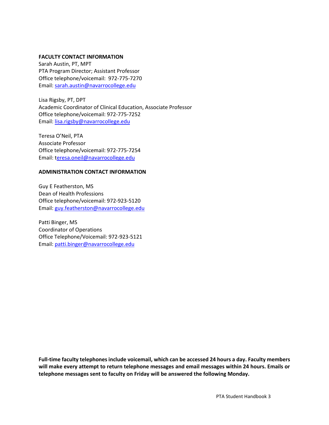#### <span id="page-3-0"></span>**FACULTY CONTACT INFORMATION**

Sarah Austin, PT, MPT PTA Program Director; Assistant Professor Office telephone/voicemail: 972-775-7270 Email: [sarah.austin@navarrocollege.edu](mailto:sarah.austin@navarrocollege.edu)

Lisa Rigsby, PT, DPT Academic Coordinator of Clinical Education, Associate Professor Office telephone/voicemail: 972-775-7252 Email: [lisa.rigsby@navarrocollege.edu](mailto:lisa.rigsby@navarrocollege.edu)

Teresa O'Neil, PTA Associate Professor Office telephone/voicemail: 972-775-7254 Email: [teresa.oneil@navarrocollege.edu](mailto:eresa.oneil@navarrocollege.edu)

#### **ADMINISTRATION CONTACT INFORMATION**

Guy E Featherston, MS Dean of Health Professions Office telephone/voicemail: 972-923-5120 Email: [guy.featherston@navarrocollege.edu](mailto:guy.featherston@navarrocollege.edu)

Patti Binger, MS Coordinator of Operations Office Telephone/Voicemail: 972-923-5121 Email: [patti.binger@navarrocollege.edu](mailto:patti.binger@navarrocollege.edu)

**Full-time faculty telephones include voicemail, which can be accessed 24 hours a day. Faculty members will make every attempt to return telephone messages and email messages within 24 hours. Emails or telephone messages sent to faculty on Friday will be answered the following Monday.**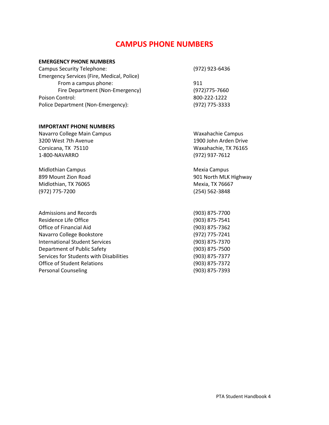### **CAMPUS PHONE NUMBERS**

#### <span id="page-4-0"></span>**EMERGENCY PHONE NUMBERS**

| <b>Campus Security Telephone:</b>          | (972) 923-6436 |
|--------------------------------------------|----------------|
| Emergency Services (Fire, Medical, Police) |                |
| From a campus phone:                       | 911            |
| Fire Department (Non-Emergency)            | (972) 775-7660 |
| Poison Control:                            | 800-222-1222   |
| Police Department (Non-Emergency):         | (972) 775-3333 |

#### **IMPORTANT PHONE NUMBERS**

Navarro College Main Campus Waxahachie Campus 3200 West 7th Avenue 1900 John Arden Drive Corsicana, TX 75110 Waxahachie, TX 76165 1-800-NAVARRO (972) 937-7612

Midlothian Campus Mexia Campus Midlothian, TX 76065 Mexia, TX 76667 (972) 775-7200 (254) 562-3848

Admissions and Records (903) 875-7700 Residence Life Office (903) 875-7541 Office of Financial Aid (903) 875-7362 Navarro College Bookstore (972) 775-7241 International Student Services (903) 875-7370 Department of Public Safety (903) 875-7500 Services for Students with Disabilities (903) 875-7377 Office of Student Relations (903) 875-7372 Personal Counseling and the counseling of the counseling (903) 875-7393

899 Mount Zion Road and Samuel Communication of the Second VI Must be seen a set of the Second VI Must be seen a set of the Second VI Must be seen a set of the Second VI Must be seen a set of the Second VI Must be seen a s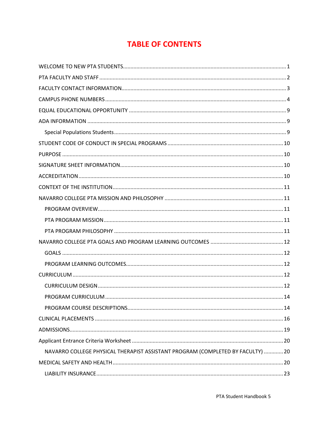# **TABLE OF CONTENTS**

| NAVARRO COLLEGE PHYSICAL THERAPIST ASSISTANT PROGRAM (COMPLETED BY FACULTY)  20 |  |
|---------------------------------------------------------------------------------|--|
|                                                                                 |  |
|                                                                                 |  |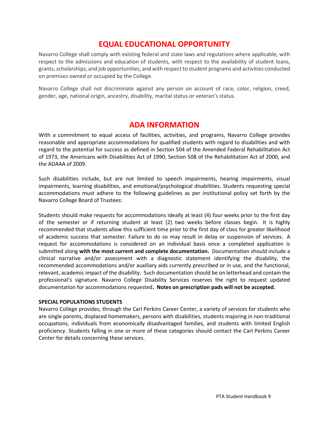# **EQUAL EDUCATIONAL OPPORTUNITY**

<span id="page-9-0"></span>Navarro College shall comply with existing federal and state laws and regulations where applicable, with respect to the admissions and education of students, with respect to the availability of student loans, grants, scholarships, and job opportunities, and with respect to student programs and activities conducted on premises owned or occupied by the College.

Navarro College shall not discriminate against any person on account of race, color, religion, creed, gender, age, national origin, ancestry, disability, marital status or veteran's status.

# **ADA INFORMATION**

<span id="page-9-1"></span>With a commitment to equal access of facilities, activities, and programs, Navarro College provides reasonable and appropriate accommodations for qualified students with regard to disabilities and with regard to the potential for success as defined in Section 504 of the Amended Federal Rehabilitation Act of 1973, the Americans with Disabilities Act of 1990, Section 508 of the Rehabilitation Act of 2000, and the ADAAA of 2009.

Such disabilities include, but are not limited to speech impairments, hearing impairments, visual impairments, learning disabilities, and emotional/psychological disabilities. Students requesting special accommodations must adhere to the following guidelines as per institutional policy set forth by the Navarro College Board of Trustees:

Students should make requests for accommodations ideally at least (4) four weeks prior to the first day of the semester or if returning student at least (2) two weeks before classes begin. It is highly recommended that students allow this sufficient time prior to the first day of class for greater likelihood of academic success that semester. Failure to do so may result in delay or suspension of services. A request for accommodations is considered on an individual basis once a completed application is submitted along **with the most current and complete documentation.** Documentation should include a clinical narrative and/or assessment with a diagnostic statement identifying the disability, the recommended accommodations and/or auxiliary aids currently prescribed or in use, and the functional, relevant, academic impact of the disability. Such documentation should be on letterhead and contain the professional's signature. Navarro College Disability Services reserves the right to request updated documentation for accommodations requested**. Notes on prescription pads will not be accepted.**

#### <span id="page-9-2"></span>**SPECIAL POPULATIONS STUDENTS**

Navarro College provides, through the Carl Perkins Career Center, a variety of services for students who are single parents, displaced homemakers, persons with disabilities, students majoring in non-traditional occupations, individuals from economically disadvantaged families, and students with limited English proficiency. Students falling in one or more of these categories should contact the Carl Perkins Career Center for details concerning these services.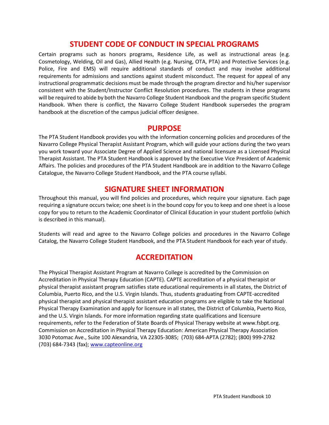# **STUDENT CODE OF CONDUCT IN SPECIAL PROGRAMS**

<span id="page-10-0"></span>Certain programs such as honors programs, Residence Life, as well as instructional areas (e.g. Cosmetology, Welding, Oil and Gas), Allied Health (e.g. Nursing, OTA, PTA) and Protective Services (e.g. Police, Fire and EMS) will require additional standards of conduct and may involve additional requirements for admissions and sanctions against student misconduct. The request for appeal of any instructional programmatic decisions must be made through the program director and his/her supervisor consistent with the Student/Instructor Conflict Resolution procedures. The students in these programs will be required to abide by both the Navarro College Student Handbook and the program specific Student Handbook. When there is conflict, the Navarro College Student Handbook supersedes the program handbook at the discretion of the campus judicial officer designee.

# **PURPOSE**

<span id="page-10-1"></span>The PTA Student Handbook provides you with the information concerning policies and procedures of the Navarro College Physical Therapist Assistant Program, which will guide your actions during the two years you work toward your Associate Degree of Applied Science and national licensure as a Licensed Physical Therapist Assistant. The PTA Student Handbook is approved by the Executive Vice President of Academic Affairs. The policies and procedures of the PTA Student Handbook are in addition to the Navarro College Catalogue, the Navarro College Student Handbook, and the PTA course syllabi.

# **SIGNATURE SHEET INFORMATION**

<span id="page-10-2"></span>Throughout this manual, you will find policies and procedures, which require your signature. Each page requiring a signature occurs twice; one sheet is in the bound copy for you to keep and one sheet is a loose copy for you to return to the Academic Coordinator of Clinical Education in your student portfolio (which is described in this manual).

Students will read and agree to the Navarro College policies and procedures in the Navarro College Catalog, the Navarro College Student Handbook, and the PTA Student Handbook for each year of study.

# **ACCREDITATION**

<span id="page-10-3"></span>The Physical Therapist Assistant Program at Navarro College is accredited by the Commission on Accreditation in Physical Therapy Education (CAPTE). CAPTE accreditation of a physical therapist or physical therapist assistant program satisfies state educational requirements in all states, the District of Columbia, Puerto Rico, and the U.S. Virgin Islands. Thus, students graduating from CAPTE-accredited physical therapist and physical therapist assistant education programs are eligible to take the National Physical Therapy Examination and apply for licensure in all states, the District of Columbia, Puerto Rico, and the U.S. Virgin Islands. For more information regarding state qualifications and licensure requirements, refer to the Federation of State Boards of Physical Therapy website at www.fsbpt.org. Commission on Accreditation in Physical Therapy Education: American Physical Therapy Association 3030 Potomac Ave., Suite 100 Alexandria, VA 22305-3085; (703) 684-APTA (2782); (800) 999-2782 (703) 684-7343 (fax); [www.capteonline.org](http://www.capteonline.org/)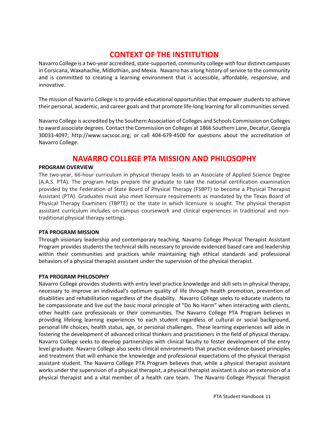# **CONTEXT OF THE INSTITUTION**

<span id="page-11-0"></span>Navarro College is a two-year accredited, state-supported, community college with four distinct campuses in Corsicana, Waxahachie, Midlothian, and Mexia. Navarro has a long history of service to the community and is committed to creating a learning environment that is accessible, affordable, responsive, and innovative.

The mission of Navarro College is to provide educational opportunities that empower students to achieve their personal, academic, and career goals and that promote life-long learning for all communities served.

Navarro College is accredited by the Southern Association of Colleges and Schools Commission on Colleges to award associate degrees. Contact the Commission on Colleges at 1866 Southern Lane, Decatur, Georgia 30033-4097; http://www.sacscoc.org; or call 404-679-4500 for questions about the accreditation of Navarro College.

# **NAVARRO COLLEGE PTA MISSION AND PHILOSOPHY**

#### <span id="page-11-2"></span><span id="page-11-1"></span>**PROGRAM OVERVIEW**

The two-year, 66-hour curriculum in physical therapy leads to an Associate of Applied Science Degree (A.A.S. PTA). The program helps prepare the graduate to take the national certification examination provided by the Federation of State Board of Physical Therapy (FSBPT) to become a Physical Therapist Assistant (PTA). Graduates must also meet licensure requirements as mandated by the Texas Board of Physical Therapy Examiners (TBPTE) or the state in which licensure is sought. The physical therapist assistant curriculum includes on-campus coursework and clinical experiences in traditional and nontraditional physical therapy settings.

#### <span id="page-11-3"></span>**PTA PROGRAM MISSION**

Through visionary leadership and contemporary teaching, Navarro College Physical Therapist Assistant Program provides students the technical skills necessary to provide evidenced based care and leadership within their communities and practices while maintaining high ethical standards and professional behaviors of a physical therapist assistant under the supervision of the physical therapist.

#### <span id="page-11-4"></span>**PTA PROGRAM PHILOSOPHY**

Navarro College provides students with entry level practice knowledge and skill sets in physical therapy, necessary to improve an individual's optimum quality of life through health promotion, prevention of disabilities and rehabilitation regardless of the disability. Navarro College seeks to educate students to be compassionate and live out the basic moral principle of "Do No Harm" when interacting with clients, other health care professionals or their communities. The Navarro College PTA Program believes in providing lifelong learning experiences to each student regardless of cultural or social background, personal life choices, health status, age, or personal challenges. These learning experiences will aide in fostering the development of advanced critical thinkers and practitioners in the field of physical therapy. Navarro College seeks to develop partnerships with clinical faculty to foster development of the entry level graduate. Navarro College also seeks clinical environments that practice evidence-based principles and treatment that will enhance the knowledge and professional expectations of the physical therapist assistant student. The Navarro College PTA Program believes that, while a physical therapist assistant works under the supervision of a physical therapist, a physical therapist assistant is also an extension of a physical therapist and a vital member of a health care team. The Navarro College Physical Therapist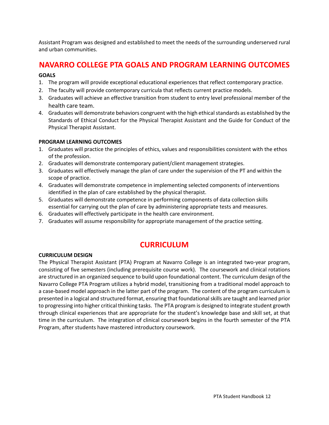Assistant Program was designed and established to meet the needs of the surrounding underserved rural and urban communities.

# <span id="page-12-0"></span>**NAVARRO COLLEGE PTA GOALS AND PROGRAM LEARNING OUTCOMES**

#### <span id="page-12-1"></span>**GOALS**

- 1. The program will provide exceptional educational experiences that reflect contemporary practice.
- 2. The faculty will provide contemporary curricula that reflects current practice models.
- 3. Graduates will achieve an effective transition from student to entry level professional member of the health care team.
- 4. Graduates will demonstrate behaviors congruent with the high ethical standards as established by the Standards of Ethical Conduct for the Physical Therapist Assistant and the Guide for Conduct of the Physical Therapist Assistant.

#### <span id="page-12-3"></span><span id="page-12-2"></span>**PROGRAM LEARNING OUTCOMES**

- 1. Graduates will practice the principles of ethics, values and responsibilities consistent with the ethos of the profession.
- 2. Graduates will demonstrate contemporary patient/client management strategies.
- 3. Graduates will effectively manage the plan of care under the supervision of the PT and within the scope of practice.
- 4. Graduates will demonstrate competence in implementing selected components of interventions identified in the plan of care established by the physical therapist.
- 5. Graduates will demonstrate competence in performing components of data collection skills essential for carrying out the plan of care by administering appropriate tests and measures.
- 6. Graduates will effectively participate in the health care environment.
- 7. Graduates will assume responsibility for appropriate management of the practice setting.

# **CURRICULUM**

#### <span id="page-12-4"></span>**CURRICULUM DESIGN**

The Physical Therapist Assistant (PTA) Program at Navarro College is an integrated two-year program, consisting of five semesters (including prerequisite course work). The coursework and clinical rotations are structured in an organized sequence to build upon foundational content. The curriculum design of the Navarro College PTA Program utilizes a hybrid model, transitioning from a traditional model approach to a case-based model approach in the latter part of the program. The content of the program curriculum is presented in a logical and structured format, ensuring that foundational skills are taught and learned prior to progressing into higher critical thinking tasks. The PTA program is designed to integrate student growth through clinical experiences that are appropriate for the student's knowledge base and skill set, at that time in the curriculum. The integration of clinical coursework begins in the fourth semester of the PTA Program, after students have mastered introductory coursework.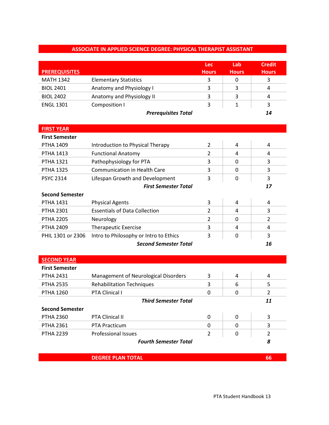### **ASSOCIATE IN APPLIED SCIENCE DEGREE: PHYSICAL THERAPIST ASSISTANT**

|                        |                                        | <b>Lec</b>     | Lab          | <b>Credit</b>  |
|------------------------|----------------------------------------|----------------|--------------|----------------|
| <b>PREREQUISITES</b>   |                                        | <b>Hours</b>   | <b>Hours</b> | <b>Hours</b>   |
| <b>MATH 1342</b>       | <b>Elementary Statistics</b>           | 3              | 0            | 3              |
| <b>BIOL 2401</b>       | Anatomy and Physiology I               | 3              | 3            | 4              |
| <b>BIOL 2402</b>       | Anatomy and Physiology II              | 3              | 3            | 4              |
| <b>ENGL 1301</b>       | Composition I                          | 3              | $\mathbf{1}$ | 3              |
|                        | <b>Prerequisites Total</b>             |                |              | 14             |
| <b>FIRST YEAR</b>      |                                        |                |              |                |
| <b>First Semester</b>  |                                        |                |              |                |
| <b>PTHA 1409</b>       | Introduction to Physical Therapy       | 2              | 4            | 4              |
| <b>PTHA 1413</b>       | <b>Functional Anatomy</b>              | $\overline{2}$ | 4            | 4              |
| <b>PTHA 1321</b>       | Pathophysiology for PTA                | 3              | 0            | 3              |
| <b>PTHA 1325</b>       | <b>Communication in Health Care</b>    | 3              | 0            | 3              |
| <b>PSYC 2314</b>       | Lifespan Growth and Development        | 3              | 0            | 3              |
|                        | <b>First Semester Total</b>            |                |              | 17             |
| <b>Second Semester</b> |                                        |                |              |                |
| <b>PTHA 1431</b>       | <b>Physical Agents</b>                 | 3              | 4            | 4              |
| <b>PTHA 2301</b>       | <b>Essentials of Data Collection</b>   | $\overline{2}$ | 4            | 3              |
| <b>PTHA 2205</b>       | Neurology                              | $\overline{2}$ | 0            | $\overline{2}$ |
| <b>PTHA 2409</b>       | <b>Therapeutic Exercise</b>            | 3              | 4            | 4              |
| PHIL 1301 or 2306      | Intro to Philosophy or Intro to Ethics | 3              | 0            | 3              |
|                        | <b>Second Semester Total</b>           |                |              | 16             |
| <b>SECOND YEAR</b>     |                                        |                |              |                |
| <b>First Semester</b>  |                                        |                |              |                |
| <b>PTHA 2431</b>       | Management of Neurological Disorders   | 3              | 4            | 4              |
| <b>PTHA 2535</b>       | <b>Rehabilitation Techniques</b>       | 3              | 6            | 5              |
| <b>PTHA 1260</b>       | <b>PTA Clinical I</b>                  | 0              | 0            | $\overline{2}$ |
|                        | <b>Third Semester Total</b>            |                |              | 11             |
| <b>Second Semester</b> |                                        |                |              |                |
| <b>PTHA 2360</b>       | PTA Clinical II                        | 0              | 0            | 3              |
| <b>PTHA 2361</b>       | PTA Practicum                          | 0              | 0            | 3              |
| <b>PTHA 2239</b>       | <b>Professional Issues</b>             | $\overline{2}$ | 0            | $\overline{2}$ |
|                        | <b>Fourth Semester Total</b>           |                |              | 8              |
|                        | <b>DEGREE PLAN TOTAL</b>               |                |              | 66             |
|                        |                                        |                |              |                |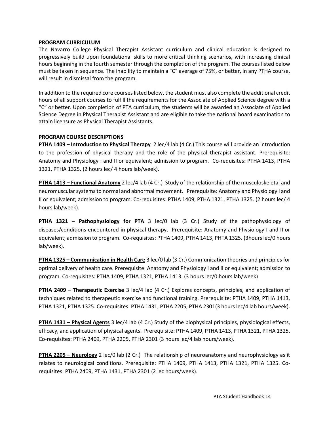#### <span id="page-14-0"></span>**PROGRAM CURRICULUM**

The Navarro College Physical Therapist Assistant curriculum and clinical education is designed to progressively build upon foundational skills to more critical thinking scenarios, with increasing clinical hours beginning in the fourth semester through the completion of the program. The courses listed below must be taken in sequence. The inability to maintain a "C" average of 75%, or better, in any PTHA course, will result in dismissal from the program.

In addition to the required core courses listed below, the student must also complete the additional credit hours of all support courses to fulfill the requirements for the Associate of Applied Science degree with a "C" or better. Upon completion of PTA curriculum, the students will be awarded an Associate of Applied Science Degree in Physical Therapist Assistant and are eligible to take the national board examination to attain licensure as Physical Therapist Assistants.

#### <span id="page-14-1"></span>**PROGRAM COURSE DESCRIPTIONS**

**PTHA 1409 – Introduction to Physical Therapy** 2 lec/4 lab (4 Cr.) This course will provide an introduction to the profession of physical therapy and the role of the physical therapist assistant. Prerequisite: Anatomy and Physiology I and II or equivalent; admission to program. Co-requisites: PTHA 1413, PTHA 1321, PTHA 1325. (2 hours lec/ 4 hours lab/week).

**PTHA 1413 – Functional Anatomy** 2 lec/4 lab (4 Cr.)Study of the relationship of the musculoskeletal and neuromuscular systems to normal and abnormal movement. Prerequisite: Anatomy and Physiology I and II or equivalent; admission to program. Co-requisites: PTHA 1409, PTHA 1321, PTHA 1325. (2 hours lec/ 4 hours lab/week).

**PTHA 1321 – Pathophysiology for PTA** 3 lec/0 lab (3 Cr.) Study of the pathophysiology of diseases/conditions encountered in physical therapy. Prerequisite: Anatomy and Physiology I and II or equivalent; admission to program. Co-requisites: PTHA 1409, PTHA 1413, PHTA 1325. (3hours lec/0 hours lab/week).

**PTHA 1325 – Communication in Health Care** 3 lec/0 lab (3 Cr.) Communication theories and principles for optimal delivery of health care. Prerequisite: Anatomy and Physiology I and II or equivalent; admission to program. Co-requisites: PTHA 1409, PTHA 1321, PTHA 1413. (3 hours lec/0 hours lab/week)

**PTHA 2409 – Therapeutic Exercise** 3 lec/4 lab (4 Cr.) Explores concepts, principles, and application of techniques related to therapeutic exercise and functional training. Prerequisite: PTHA 1409, PTHA 1413, PTHA 1321, PTHA 1325. Co-requisites: PTHA 1431, PTHA 2205, PTHA 2301(3 hours lec/4 lab hours/week).

**PTHA 1431 – Physical Agents** 3 lec/4 lab (4 Cr.) Study of the biophysical principles, physiological effects, efficacy, and application of physical agents. Prerequisite: PTHA 1409, PTHA 1413, PTHA 1321, PTHA 1325. Co-requisites: PTHA 2409, PTHA 2205, PTHA 2301 (3 hours lec/4 lab hours/week).

**PTHA 2205 – Neurology** 2 lec/0 lab (2 Cr.)The relationship of neuroanatomy and neurophysiology as it relates to neurological conditions. Prerequisite: PTHA 1409, PTHA 1413, PTHA 1321, PTHA 1325. Corequisites: PTHA 2409, PTHA 1431, PTHA 2301 (2 lec hours/week).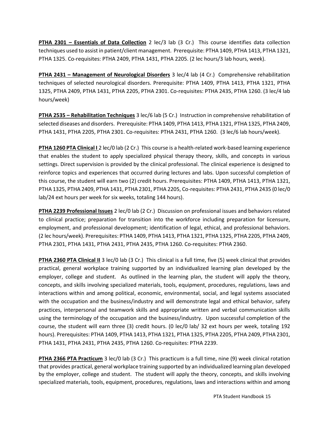**PTHA 2301 – Essentials of Data Collection** 2 lec/3 lab (3 Cr.) This course identifies data collection techniques used to assist in patient/client management. Prerequisite: PTHA 1409, PTHA 1413, PTHA 1321, PTHA 1325. Co-requisites: PTHA 2409, PTHA 1431, PTHA 2205. (2 lec hours/3 lab hours, week).

**PTHA 2431 – Management of Neurological Disorders** 3 lec/4 lab (4 Cr.) Comprehensive rehabilitation techniques of selected neurological disorders. Prerequisite: PTHA 1409, PTHA 1413, PTHA 1321, PTHA 1325, PTHA 2409, PTHA 1431, PTHA 2205, PTHA 2301. Co-requisites: PTHA 2435, PTHA 1260. (3 lec/4 lab hours/week)

**PTHA 2535 – Rehabilitation Techniques** 3 lec/6 lab (5 Cr.)Instruction in comprehensive rehabilitation of selected diseases and disorders. Prerequisite: PTHA 1409, PTHA 1413, PTHA 1321, PTHA 1325, PTHA 2409, PTHA 1431, PTHA 2205, PTHA 2301. Co-requisites: PTHA 2431, PTHA 1260. (3 lec/6 lab hours/week).

**PTHA 1260 PTA Clinical I** 2 lec/0 lab (2 Cr.) This course is a health-related work-based learning experience that enables the student to apply specialized physical therapy theory, skills, and concepts in various settings. Direct supervision is provided by the clinical professional. The clinical experience is designed to reinforce topics and experiences that occurred during lectures and labs. Upon successful completion of this course, the student will earn two (2) credit hours. Prerequisites: PTHA 1409, PTHA 1413, PTHA 1321, PTHA 1325, PTHA 2409, PTHA 1431, PTHA 2301, PTHA 2205, Co-requisites: PTHA 2431, PTHA 2435 (0 lec/0 lab/24 ext hours per week for six weeks, totaling 144 hours).

**PTHA 2239 Professional Issues** 2 lec/0 lab (2 Cr.)Discussion on professional issues and behaviors related to clinical practice; preparation for transition into the workforce including preparation for licensure, employment, and professional development; identification of legal, ethical, and professional behaviors. (2 lec hours/week). Prerequisites: PTHA 1409, PTHA 1413, PTHA 1321, PTHA 1325, PTHA 2205, PTHA 2409, PTHA 2301, PTHA 1431, PTHA 2431, PTHA 2435, PTHA 1260. Co-requisites: PTHA 2360.

**PTHA 2360 PTA Clinical II** 3 lec/0 lab (3 Cr.)This clinical is a full time, five (5) week clinical that provides practical, general workplace training supported by an individualized learning plan developed by the employer, college and student. As outlined in the learning plan, the student will apply the theory, concepts, and skills involving specialized materials, tools, equipment, procedures, regulations, laws and interactions within and among political, economic, environmental, social, and legal systems associated with the occupation and the business/industry and will demonstrate legal and ethical behavior, safety practices, interpersonal and teamwork skills and appropriate written and verbal communication skills using the terminology of the occupation and the business/industry. Upon successful completion of the course, the student will earn three (3) credit hours. (0 lec/0 lab/ 32 ext hours per week, totaling 192 hours). Prerequisites: PTHA 1409, PTHA 1413, PTHA 1321, PTHA 1325, PTHA 2205, PTHA 2409, PTHA 2301, PTHA 1431, PTHA 2431, PTHA 2435, PTHA 1260. Co-requisites: PTHA 2239.

**PTHA 2366 PTA Practicum** 3 lec/0 lab (3 Cr.)This practicum is a full time, nine (9) week clinical rotation that provides practical, general workplace training supported by an individualized learning plan developed by the employer, college and student. The student will apply the theory, concepts, and skills involving specialized materials, tools, equipment, procedures, regulations, laws and interactions within and among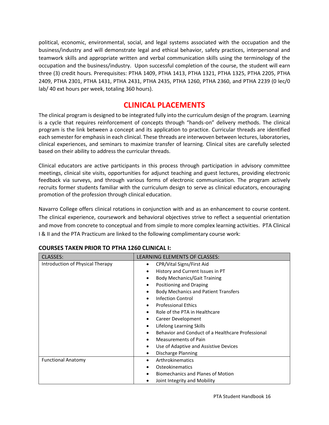political, economic, environmental, social, and legal systems associated with the occupation and the business/industry and will demonstrate legal and ethical behavior, safety practices, interpersonal and teamwork skills and appropriate written and verbal communication skills using the terminology of the occupation and the business/industry. Upon successful completion of the course, the student will earn three (3) credit hours. Prerequisites: PTHA 1409, PTHA 1413, PTHA 1321, PTHA 1325, PTHA 2205, PTHA 2409, PTHA 2301, PTHA 1431, PTHA 2431, PTHA 2435, PTHA 1260, PTHA 2360, and PTHA 2239 (0 lec/0 lab/ 40 ext hours per week, totaling 360 hours).

# **CLINICAL PLACEMENTS**

<span id="page-16-0"></span>The clinical program is designed to be integrated fully into the curriculum design of the program. Learning is a cycle that requires reinforcement of concepts through "hands-on" delivery methods. The clinical program is the link between a concept and its application to practice. Curricular threads are identified each semester for emphasis in each clinical. These threads are interwoven between lectures, laboratories, clinical experiences, and seminars to maximize transfer of learning. Clinical sites are carefully selected based on their ability to address the curricular threads.

Clinical educators are active participants in this process through participation in advisory committee meetings, clinical site visits, opportunities for adjunct teaching and guest lectures, providing electronic feedback via surveys, and through various forms of electronic communication. The program actively recruits former students familiar with the curriculum design to serve as clinical educators, encouraging promotion of the profession through clinical education.

Navarro College offers clinical rotations in conjunction with and as an enhancement to course content. The clinical experience, coursework and behavioral objectives strive to reflect a sequential orientation and move from concrete to conceptual and from simple to more complex learning activities. PTA Clinical I & II and the PTA Practicum are linked to the following complimentary course work:

| <b>CLASSES:</b>                  | LEARNING ELEMENTS OF CLASSES:                            |  |  |
|----------------------------------|----------------------------------------------------------|--|--|
| Introduction of Physical Therapy | CPR/Vital Signs/First Aid<br>٠                           |  |  |
|                                  | History and Current Issues in PT                         |  |  |
|                                  | <b>Body Mechanics/Gait Training</b>                      |  |  |
|                                  | Positioning and Draping<br>$\bullet$                     |  |  |
|                                  | <b>Body Mechanics and Patient Transfers</b><br>$\bullet$ |  |  |
|                                  | Infection Control<br>$\bullet$                           |  |  |
|                                  | <b>Professional Ethics</b><br>$\bullet$                  |  |  |
|                                  | Role of the PTA in Healthcare<br>٠                       |  |  |
|                                  | Career Development<br>٠                                  |  |  |
|                                  | Lifelong Learning Skills<br>٠                            |  |  |
|                                  | Behavior and Conduct of a Healthcare Professional        |  |  |
|                                  | Measurements of Pain                                     |  |  |
|                                  | Use of Adaptive and Assistive Devices<br>٠               |  |  |
|                                  | Discharge Planning<br>٠                                  |  |  |
| <b>Functional Anatomy</b>        | Arthrokinematics                                         |  |  |
|                                  | Osteokinematics                                          |  |  |
|                                  | <b>Biomechanics and Planes of Motion</b>                 |  |  |
|                                  | Joint Integrity and Mobility                             |  |  |

#### **COURSES TAKEN PRIOR TO PTHA 1260 CLINICAL I:**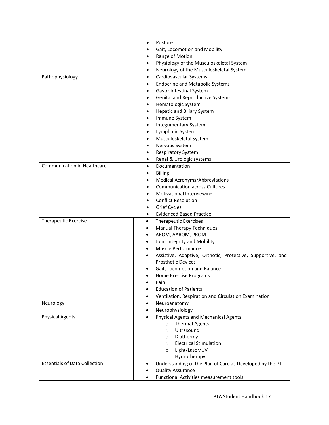| Posture<br>Gait, Locomotion and Mobility<br>$\bullet$<br>Range of Motion<br>Physiology of the Musculoskeletal System<br>$\bullet$<br>Neurology of the Musculoskeletal System<br>٠<br>Pathophysiology<br>Cardiovascular Systems<br>$\bullet$<br><b>Endocrine and Metabolic Systems</b><br>$\bullet$<br>Gastrointestinal System<br>٠<br>Genital and Reproductive Systems<br>٠<br>Hematologic System<br>$\bullet$<br><b>Hepatic and Biliary System</b><br>$\bullet$<br>Immune System<br>٠<br><b>Integumentary System</b><br>$\bullet$<br>Lymphatic System<br>Musculoskeletal System<br>Nervous System<br>$\bullet$<br><b>Respiratory System</b><br>$\bullet$<br>Renal & Urologic systems<br>$\bullet$<br>Communication in Healthcare<br>Documentation<br>$\bullet$<br><b>Billing</b><br>٠<br>Medical Acronyms/Abbreviations<br>$\bullet$<br><b>Communication across Cultures</b><br>Motivational Interviewing<br>٠<br><b>Conflict Resolution</b><br><b>Grief Cycles</b><br>$\bullet$<br><b>Evidenced Based Practice</b><br>$\bullet$ |
|-----------------------------------------------------------------------------------------------------------------------------------------------------------------------------------------------------------------------------------------------------------------------------------------------------------------------------------------------------------------------------------------------------------------------------------------------------------------------------------------------------------------------------------------------------------------------------------------------------------------------------------------------------------------------------------------------------------------------------------------------------------------------------------------------------------------------------------------------------------------------------------------------------------------------------------------------------------------------------------------------------------------------------------|
|                                                                                                                                                                                                                                                                                                                                                                                                                                                                                                                                                                                                                                                                                                                                                                                                                                                                                                                                                                                                                                   |
|                                                                                                                                                                                                                                                                                                                                                                                                                                                                                                                                                                                                                                                                                                                                                                                                                                                                                                                                                                                                                                   |
|                                                                                                                                                                                                                                                                                                                                                                                                                                                                                                                                                                                                                                                                                                                                                                                                                                                                                                                                                                                                                                   |
|                                                                                                                                                                                                                                                                                                                                                                                                                                                                                                                                                                                                                                                                                                                                                                                                                                                                                                                                                                                                                                   |
|                                                                                                                                                                                                                                                                                                                                                                                                                                                                                                                                                                                                                                                                                                                                                                                                                                                                                                                                                                                                                                   |
|                                                                                                                                                                                                                                                                                                                                                                                                                                                                                                                                                                                                                                                                                                                                                                                                                                                                                                                                                                                                                                   |
|                                                                                                                                                                                                                                                                                                                                                                                                                                                                                                                                                                                                                                                                                                                                                                                                                                                                                                                                                                                                                                   |
|                                                                                                                                                                                                                                                                                                                                                                                                                                                                                                                                                                                                                                                                                                                                                                                                                                                                                                                                                                                                                                   |
|                                                                                                                                                                                                                                                                                                                                                                                                                                                                                                                                                                                                                                                                                                                                                                                                                                                                                                                                                                                                                                   |
|                                                                                                                                                                                                                                                                                                                                                                                                                                                                                                                                                                                                                                                                                                                                                                                                                                                                                                                                                                                                                                   |
|                                                                                                                                                                                                                                                                                                                                                                                                                                                                                                                                                                                                                                                                                                                                                                                                                                                                                                                                                                                                                                   |
|                                                                                                                                                                                                                                                                                                                                                                                                                                                                                                                                                                                                                                                                                                                                                                                                                                                                                                                                                                                                                                   |
|                                                                                                                                                                                                                                                                                                                                                                                                                                                                                                                                                                                                                                                                                                                                                                                                                                                                                                                                                                                                                                   |
|                                                                                                                                                                                                                                                                                                                                                                                                                                                                                                                                                                                                                                                                                                                                                                                                                                                                                                                                                                                                                                   |
|                                                                                                                                                                                                                                                                                                                                                                                                                                                                                                                                                                                                                                                                                                                                                                                                                                                                                                                                                                                                                                   |
|                                                                                                                                                                                                                                                                                                                                                                                                                                                                                                                                                                                                                                                                                                                                                                                                                                                                                                                                                                                                                                   |
|                                                                                                                                                                                                                                                                                                                                                                                                                                                                                                                                                                                                                                                                                                                                                                                                                                                                                                                                                                                                                                   |
|                                                                                                                                                                                                                                                                                                                                                                                                                                                                                                                                                                                                                                                                                                                                                                                                                                                                                                                                                                                                                                   |
|                                                                                                                                                                                                                                                                                                                                                                                                                                                                                                                                                                                                                                                                                                                                                                                                                                                                                                                                                                                                                                   |
|                                                                                                                                                                                                                                                                                                                                                                                                                                                                                                                                                                                                                                                                                                                                                                                                                                                                                                                                                                                                                                   |
|                                                                                                                                                                                                                                                                                                                                                                                                                                                                                                                                                                                                                                                                                                                                                                                                                                                                                                                                                                                                                                   |
|                                                                                                                                                                                                                                                                                                                                                                                                                                                                                                                                                                                                                                                                                                                                                                                                                                                                                                                                                                                                                                   |
|                                                                                                                                                                                                                                                                                                                                                                                                                                                                                                                                                                                                                                                                                                                                                                                                                                                                                                                                                                                                                                   |
|                                                                                                                                                                                                                                                                                                                                                                                                                                                                                                                                                                                                                                                                                                                                                                                                                                                                                                                                                                                                                                   |
|                                                                                                                                                                                                                                                                                                                                                                                                                                                                                                                                                                                                                                                                                                                                                                                                                                                                                                                                                                                                                                   |
|                                                                                                                                                                                                                                                                                                                                                                                                                                                                                                                                                                                                                                                                                                                                                                                                                                                                                                                                                                                                                                   |
|                                                                                                                                                                                                                                                                                                                                                                                                                                                                                                                                                                                                                                                                                                                                                                                                                                                                                                                                                                                                                                   |
| <b>Therapeutic Exercise</b><br><b>Therapeutic Exercises</b><br>٠                                                                                                                                                                                                                                                                                                                                                                                                                                                                                                                                                                                                                                                                                                                                                                                                                                                                                                                                                                  |
| <b>Manual Therapy Techniques</b><br>٠                                                                                                                                                                                                                                                                                                                                                                                                                                                                                                                                                                                                                                                                                                                                                                                                                                                                                                                                                                                             |
| AROM, AAROM, PROM                                                                                                                                                                                                                                                                                                                                                                                                                                                                                                                                                                                                                                                                                                                                                                                                                                                                                                                                                                                                                 |
| Joint Integrity and Mobility<br>٠                                                                                                                                                                                                                                                                                                                                                                                                                                                                                                                                                                                                                                                                                                                                                                                                                                                                                                                                                                                                 |
| Muscle Performance                                                                                                                                                                                                                                                                                                                                                                                                                                                                                                                                                                                                                                                                                                                                                                                                                                                                                                                                                                                                                |
| Assistive, Adaptive, Orthotic, Protective, Supportive, and<br>$\bullet$                                                                                                                                                                                                                                                                                                                                                                                                                                                                                                                                                                                                                                                                                                                                                                                                                                                                                                                                                           |
| <b>Prosthetic Devices</b>                                                                                                                                                                                                                                                                                                                                                                                                                                                                                                                                                                                                                                                                                                                                                                                                                                                                                                                                                                                                         |
| Gait, Locomotion and Balance                                                                                                                                                                                                                                                                                                                                                                                                                                                                                                                                                                                                                                                                                                                                                                                                                                                                                                                                                                                                      |
| Home Exercise Programs<br>٠                                                                                                                                                                                                                                                                                                                                                                                                                                                                                                                                                                                                                                                                                                                                                                                                                                                                                                                                                                                                       |
| Pain<br>٠                                                                                                                                                                                                                                                                                                                                                                                                                                                                                                                                                                                                                                                                                                                                                                                                                                                                                                                                                                                                                         |
| <b>Education of Patients</b>                                                                                                                                                                                                                                                                                                                                                                                                                                                                                                                                                                                                                                                                                                                                                                                                                                                                                                                                                                                                      |
| Ventilation, Respiration and Circulation Examination                                                                                                                                                                                                                                                                                                                                                                                                                                                                                                                                                                                                                                                                                                                                                                                                                                                                                                                                                                              |
| Neurology<br>Neuroanatomy<br>٠                                                                                                                                                                                                                                                                                                                                                                                                                                                                                                                                                                                                                                                                                                                                                                                                                                                                                                                                                                                                    |
| Neurophysiology<br>$\bullet$                                                                                                                                                                                                                                                                                                                                                                                                                                                                                                                                                                                                                                                                                                                                                                                                                                                                                                                                                                                                      |
| <b>Physical Agents</b><br><b>Physical Agents and Mechanical Agents</b><br>$\bullet$                                                                                                                                                                                                                                                                                                                                                                                                                                                                                                                                                                                                                                                                                                                                                                                                                                                                                                                                               |
| <b>Thermal Agents</b><br>$\circ$                                                                                                                                                                                                                                                                                                                                                                                                                                                                                                                                                                                                                                                                                                                                                                                                                                                                                                                                                                                                  |
| Ultrasound<br>$\circ$                                                                                                                                                                                                                                                                                                                                                                                                                                                                                                                                                                                                                                                                                                                                                                                                                                                                                                                                                                                                             |
| Diathermy<br>$\circ$                                                                                                                                                                                                                                                                                                                                                                                                                                                                                                                                                                                                                                                                                                                                                                                                                                                                                                                                                                                                              |
| <b>Electrical Stimulation</b><br>$\circ$                                                                                                                                                                                                                                                                                                                                                                                                                                                                                                                                                                                                                                                                                                                                                                                                                                                                                                                                                                                          |
| Light/Laser/UV<br>$\circ$                                                                                                                                                                                                                                                                                                                                                                                                                                                                                                                                                                                                                                                                                                                                                                                                                                                                                                                                                                                                         |
| Hydrotherapy<br>$\circ$                                                                                                                                                                                                                                                                                                                                                                                                                                                                                                                                                                                                                                                                                                                                                                                                                                                                                                                                                                                                           |
| <b>Essentials of Data Collection</b><br>Understanding of the Plan of Care as Developed by the PT<br>٠                                                                                                                                                                                                                                                                                                                                                                                                                                                                                                                                                                                                                                                                                                                                                                                                                                                                                                                             |
| <b>Quality Assurance</b>                                                                                                                                                                                                                                                                                                                                                                                                                                                                                                                                                                                                                                                                                                                                                                                                                                                                                                                                                                                                          |
| Functional Activities measurement tools                                                                                                                                                                                                                                                                                                                                                                                                                                                                                                                                                                                                                                                                                                                                                                                                                                                                                                                                                                                           |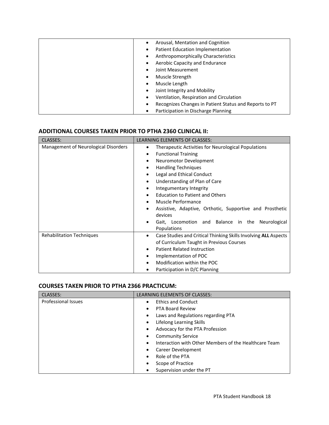| Arousal, Mentation and Cognition<br>$\bullet$                       |
|---------------------------------------------------------------------|
|                                                                     |
| Patient Education Implementation<br>$\bullet$                       |
| Anthropomorphically Characteristics<br>$\bullet$                    |
| Aerobic Capacity and Endurance<br>$\bullet$                         |
| Joint Measurement<br>$\bullet$                                      |
| Muscle Strength<br>$\bullet$                                        |
| Muscle Length<br>$\bullet$                                          |
| Joint Integrity and Mobility<br>$\bullet$                           |
| Ventilation, Respiration and Circulation<br>$\bullet$               |
| Recognizes Changes in Patient Status and Reports to PT<br>$\bullet$ |
| Participation in Discharge Planning<br>$\bullet$                    |

### **ADDITIONAL COURSES TAKEN PRIOR TO PTHA 2360 CLINICAL II:**

| <b>CLASSES:</b>                      | LEARNING ELEMENTS OF CLASSES:                                                                                                                                                                                                                                                                                                                                                                                                                                                                   |  |
|--------------------------------------|-------------------------------------------------------------------------------------------------------------------------------------------------------------------------------------------------------------------------------------------------------------------------------------------------------------------------------------------------------------------------------------------------------------------------------------------------------------------------------------------------|--|
| Management of Neurological Disorders | Therapeutic Activities for Neurological Populations<br>٠<br><b>Functional Training</b><br>٠<br>Neuromotor Development<br>٠<br><b>Handling Techniques</b><br>٠<br>Legal and Ethical Conduct<br>٠<br>Understanding of Plan of Care<br>٠<br>Integumentary Integrity<br>٠<br><b>Education to Patient and Others</b><br>٠<br>Muscle Performance<br>٠<br>Assistive, Adaptive, Orthotic, Supportive and Prosthetic<br>$\bullet$<br>devices<br>Gait, Locomotion and Balance in the<br>Neurological<br>٠ |  |
| <b>Rehabilitation Techniques</b>     | Populations<br>Case Studies and Critical Thinking Skills Involving ALL Aspects<br>٠                                                                                                                                                                                                                                                                                                                                                                                                             |  |
|                                      | of Curriculum Taught in Previous Courses                                                                                                                                                                                                                                                                                                                                                                                                                                                        |  |
|                                      | <b>Patient Related Instruction</b><br>$\bullet$                                                                                                                                                                                                                                                                                                                                                                                                                                                 |  |
|                                      | Implementation of POC<br>٠                                                                                                                                                                                                                                                                                                                                                                                                                                                                      |  |
|                                      | Modification within the POC<br>$\bullet$                                                                                                                                                                                                                                                                                                                                                                                                                                                        |  |
|                                      | Participation in D/C Planning<br>$\bullet$                                                                                                                                                                                                                                                                                                                                                                                                                                                      |  |

#### **COURSES TAKEN PRIOR TO PTHA 2366 PRACTICUM:**

| <b>CLASSES:</b>            | LEARNING ELEMENTS OF CLASSES:                                      |  |
|----------------------------|--------------------------------------------------------------------|--|
| <b>Professional Issues</b> | <b>Ethics and Conduct</b><br>$\bullet$                             |  |
|                            | <b>PTA Board Review</b><br>$\bullet$                               |  |
|                            | Laws and Regulations regarding PTA<br>٠                            |  |
|                            | Lifelong Learning Skills<br>$\bullet$                              |  |
|                            | Advocacy for the PTA Profession<br>$\bullet$                       |  |
|                            | <b>Community Service</b><br>$\bullet$                              |  |
|                            | Interaction with Other Members of the Healthcare Team<br>$\bullet$ |  |
|                            | Career Development<br>$\bullet$                                    |  |
|                            | Role of the PTA<br>$\bullet$                                       |  |
|                            | Scope of Practice<br>$\bullet$                                     |  |
|                            | Supervision under the PT<br>$\bullet$                              |  |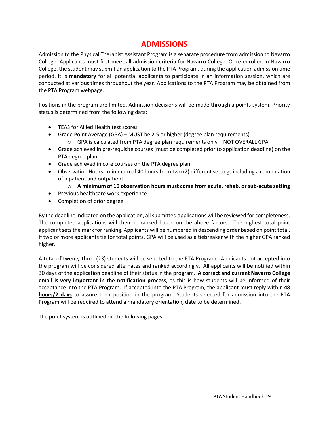# **ADMISSIONS**

<span id="page-19-0"></span>Admission to the Physical Therapist Assistant Program is a separate procedure from admission to Navarro College. Applicants must first meet all admission criteria for Navarro College. Once enrolled in Navarro College, the student may submit an application to the PTA Program, during the application admission time period. It is **mandatory** for all potential applicants to participate in an information session, which are conducted at various times throughout the year. Applications to the PTA Program may be obtained from the PTA Program webpage.

Positions in the program are limited. Admission decisions will be made through a points system. Priority status is determined from the following data:

- TEAS for Allied Health test scores
- Grade Point Average (GPA) MUST be 2.5 or higher (degree plan requirements)
	- o GPA is calculated from PTA degree plan requirements only NOT OVERALL GPA
- Grade achieved in pre-requisite courses (must be completed prior to application deadline) on the PTA degree plan
- Grade achieved in core courses on the PTA degree plan
- Observation Hours minimum of 40 hours from two (2) different settings including a combination of inpatient and outpatient
	- o **A minimum of 10 observation hours must come from acute, rehab, or sub-acute setting**
- Previous healthcare work experience
- Completion of prior degree

By the deadline indicated on the application, all submitted applications will be reviewed for completeness. The completed applications will then be ranked based on the above factors. The highest total point applicant sets the mark for ranking. Applicants will be numbered in descending order based on point total. If two or more applicants tie for total points, GPA will be used as a tiebreaker with the higher GPA ranked higher.

A total of twenty-three (23) students will be selected to the PTA Program. Applicants not accepted into the program will be considered alternates and ranked accordingly. All applicants will be notified within 30 days of the application deadline of their status in the program. **A correct and current Navarro College email is very important in the notification process**, as this is how students will be informed of their acceptance into the PTA Program. If accepted into the PTA Program, the applicant must reply within **48 hours/2 days** to assure their position in the program. Students selected for admission into the PTA Program will be required to attend a mandatory orientation, date to be determined.

<span id="page-19-1"></span>The point system is outlined on the following pages.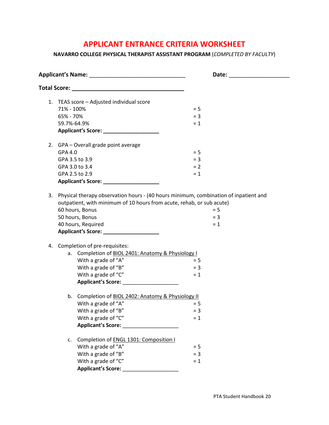# **APPLICANT ENTRANCE CRITERIA WORKSHEET**

<span id="page-20-1"></span><span id="page-20-0"></span>**NAVARRO COLLEGE PHYSICAL THERAPIST ASSISTANT PROGRAM** (*COMPLETED BY FACULTY*)

|    |                                                                                                                                                                                                                                                                                                                                                                                                                                                                                                      | Date: ____________________                |
|----|------------------------------------------------------------------------------------------------------------------------------------------------------------------------------------------------------------------------------------------------------------------------------------------------------------------------------------------------------------------------------------------------------------------------------------------------------------------------------------------------------|-------------------------------------------|
|    |                                                                                                                                                                                                                                                                                                                                                                                                                                                                                                      |                                           |
|    | 1. TEAS score - Adjusted individual score<br>71% - 100%<br>65% - 70%<br>59.7%-64.9%                                                                                                                                                                                                                                                                                                                                                                                                                  | $= 5$<br>$= 3$<br>$= 1$                   |
|    | 2. GPA - Overall grade point average<br>GPA 4.0<br>GPA 3.5 to 3.9<br>GPA 3.0 to 3.4<br>GPA 2.5 to 2.9<br>Applicant's Score: _____________________                                                                                                                                                                                                                                                                                                                                                    | $= 5$<br>$= 3$<br>$= 2$<br>$= 1$          |
| 3. | Physical therapy observation hours - (40 hours minimum, combination of inpatient and<br>outpatient, with minimum of 10 hours from acute, rehab, or sub acute)<br>60 hours, Bonus<br>50 hours, Bonus<br>40 hours, Required                                                                                                                                                                                                                                                                            | $= 5$<br>$= 3$<br>$= 1$                   |
|    | 4. Completion of pre-requisites:<br>a. Completion of BIOL 2401: Anatomy & Physiology I<br>With a grade of "A"<br>With a grade of "B"<br>With a grade of "C"<br>Applicant's Score:<br>Letterane and the set of the set of the set of the set of the set of the set of the set of the set of the set of the set of the set of the set of the set of the set of the set of the set of the set of t<br>b. Completion of BIOL 2402: Anatomy & Physiology II<br>With a grade of "A"<br>With a grade of "B" | $= 5$<br>$= 3$<br>$= 1$<br>$= 5$<br>$= 3$ |
|    | With a grade of "C"<br><b>Applicant's Score:</b><br>Completion of <b>ENGL 1301: Composition I</b><br>$\mathsf{C}$ .<br>With a grade of "A"<br>With a grade of "B"<br>With a grade of "C"<br><b>Applicant's Score:</b>                                                                                                                                                                                                                                                                                | $= 1$<br>$= 5$<br>$= 3$<br>$= 1$          |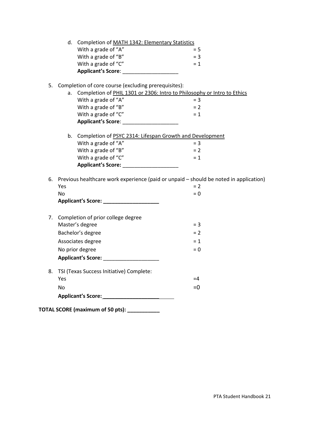|    |                                                                                       | d. Completion of MATH 1342: Elementary Statistics                                                                                                                                                                                      |                                                                            |  |
|----|---------------------------------------------------------------------------------------|----------------------------------------------------------------------------------------------------------------------------------------------------------------------------------------------------------------------------------------|----------------------------------------------------------------------------|--|
|    |                                                                                       | With a grade of "A"                                                                                                                                                                                                                    | $= 5$                                                                      |  |
|    |                                                                                       | With a grade of "B"                                                                                                                                                                                                                    | $= 3$                                                                      |  |
|    |                                                                                       | With a grade of "C"                                                                                                                                                                                                                    | $= 1$                                                                      |  |
|    |                                                                                       | Applicant's Score: National Applicant of Score:                                                                                                                                                                                        |                                                                            |  |
| 5. |                                                                                       | Completion of core course (excluding prerequisites):                                                                                                                                                                                   |                                                                            |  |
|    |                                                                                       |                                                                                                                                                                                                                                        | a. Completion of PHIL 1301 or 2306: Intro to Philosophy or Intro to Ethics |  |
|    |                                                                                       | With a grade of "A"                                                                                                                                                                                                                    | $=$ 3                                                                      |  |
|    |                                                                                       | With a grade of "B"                                                                                                                                                                                                                    | $= 2$                                                                      |  |
|    |                                                                                       | With a grade of "C"                                                                                                                                                                                                                    | $= 1$                                                                      |  |
|    |                                                                                       | Applicant's Score:<br>Laterature and the set of the set of the set of the set of the set of the set of the set of the set of the set of the set of the set of the set of the set of the set of the set of the set of the set of        |                                                                            |  |
|    |                                                                                       | b. Completion of PSYC 2314: Lifespan Growth and Development                                                                                                                                                                            |                                                                            |  |
|    |                                                                                       | With a grade of "A"                                                                                                                                                                                                                    | $=$ 3                                                                      |  |
|    |                                                                                       | With a grade of "B"                                                                                                                                                                                                                    | $= 2$                                                                      |  |
|    |                                                                                       | With a grade of "C"                                                                                                                                                                                                                    | $= 1$                                                                      |  |
|    |                                                                                       | Applicant's Score:<br><u>Land Contract Contract Contract Contract Contract Contract Contract Contract Contract Contract Contract Contract Contract Contract Contract Contract Contract Contract Contract Contract Contract Contrac</u> |                                                                            |  |
| 6. | Previous healthcare work experience (paid or unpaid - should be noted in application) |                                                                                                                                                                                                                                        |                                                                            |  |
|    | Yes                                                                                   |                                                                                                                                                                                                                                        | $= 2$                                                                      |  |
|    | No                                                                                    |                                                                                                                                                                                                                                        | $= 0$                                                                      |  |
|    |                                                                                       | Applicant's Score: New York Products Applicant of Score:                                                                                                                                                                               |                                                                            |  |
| 7. |                                                                                       | Completion of prior college degree                                                                                                                                                                                                     |                                                                            |  |
|    |                                                                                       | Master's degree                                                                                                                                                                                                                        | $= 3$                                                                      |  |
|    |                                                                                       | Bachelor's degree                                                                                                                                                                                                                      | $= 2$                                                                      |  |
|    |                                                                                       | Associates degree                                                                                                                                                                                                                      | $= 1$                                                                      |  |
|    |                                                                                       | No prior degree                                                                                                                                                                                                                        | $= 0$                                                                      |  |
|    |                                                                                       | <b>Applicant's Score:</b>                                                                                                                                                                                                              |                                                                            |  |
| 8. |                                                                                       | TSI (Texas Success Initiative) Complete:                                                                                                                                                                                               |                                                                            |  |
|    | Yes                                                                                   |                                                                                                                                                                                                                                        | $=4$                                                                       |  |
|    | No.                                                                                   |                                                                                                                                                                                                                                        | $= 0$                                                                      |  |
|    |                                                                                       |                                                                                                                                                                                                                                        |                                                                            |  |
|    |                                                                                       | TOTAL SCORE (maximum of 50 pts): __________                                                                                                                                                                                            |                                                                            |  |
|    |                                                                                       |                                                                                                                                                                                                                                        |                                                                            |  |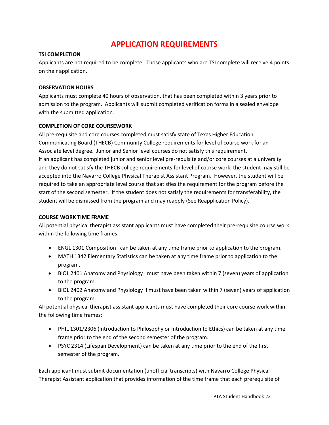# **APPLICATION REQUIREMENTS**

#### **TSI COMPLETION**

Applicants are not required to be complete. Those applicants who are TSI complete will receive 4 points on their application.

#### **OBSERVATION HOURS**

Applicants must complete 40 hours of observation, that has been completed within 3 years prior to admission to the program. Applicants will submit completed verification forms in a sealed envelope with the submitted application.

#### **COMPLETION OF CORE COURSEWORK**

All pre-requisite and core courses completed must satisfy state of Texas Higher Education Communicating Board (THECB) Community College requirements for level of course work for an Associate level degree. Junior and Senior level courses do not satisfy this requirement. If an applicant has completed junior and senior level pre-requisite and/or core courses at a university and they do not satisfy the THECB college requirements for level of course work, the student may still be accepted into the Navarro College Physical Therapist Assistant Program. However, the student will be required to take an appropriate level course that satisfies the requirement for the program before the start of the second semester. If the student does not satisfy the requirements for transferability, the student will be dismissed from the program and may reapply (See Reapplication Policy).

#### **COURSE WORK TIME FRAME**

All potential physical therapist assistant applicants must have completed their pre-requisite course work within the following time frames:

- ENGL 1301 Composition I can be taken at any time frame prior to application to the program.
- MATH 1342 Elementary Statistics can be taken at any time frame prior to application to the program.
- BIOL 2401 Anatomy and Physiology I must have been taken within 7 (seven) years of application to the program.
- BIOL 2402 Anatomy and Physiology II must have been taken within 7 (seven) years of application to the program.

All potential physical therapist assistant applicants must have completed their core course work within the following time frames:

- PHIL 1301/2306 (introduction to Philosophy or Introduction to Ethics) can be taken at any time frame prior to the end of the second semester of the program.
- PSYC 2314 (Lifespan Development) can be taken at any time prior to the end of the first semester of the program.

Each applicant must submit documentation (unofficial transcripts) with Navarro College Physical Therapist Assistant application that provides information of the time frame that each prerequisite of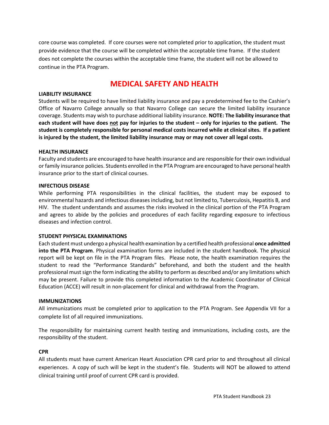core course was completed. If core courses were not completed prior to application, the student must provide evidence that the course will be completed within the acceptable time frame. If the student does not complete the courses within the acceptable time frame, the student will not be allowed to continue in the PTA Program.

# **MEDICAL SAFETY AND HEALTH**

#### <span id="page-23-0"></span>**LIABILITY INSURANCE**

Students will be required to have limited liability insurance and pay a predetermined fee to the Cashier's Office of Navarro College annually so that Navarro College can secure the limited liability insurance coverage. Students may wish to purchase additional liability insurance. **NOTE: The liability insurance that each student will have does not pay for injuries to the student – only for injuries to the patient. The student is completely responsible for personal medical costs incurred while at clinical sites. If a patient is injured by the student, the limited liability insurance may or may not cover all legal costs.**

#### <span id="page-23-1"></span>**HEALTH INSURANCE**

Faculty and students are encouraged to have health insurance and are responsible for their own individual or family insurance policies. Students enrolled in the PTA Program are encouraged to have personal health insurance prior to the start of clinical courses.

#### <span id="page-23-2"></span>**INFECTIOUS DISEASE**

While performing PTA responsibilities in the clinical facilities, the student may be exposed to environmental hazards and infectious diseases including, but not limited to, Tuberculosis, Hepatitis B, and HIV. The student understands and assumes the risks involved in the clinical portion of the PTA Program and agrees to abide by the policies and procedures of each facility regarding exposure to infectious diseases and infection control.

#### <span id="page-23-3"></span>**STUDENT PHYSICAL EXAMINATIONS**

Each student must undergo a physical health examination by a certified health professional **once admitted into the PTA Program**. Physical examination forms are included in the student handbook. The physical report will be kept on file in the PTA Program files. Please note, the health examination requires the student to read the "Performance Standards" beforehand, and both the student and the health professional must sign the form indicating the ability to perform as described and/or any limitations which may be present. Failure to provide this completed information to the Academic Coordinator of Clinical Education (ACCE) will result in non-placement for clinical and withdrawal from the Program.

#### <span id="page-23-4"></span>**IMMUNIZATIONS**

All immunizations must be completed prior to application to the PTA Program. See Appendix VII for a complete list of all required immunizations.

The responsibility for maintaining current health testing and immunizations, including costs, are the responsibility of the student.

#### <span id="page-23-5"></span>**CPR**

All students must have current American Heart Association CPR card prior to and throughout all clinical experiences. A copy of such will be kept in the student's file. Students will NOT be allowed to attend clinical training until proof of current CPR card is provided.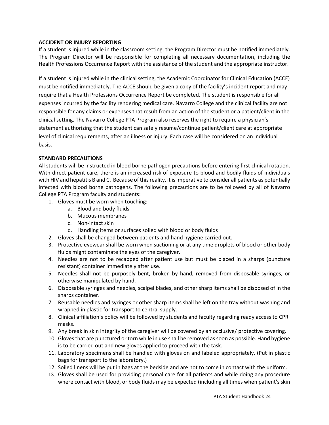#### <span id="page-24-0"></span>**ACCIDENT OR INJURY REPORTING**

If a student is injured while in the classroom setting, the Program Director must be notified immediately. The Program Director will be responsible for completing all necessary documentation, including the Health Professions Occurrence Report with the assistance of the student and the appropriate instructor.

If a student is injured while in the clinical setting, the Academic Coordinator for Clinical Education (ACCE) must be notified immediately. The ACCE should be given a copy of the facility's incident report and may require that a Health Professions Occurrence Report be completed. The student is responsible for all expenses incurred by the facility rendering medical care. Navarro College and the clinical facility are not responsible for any claims or expenses that result from an action of the student or a patient/client in the clinical setting. The Navarro College PTA Program also reserves the right to require a physician's statement authorizing that the student can safely resume/continue patient/client care at appropriate level of clinical requirements, after an illness or injury. Each case will be considered on an individual basis.

#### <span id="page-24-1"></span>**STANDARD PRECAUTIONS**

All students will be instructed in blood borne pathogen precautions before entering first clinical rotation. With direct patient care, there is an increased risk of exposure to blood and bodily fluids of individuals with HIV and hepatitis B and C. Because of this reality, it is imperative to consider all patients as potentially infected with blood borne pathogens. The following precautions are to be followed by all of Navarro College PTA Program faculty and students:

- 1. Gloves must be worn when touching:
	- a. Blood and body fluids
	- b. Mucous membranes
	- c. Non-intact skin
	- d. Handling items or surfaces soiled with blood or body fluids
- 2. Gloves shall be changed between patients and hand hygiene carried out.
- 3. Protective eyewear shall be worn when suctioning or at any time droplets of blood or other body fluids might contaminate the eyes of the caregiver.
- 4. Needles are not to be recapped after patient use but must be placed in a sharps (puncture resistant) container immediately after use.
- 5. Needles shall not be purposely bent, broken by hand, removed from disposable syringes, or otherwise manipulated by hand.
- 6. Disposable syringes and needles, scalpel blades, and other sharp items shall be disposed of in the sharps container.
- 7. Reusable needles and syringes or other sharp items shall be left on the tray without washing and wrapped in plastic for transport to central supply.
- 8. Clinical affiliation's policy will be followed by students and faculty regarding ready access to CPR masks.
- 9. Any break in skin integrity of the caregiver will be covered by an occlusive/ protective covering.
- 10. Gloves that are punctured or torn while in use shall be removed as soon as possible. Hand hygiene is to be carried out and new gloves applied to proceed with the task.
- 11. Laboratory specimens shall be handled with gloves on and labeled appropriately. (Put in plastic bags for transport to the laboratory.)
- 12. Soiled linens will be put in bags at the bedside and are not to come in contact with the uniform.
- 13. Gloves shall be used for providing personal care for all patients and while doing any procedure where contact with blood, or body fluids may be expected (including all times when patient's skin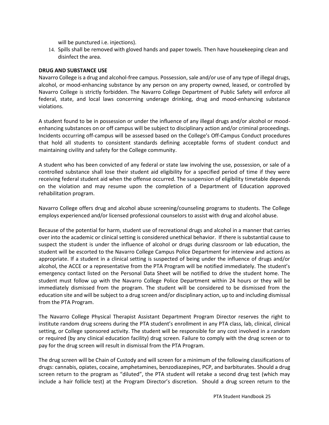will be punctured i.e. injections).

14. Spills shall be removed with gloved hands and paper towels. Then have housekeeping clean and disinfect the area.

#### <span id="page-25-0"></span>**DRUG AND SUBSTANCE USE**

Navarro College is a drug and alcohol-free campus. Possession, sale and/or use of any type of illegal drugs, alcohol, or mood-enhancing substance by any person on any property owned, leased, or controlled by Navarro College is strictly forbidden. The Navarro College Department of Public Safety will enforce all federal, state, and local laws concerning underage drinking, drug and mood-enhancing substance violations.

A student found to be in possession or under the influence of any illegal drugs and/or alcohol or moodenhancing substances on or off campus will be subject to disciplinary action and/or criminal proceedings. Incidents occurring off-campus will be assessed based on the College's Off-Campus Conduct procedures that hold all students to consistent standards defining acceptable forms of student conduct and maintaining civility and safety for the College community.

A student who has been convicted of any federal or state law involving the use, possession, or sale of a controlled substance shall lose their student aid eligibility for a specified period of time if they were receiving federal student aid when the offense occurred. The suspension of eligibility timetable depends on the violation and may resume upon the completion of a Department of Education approved rehabilitation program.

Navarro College offers drug and alcohol abuse screening/counseling programs to students. The College employs experienced and/or licensed professional counselors to assist with drug and alcohol abuse.

Because of the potential for harm, student use of recreational drugs and alcohol in a manner that carries over into the academic or clinical setting is considered unethical behavior. If there is substantial cause to suspect the student is under the influence of alcohol or drugs during classroom or lab education, the student will be escorted to the Navarro College Campus Police Department for interview and actions as appropriate. If a student in a clinical setting is suspected of being under the influence of drugs and/or alcohol, the ACCE or a representative from the PTA Program will be notified immediately. The student's emergency contact listed on the Personal Data Sheet will be notified to drive the student home. The student must follow up with the Navarro College Police Department within 24 hours or they will be immediately dismissed from the program. The student will be considered to be dismissed from the education site and will be subject to a drug screen and/or disciplinary action, up to and including dismissal from the PTA Program.

The Navarro College Physical Therapist Assistant Department Program Director reserves the right to institute random drug screens during the PTA student's enrollment in any PTA class, lab, clinical, clinical setting, or College sponsored activity. The student will be responsible for any cost involved in a random or required (by any clinical education facility) drug screen. Failure to comply with the drug screen or to pay for the drug screen will result in dismissal from the PTA Program.

The drug screen will be Chain of Custody and will screen for a minimum of the following classifications of drugs: cannabis, opiates, cocaine, amphetamines, benzodiazepines, PCP, and barbiturates. Should a drug screen return to the program as "diluted", the PTA student will retake a second drug test (which may include a hair follicle test) at the Program Director's discretion. Should a drug screen return to the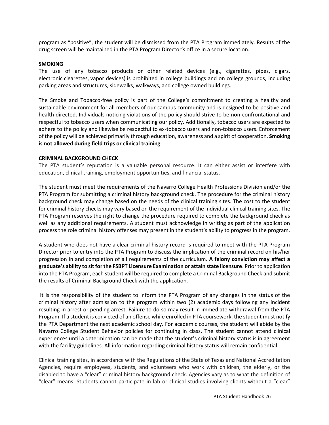program as "positive", the student will be dismissed from the PTA Program immediately. Results of the drug screen will be maintained in the PTA Program Director's office in a secure location.

#### <span id="page-26-0"></span>**SMOKING**

The use of any tobacco products or other related devices (e.g., cigarettes, pipes, cigars, electronic cigarettes, vapor devices) is prohibited in college buildings and on college grounds, including parking areas and structures, sidewalks, walkways, and college owned buildings.

The Smoke and Tobacco-free policy is part of the College's commitment to creating a healthy and sustainable environment for all members of our campus community and is designed to be positive and health directed. Individuals noticing violations of the policy should strive to be non-confrontational and respectful to tobacco users when communicating our policy. Additionally, tobacco users are expected to adhere to the policy and likewise be respectful to ex-tobacco users and non-tobacco users. Enforcement of the policy will be achieved primarily through education, awareness and a spirit of cooperation. **Smoking is not allowed during field trips or clinical training**.

#### <span id="page-26-1"></span>**CRIMINAL BACKGROUND CHECK**

The PTA student's reputation is a valuable personal resource. It can either assist or interfere with education, clinical training, employment opportunities, and financial status.

The student must meet the requirements of the Navarro College Health Professions Division and/or the PTA Program for submitting a criminal history background check. The procedure for the criminal history background check may change based on the needs of the clinical training sites. The cost to the student for criminal history checks may vary based on the requirement of the individual clinical training sites. The PTA Program reserves the right to change the procedure required to complete the background check as well as any additional requirements. A student must acknowledge in writing as part of the application process the role criminal history offenses may present in the student's ability to progress in the program.

A student who does not have a clear criminal history record is required to meet with the PTA Program Director prior to entry into the PTA Program to discuss the implication of the criminal record on his/her progression in and completion of all requirements of the curriculum. **A felony conviction may affect a graduate's ability to sit for the FSBPT Licensure Examination or attain state licensure**. Prior to application into the PTA Program, each student will be required to complete a Criminal Background Check and submit the results of Criminal Background Check with the application.

It is the responsibility of the student to inform the PTA Program of any changes in the status of the criminal history after admission to the program within two (2) academic days following any incident resulting in arrest or pending arrest. Failure to do so may result in immediate withdrawal from the PTA Program. If a student is convicted of an offense while enrolled in PTA coursework, the student must notify the PTA Department the next academic school day. For academic courses, the student will abide by the Navarro College Student Behavior policies for continuing in class. The student cannot attend clinical experiences until a determination can be made that the student's criminal history status is in agreement with the facility guidelines. All information regarding criminal history status will remain confidential.

Clinical training sites, in accordance with the Regulations of the State of Texas and National Accreditation Agencies, require employees, students, and volunteers who work with children, the elderly, or the disabled to have a "clear" criminal history background check. Agencies vary as to what the definition of "clear" means. Students cannot participate in lab or clinical studies involving clients without a "clear"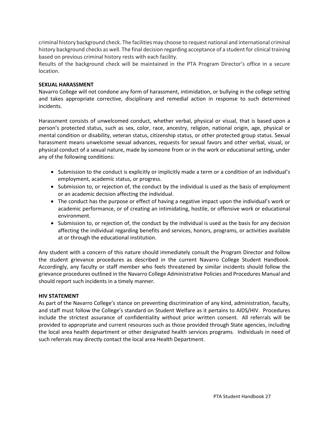criminal history background check. The facilities may choose to request national and international criminal history background checks as well. The final decision regarding acceptance of a student for clinical training based on previous criminal history rests with each facility.

Results of the background check will be maintained in the PTA Program Director's office in a secure location.

#### <span id="page-27-0"></span>**SEXUAL HARASSMENT**

Navarro College will not condone any form of harassment, intimidation, or bullying in the college setting and takes appropriate corrective, disciplinary and remedial action in response to such determined incidents.

Harassment consists of unwelcomed conduct, whether verbal, physical or visual, that is based upon a person's protected status, such as sex, color, race, ancestry, religion, national origin, age, physical or mental condition or disability, veteran status, citizenship status, or other protected group status. Sexual harassment means unwelcome sexual advances, requests for sexual favors and other verbal, visual, or physical conduct of a sexual nature, made by someone from or in the work or educational setting, under any of the following conditions:

- Submission to the conduct is explicitly or implicitly made a term or a condition of an individual's employment, academic status, or progress.
- Submission to, or rejection of, the conduct by the individual is used as the basis of employment or an academic decision affecting the individual.
- The conduct has the purpose or effect of having a negative impact upon the individual's work or academic performance, or of creating an intimidating, hostile, or offensive work or educational environment.
- Submission to, or rejection of, the conduct by the individual is used as the basis for any decision affecting the individual regarding benefits and services, honors, programs, or activities available at or through the educational institution.

Any student with a concern of this nature should immediately consult the Program Director and follow the student grievance procedures as described in the current Navarro College Student Handbook. Accordingly, any faculty or staff member who feels threatened by similar incidents should follow the grievance procedures outlined in the Navarro College Administrative Policies and Procedures Manual and should report such incidents in a timely manner.

#### <span id="page-27-1"></span>**HIV STATEMENT**

<span id="page-27-2"></span>As part of the Navarro College's stance on preventing discrimination of any kind, administration, faculty, and staff must follow the College's standard on Student Welfare as it pertains to AIDS/HIV. Procedures include the strictest assurance of confidentiality without prior written consent. All referrals will be provided to appropriate and current resources such as those provided through State agencies, including the local area health department or other designated health services programs. Individuals in need of such referrals may directly contact the local area Health Department.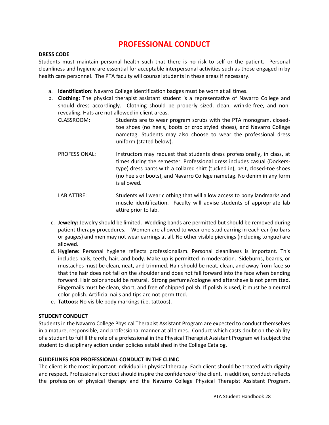# **PROFESSIONAL CONDUCT**

#### <span id="page-28-0"></span>**DRESS CODE**

Students must maintain personal health such that there is no risk to self or the patient. Personal cleanliness and hygiene are essential for acceptable interpersonal activities such as those engaged in by health care personnel. The PTA faculty will counsel students in these areas if necessary.

- a. **Identification**: Navarro College identification badges must be worn at all times.
- b. **Clothing:** The physical therapist assistant student is a representative of Navarro College and should dress accordingly. Clothing should be properly sized, clean, wrinkle-free, and nonrevealing. Hats are not allowed in client areas.
	- CLASSROOM: Students are to wear program scrubs with the PTA monogram, closedtoe shoes (no heels, boots or croc styled shoes), and Navarro College nametag. Students may also choose to wear the professional dress uniform (stated below).
	- PROFESSIONAL: Instructors may request that students dress professionally, in class, at times during the semester. Professional dress includes casual (Dockerstype) dress pants with a collared shirt (tucked in), belt, closed-toe shoes (no heels or boots), and Navarro College nametag. No denim in any form is allowed.
	- LAB ATTIRE: Students will wear clothing that will allow access to bony landmarks and muscle identification. Faculty will advise students of appropriate lab attire prior to lab.
- c. **Jewelry:** Jewelry should be limited. Wedding bands are permitted but should be removed during patient therapy procedures. Women are allowed to wear one stud earring in each ear (no bars or gauges) and men may not wear earrings at all. No other visible piercings (including tongue) are allowed.
- d. **Hygiene:** Personal hygiene reflects professionalism. Personal cleanliness is important. This includes nails, teeth, hair, and body. Make-up is permitted in moderation. Sideburns, beards, or mustaches must be clean, neat, and trimmed. Hair should be neat, clean, and away from face so that the hair does not fall on the shoulder and does not fall forward into the face when bending forward. Hair color should be natural. Strong perfume/cologne and aftershave is not permitted. Fingernails must be clean, short, and free of chipped polish. If polish is used, it must be a neutral color polish. Artificial nails and tips are not permitted.
- e. **Tattoos:** No visible body markings (i.e. tattoos).

#### <span id="page-28-1"></span>**STUDENT CONDUCT**

Students in the Navarro College Physical Therapist Assistant Program are expected to conduct themselves in a mature, responsible, and professional manner at all times. Conduct which casts doubt on the ability of a student to fulfill the role of a professional in the Physical Therapist Assistant Program will subject the student to disciplinary action under policies established in the College Catalog.

#### <span id="page-28-2"></span>**GUIDELINES FOR PROFESSIONAL CONDUCT IN THE CLINIC**

The client is the most important individual in physical therapy. Each client should be treated with dignity and respect. Professional conduct should inspire the confidence of the client. In addition, conduct reflects the profession of physical therapy and the Navarro College Physical Therapist Assistant Program.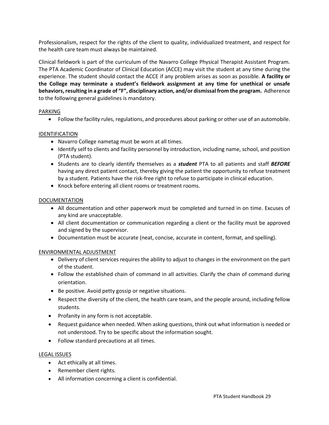Professionalism, respect for the rights of the client to quality, individualized treatment, and respect for the health care team must always be maintained.

Clinical fieldwork is part of the curriculum of the Navarro College Physical Therapist Assistant Program. The PTA Academic Coordinator of Clinical Education (ACCE) may visit the student at any time during the experience. The student should contact the ACCE if any problem arises as soon as possible. **A facility or the College may terminate a student's fieldwork assignment at any time for unethical or unsafe behaviors, resulting in a grade of "F", disciplinary action, and/or dismissal from the program.** Adherence to the following general guidelines is mandatory.

#### PARKING

• Follow the facility rules, regulations, and procedures about parking or other use of an automobile.

#### IDENTIFICATION

- Navarro College nametag must be worn at all times.
- Identify self to clients and facility personnel by introduction, including name, school, and position (PTA student).
- Students are to clearly identify themselves as a *student* PTA to all patients and staff *BEFORE*  having any direct patient contact, thereby giving the patient the opportunity to refuse treatment by a student. Patients have the risk-free right to refuse to participate in clinical education.
- Knock before entering all client rooms or treatment rooms.

#### **DOCUMENTATION**

- All documentation and other paperwork must be completed and turned in on time. Excuses of any kind are unacceptable.
- All client documentation or communication regarding a client or the facility must be approved and signed by the supervisor.
- Documentation must be accurate (neat, concise, accurate in content, format, and spelling).

#### ENVIRONMENTAL ADJUSTMENT

- Delivery of client services requires the ability to adjust to changes in the environment on the part of the student.
- Follow the established chain of command in all activities. Clarify the chain of command during orientation.
- Be positive. Avoid petty gossip or negative situations.
- Respect the diversity of the client, the health care team, and the people around, including fellow students.
- Profanity in any form is not acceptable.
- Request guidance when needed. When asking questions, think out what information is needed or not understood. Try to be specific about the information sought.
- Follow standard precautions at all times.

#### LEGAL ISSUES

- Act ethically at all times.
- Remember client rights.
- All information concerning a client is confidential.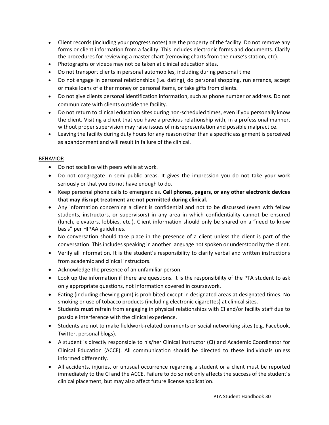- Client records (including your progress notes) are the property of the facility. Do not remove any forms or client information from a facility. This includes electronic forms and documents. Clarify the procedures for reviewing a master chart (removing charts from the nurse's station, etc).
- Photographs or videos may not be taken at clinical education sites.
- Do not transport clients in personal automobiles, including during personal time
- Do not engage in personal relationships (i.e. dating), do personal shopping, run errands, accept or make loans of either money or personal items, or take gifts from clients.
- Do not give clients personal identification information, such as phone number or address. Do not communicate with clients outside the facility.
- Do not return to clinical education sites during non-scheduled times, even if you personally know the client. Visiting a client that you have a previous relationship with, in a professional manner, without proper supervision may raise issues of misrepresentation and possible malpractice.
- Leaving the facility during duty hours for any reason other than a specific assignment is perceived as abandonment and will result in failure of the clinical.

#### **BEHAVIOR**

- Do not socialize with peers while at work.
- Do not congregate in semi-public areas. It gives the impression you do not take your work seriously or that you do not have enough to do.
- Keep personal phone calls to emergencies. **Cell phones, pagers, or any other electronic devices that may disrupt treatment are not permitted during clinical.**
- Any information concerning a client is confidential and not to be discussed (even with fellow students, instructors, or supervisors) in any area in which confidentiality cannot be ensured (lunch, elevators, lobbies, etc.). Client information should only be shared on a "need to know basis" per HIPAA guidelines.
- No conversation should take place in the presence of a client unless the client is part of the conversation. This includes speaking in another language not spoken or understood by the client.
- Verify all information. It is the student's responsibility to clarify verbal and written instructions from academic and clinical instructors.
- Acknowledge the presence of an unfamiliar person.
- Look up the information if there are questions. It is the responsibility of the PTA student to ask only appropriate questions, not information covered in coursework.
- Eating (including chewing gum) is prohibited except in designated areas at designated times. No smoking or use of tobacco products (including electronic cigarettes) at clinical sites.
- Students **must** refrain from engaging in physical relationships with CI and/or facility staff due to possible interference with the clinical experience.
- Students are not to make fieldwork-related comments on social networking sites (e.g. Facebook, Twitter, personal blogs).
- A student is directly responsible to his/her Clinical Instructor (CI) and Academic Coordinator for Clinical Education (ACCE). All communication should be directed to these individuals unless informed differently.
- All accidents, injuries, or unusual occurrence regarding a student or a client must be reported immediately to the CI and the ACCE. Failure to do so not only affects the success of the student's clinical placement, but may also affect future license application.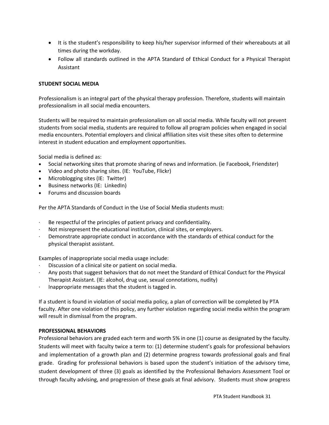- It is the student's responsibility to keep his/her supervisor informed of their whereabouts at all times during the workday.
- Follow all standards outlined in the APTA Standard of Ethical Conduct for a Physical Therapist Assistant

#### <span id="page-31-0"></span>**STUDENT SOCIAL MEDIA**

Professionalism is an integral part of the physical therapy profession. Therefore, students will maintain professionalism in all social media encounters.

Students will be required to maintain professionalism on all social media. While faculty will not prevent students from social media, students are required to follow all program policies when engaged in social media encounters. Potential employers and clinical affiliation sites visit these sites often to determine interest in student education and employment opportunities.

Social media is defined as:

- Social networking sites that promote sharing of news and information. (ie Facebook, Friendster)
- Video and photo sharing sites. (IE: YouTube, Flickr)
- Microblogging sites (IE: Twitter)
- Business networks (IE: LinkedIn)
- Forums and discussion boards

Per the APTA Standards of Conduct in the Use of Social Media students must:

- Be respectful of the principles of patient privacy and confidentiality.
- Not misrepresent the educational institution, clinical sites, or employers.
- Demonstrate appropriate conduct in accordance with the standards of ethical conduct for the physical therapist assistant.

Examples of inappropriate social media usage include:

- Discussion of a clinical site or patient on social media.
- · Any posts that suggest behaviors that do not meet the Standard of Ethical Conduct for the Physical Therapist Assistant. (IE: alcohol, drug use, sexual connotations, nudity)
- · Inappropriate messages that the student is tagged in.

If a student is found in violation of social media policy, a plan of correction will be completed by PTA faculty. After one violation of this policy, any further violation regarding social media within the program will result in dismissal from the program.

#### <span id="page-31-1"></span>**PROFESSIONAL BEHAVIORS**

Professional behaviors are graded each term and worth 5% in one (1) course as designated by the faculty. Students will meet with faculty twice a term to: (1) determine student's goals for professional behaviors and implementation of a growth plan and (2) determine progress towards professional goals and final grade. Grading for professional behaviors is based upon the student's initiation of the advisory time, student development of three (3) goals as identified by the Professional Behaviors Assessment Tool or through faculty advising, and progression of these goals at final advisory. Students must show progress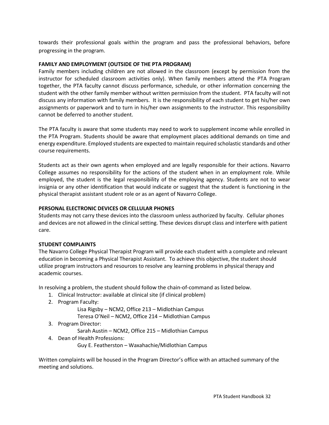towards their professional goals within the program and pass the professional behaviors, before progressing in the program.

#### <span id="page-32-0"></span>**FAMILY AND EMPLOYMENT (OUTSIDE OF THE PTA PROGRAM)**

Family members including children are not allowed in the classroom (except by permission from the instructor for scheduled classroom activities only). When family members attend the PTA Program together, the PTA faculty cannot discuss performance, schedule, or other information concerning the student with the other family member without written permission from the student. PTA faculty will not discuss any information with family members. It is the responsibility of each student to get his/her own assignments or paperwork and to turn in his/her own assignments to the instructor. This responsibility cannot be deferred to another student.

The PTA faculty is aware that some students may need to work to supplement income while enrolled in the PTA Program. Students should be aware that employment places additional demands on time and energy expenditure. Employed students are expected to maintain required scholastic standards and other course requirements.

Students act as their own agents when employed and are legally responsible for their actions. Navarro College assumes no responsibility for the actions of the student when in an employment role. While employed, the student is the legal responsibility of the employing agency. Students are not to wear insignia or any other identification that would indicate or suggest that the student is functioning in the physical therapist assistant student role or as an agent of Navarro College.

#### <span id="page-32-1"></span>**PERSONAL ELECTRONIC DEVICES OR CELLULAR PHONES**

Students may not carry these devices into the classroom unless authorized by faculty. Cellular phones and devices are not allowed in the clinical setting. These devices disrupt class and interfere with patient care.

#### <span id="page-32-2"></span>**STUDENT COMPLAINTS**

The Navarro College Physical Therapist Program will provide each student with a complete and relevant education in becoming a Physical Therapist Assistant. To achieve this objective, the student should utilize program instructors and resources to resolve any learning problems in physical therapy and academic courses.

In resolving a problem, the student should follow the chain-of-command as listed below.

- 1. Clinical Instructor: available at clinical site (if clinical problem)
- 2. Program Faculty:

Lisa Rigsby – NCM2, Office 213 – Midlothian Campus

Teresa O'Neil – NCM2, Office 214 – Midlothian Campus

3. Program Director:

Sarah Austin – NCM2, Office 215 – Midlothian Campus

4. Dean of Health Professions:

Guy E. Featherston – Waxahachie/Midlothian Campus

<span id="page-32-3"></span>Written complaints will be housed in the Program Director's office with an attached summary of the meeting and solutions.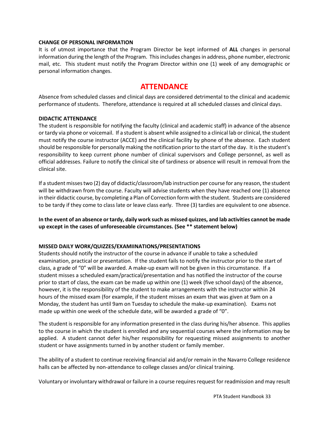#### **CHANGE OF PERSONAL INFORMATION**

It is of utmost importance that the Program Director be kept informed of **ALL** changes in personal information during the length of the Program. This includes changes in address, phone number, electronic mail, etc. This student must notify the Program Director within one (1) week of any demographic or personal information changes.

## **ATTENDANCE**

<span id="page-33-0"></span>Absence from scheduled classes and clinical days are considered detrimental to the clinical and academic performance of students. Therefore, attendance is required at all scheduled classes and clinical days.

#### <span id="page-33-1"></span>**DIDACTIC ATTENDANCE**

The student is responsible for notifying the faculty (clinical and academic staff) in advance of the absence or tardy via phone or voicemail. If a student is absent while assigned to a clinical lab or clinical, the student must notify the course instructor (ACCE) and the clinical facility by phone of the absence. Each student should be responsible for personally making the notification prior to the start of the day. It is the student's responsibility to keep current phone number of clinical supervisors and College personnel, as well as official addresses. Failure to notify the clinical site of tardiness or absence will result in removal from the clinical site.

If a student misses two (2) day of didactic/classroom/lab instruction per course for any reason, the student will be withdrawn from the course. Faculty will advise students when they have reached one (1) absence in their didactic course, by completing a Plan of Correction form with the student. Students are considered to be tardy if they come to class late or leave class early. Three (3) tardies are equivalent to one absence.

**In the event of an absence or tardy, daily work such as missed quizzes, and lab activities cannot be made up except in the cases of unforeseeable circumstances. (See \*\* statement below)**

#### <span id="page-33-2"></span>**MISSED DAILY WORK/QUIZZES/EXAMIINATIONS/PRESENTATIONS**

Students should notify the instructor of the course in advance if unable to take a scheduled examination, practical or presentation. If the student fails to notify the instructor prior to the start of class, a grade of "0" will be awarded. A make-up exam will not be given in this circumstance. If a student misses a scheduled exam/practical/presentation and has notified the instructor of the course prior to start of class, the exam can be made up within one (1) week (five school days) of the absence, however, it is the responsibility of the student to make arrangements with the instructor within 24 hours of the missed exam (for example, if the student misses an exam that was given at 9am on a Monday, the student has until 9am on Tuesday to schedule the make-up examination). Exams not made up within one week of the schedule date, will be awarded a grade of "0".

The student is responsible for any information presented in the class during his/her absence. This applies to the course in which the student is enrolled and any sequential courses where the information may be applied. A student cannot defer his/her responsibility for requesting missed assignments to another student or have assignments turned in by another student or family member.

The ability of a student to continue receiving financial aid and/or remain in the Navarro College residence halls can be affected by non-attendance to college classes and/or clinical training.

Voluntary or involuntary withdrawal or failure in a course requires request for readmission and may result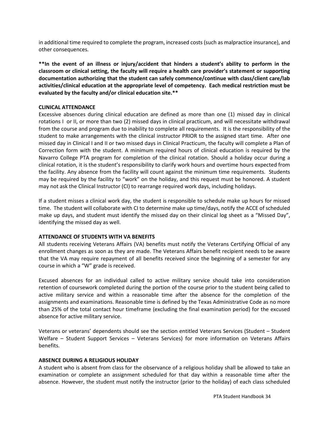in additional time required to complete the program, increased costs (such as malpractice insurance), and other consequences.

**\*\*In the event of an illness or injury/accident that hinders a student's ability to perform in the classroom or clinical setting, the faculty will require a health care provider's statement or supporting documentation authorizing that the student can safely commence/continue with class/client care/lab activities/clinical education at the appropriate level of competency. Each medical restriction must be evaluated by the faculty and/or clinical education site.\*\***

#### <span id="page-34-0"></span>**CLINICAL ATTENDANCE**

Excessive absences during clinical education are defined as more than one (1) missed day in clinical rotations I or II, or more than two (2) missed days in clinical practicum, and will necessitate withdrawal from the course and program due to inability to complete all requirements. It is the responsibility of the student to make arrangements with the clinical instructor PRIOR to the assigned start time. After one missed day in Clinical I and II or two missed days in Clinical Practicum, the faculty will complete a Plan of Correction form with the student. A minimum required hours of clinical education is required by the Navarro College PTA program for completion of the clinical rotation. Should a holiday occur during a clinical rotation, it is the student's responsibility to clarify work hours and overtime hours expected from the facility. Any absence from the facility will count against the minimum time requirements. Students may be required by the facility to "work" on the holiday, and this request must be honored. A student may not ask the Clinical Instructor (CI) to rearrange required work days, including holidays.

If a student misses a clinical work day, the student is responsible to schedule make up hours for missed time. The student will collaborate with CI to determine make up time/days, notify the ACCE of scheduled make up days, and student must identify the missed day on their clinical log sheet as a "Missed Day", identifying the missed day as well.

#### <span id="page-34-1"></span>**ATTENDANCE OF STUDENTS WITH VA BENEFITS**

All students receiving Veterans Affairs (VA) benefits must notify the Veterans Certifying Official of any enrollment changes as soon as they are made. The Veterans Affairs benefit recipient needs to be aware that the VA may require repayment of all benefits received since the beginning of a semester for any course in which a "W" grade is received.

Excused absences for an individual called to active military service should take into consideration retention of coursework completed during the portion of the course prior to the student being called to active military service and within a reasonable time after the absence for the completion of the assignments and examinations. Reasonable time is defined by the Texas Administrative Code as no more than 25% of the total contact hour timeframe (excluding the final examination period) for the excused absence for active military service.

Veterans or veterans' dependents should see the section entitled Veterans Services (Student – Student Welfare – Student Support Services – Veterans Services) for more information on Veterans Affairs benefits.

#### <span id="page-34-2"></span>**ABSENCE DURING A RELIGIOUS HOLIDAY**

A student who is absent from class for the observance of a religious holiday shall be allowed to take an examination or complete an assignment scheduled for that day within a reasonable time after the absence. However, the student must notify the instructor (prior to the holiday) of each class scheduled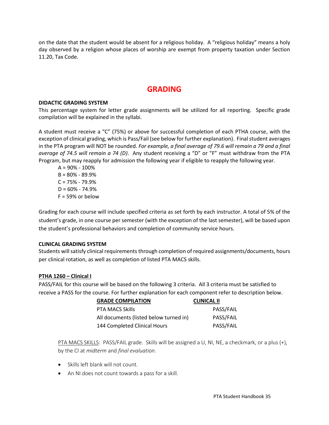on the date that the student would be absent for a religious holiday. A "religious holiday" means a holy day observed by a religion whose places of worship are exempt from property taxation under Section 11.20, Tax Code.

# **GRADING**

#### <span id="page-35-1"></span><span id="page-35-0"></span>**DIDACTIC GRADING SYSTEM**

This percentage system for letter grade assignments will be utilized for all reporting. Specific grade compilation will be explained in the syllabi.

A student must receive a "C" (75%) or above for successful completion of each PTHA course, with the exception of clinical grading, which is Pass/Fail (see below for further explanation). Final student averages in the PTA program will NOT be rounded. *For example, a final average of 79.6 will remain a 79 and a final average of 74.5 will remain a 74 (D)*. Any student receiving a "D" or "F" must withdraw from the PTA Program, but may reapply for admission the following year if eligible to reapply the following year.

 $A = 90\% - 100\%$  $B = 80\% - 89.9\%$  $C = 75\% - 79.9\%$  $D = 60\% - 74.9\%$  $F = 59\%$  or below

Grading for each course will include specified criteria as set forth by each instructor. A total of 5% of the student's grade, in one course per semester (with the exception of the last semester), will be based upon the student's professional behaviors and completion of community service hours.

#### <span id="page-35-2"></span>**CLINICAL GRADING SYSTEM**

Students will satisfy clinical requirements through completion of required assignments/documents, hours per clinical rotation, as well as completion of listed PTA MACS skills.

#### **PTHA 1260 – Clinical I**

PASS/FAIL for this course will be based on the following 3 criteria. All 3 criteria must be satisfied to receive a PASS for the course. For further explanation for each component refer to description below.

| <b>GRADE COMPILATION</b>               | <b>CLINICAL II</b> |
|----------------------------------------|--------------------|
| <b>PTA MACS Skills</b>                 | PASS/FAIL          |
| All documents (listed below turned in) | PASS/FAIL          |
| 144 Completed Clinical Hours           | PASS/FAIL          |

PTA MACS SKILLS: PASS/FAIL grade. Skills will be assigned a U, NI, NE, a checkmark, or a plus (+), by the CI at *midterm* and *final evaluation*.

- Skills left blank will not count.
- An NI does not count towards a pass for a skill.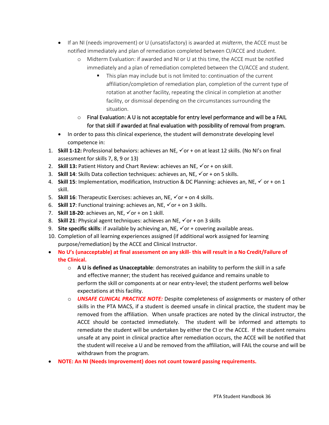- If an NI (needs improvement) or U (unsatisfactory) is awarded at *midterm*, the ACCE must be notified immediately and plan of remediation completed between CI/ACCE and student.
	- o Midterm Evaluation: if awarded and NI or U at this time, the ACCE must be notified immediately and a plan of remediation completed between the CI/ACCE and student.
		- This plan may include but is not limited to: continuation of the current affiliation/completion of remediation plan, completion of the current type of rotation at another facility, repeating the clinical in completion at another facility, or dismissal depending on the circumstances surrounding the situation.
	- $\circ$  Final Evaluation: A U is not acceptable for entry level performance and will be a FAIL for that skill if awarded at final evaluation with possibility of removal from program.
- In order to pass this clinical experience, the student will demonstrate developing level competence in:
- 1. **Skill 1-12:** Professional behaviors: achieves an NE, ✓or + on at least 12 skills. (No NI's on final assessment for skills 7, 8, 9 or 13)
- 2. **Skill 13:** Patient History and Chart Review: achieves an NE, √or + on skill.
- 3. **Skill 14**: Skills Data collection techniques: achieves an, NE, √or + on 5 skills.
- 4. **Skill 15**: Implementation, modification, Instruction & DC Planning: achieves an, NE, ✓ or + on 1 skill.
- 5. **Skill 16**: Therapeutic Exercises: achieves an, NE, √or + on 4 skills.
- 6. **Skill 17**: Functional training: achieves an, NE,  $\checkmark$  or + on 3 skills.
- 7. **Skill 18-20**: achieves an, NE,  $\checkmark$  or + on 1 skill.
- 8. **Skill 21**: Physical agent techniques: achieves an NE, √or + on 3 skills
- 9. **Site specific skills**: if available by achieving an, NE, √or + covering available areas.
- 10. Completion of all learning experiences assigned (if additional work assigned for learning purpose/remediation) by the ACCE and Clinical Instructor.
- **No U's (unacceptable) at final assessment on any skill- this will result in a No Credit/Failure of the Clinical.**
	- o **A U is defined as Unacceptable**: demonstrates an inability to perform the skill in a safe and effective manner; the student has received guidance and remains unable to perform the skill or components at or near entry-level; the student performs well below expectations at this facility.
	- o *UNSAFE CLINICAL PRACTICE NOTE:* Despite completeness of assignments or mastery of other skills in the PTA MACS, if a student is deemed unsafe in clinical practice, the student may be removed from the affiliation. When unsafe practices are noted by the clinical instructor, the ACCE should be contacted immediately. The student will be informed and attempts to remediate the student will be undertaken by either the CI or the ACCE. If the student remains unsafe at any point in clinical practice after remediation occurs, the ACCE will be notified that the student will receive a U and be removed from the affiliation, will FAIL the course and will be withdrawn from the program.
- **NOTE: An NI (Needs Improvement) does not count toward passing requirements.**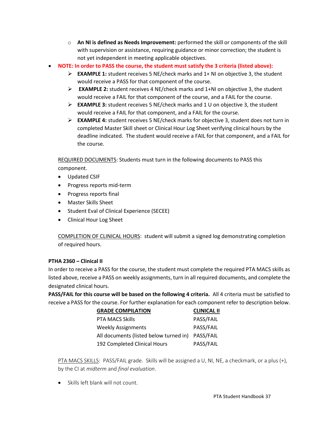- o **An NI is defined as Needs Improvement:** performed the skill or components of the skill with supervision or assistance, requiring guidance or minor correction; the student is not yet independent in meeting applicable objectives.
- **NOTE: In order to PASS the course, the student must satisfy the 3 criteria (listed above):**
	- ➢ **EXAMPLE 1:** student receives 5 NE/check marks and 1+ NI on objective 3, the student would receive a PASS for that component of the course.
	- ➢ **EXAMPLE 2:** student receives 4 NE/check marks and 1+NI on objective 3, the student would receive a FAIL for that component of the course, and a FAIL for the course.
	- ➢ **EXAMPLE 3:** student receives 5 NE/check marks and 1 U on objective 3, the student would receive a FAIL for that component, and a FAIL for the course.
	- ➢ **EXAMPLE 4:** student receives 5 NE/check marks for objective 3, student does not turn in completed Master Skill sheet or Clinical Hour Log Sheet verifying clinical hours by the deadline indicated. The student would receive a FAIL for that component, and a FAIL for the course.

REQUIRED DOCUMENTS: Students must turn in the following documents to PASS this component.

- Updated CSIF
- Progress reports mid-term
- Progress reports final
- Master Skills Sheet
- Student Eval of Clinical Experience (SECEE)
- Clinical Hour Log Sheet

COMPLETION OF CLINICAL HOURS: student will submit a signed log demonstrating completion of required hours.

# **PTHA 2360 – Clinical II**

In order to receive a PASS for the course, the student must complete the required PTA MACS skills as listed above, receive a PASS on weekly assignments, turn in all required documents, and complete the designated clinical hours.

**PASS/FAIL for this course will be based on the following 4 criteria.** All 4 criteria must be satisfied to receive a PASS for the course. For further explanation for each component refer to description below.

| <b>GRADE COMPILATION</b>               | <b>CLINICAL II</b> |
|----------------------------------------|--------------------|
| <b>PTA MACS Skills</b>                 | PASS/FAIL          |
| <b>Weekly Assignments</b>              | PASS/FAIL          |
| All documents (listed below turned in) | <b>PASS/FAIL</b>   |
| 192 Completed Clinical Hours           | PASS/FAIL          |

PTA MACS SKILLS: PASS/FAIL grade. Skills will be assigned a U, NI, NE, a checkmark, or a plus (+), by the CI at *midterm* and *final evaluation*.

• Skills left blank will not count.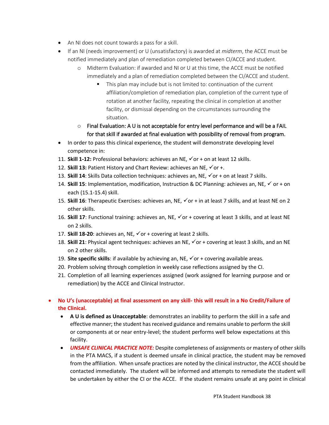- An NI does not count towards a pass for a skill.
- If an NI (needs improvement) or U (unsatisfactory) is awarded at *midterm*, the ACCE must be notified immediately and plan of remediation completed between CI/ACCE and student.
	- o Midterm Evaluation: if awarded and NI or U at this time, the ACCE must be notified immediately and a plan of remediation completed between the CI/ACCE and student.
		- This plan may include but is not limited to: continuation of the current affiliation/completion of remediation plan, completion of the current type of rotation at another facility, repeating the clinical in completion at another facility, or dismissal depending on the circumstances surrounding the situation.
	- $\circ$  Final Evaluation: A U is not acceptable for entry level performance and will be a FAIL for that skill if awarded at final evaluation with possibility of removal from program.
- In order to pass this clinical experience, the student will demonstrate developing level competence in:
- 11. **Skill 1-12:** Professional behaviors: achieves an NE, √or + on at least 12 skills.
- 12. **Skill 13:** Patient History and Chart Review: achieves an NE, √or +.
- 13. **Skill 14**: Skills Data collection techniques: achieves an, NE, ✓or + on at least 7 skills.
- 14. **Skill 15**: Implementation, modification, Instruction & DC Planning: achieves an, NE, ✓ or + on each (15.1-15.4) skill.
- 15. **Skill 16**: Therapeutic Exercises: achieves an, NE, ✓or + in at least 7 skills, and at least NE on 2 other skills.
- 16. **Skill 17**: Functional training: achieves an, NE, ✓or + covering at least 3 skills, and at least NE on 2 skills.
- 17. **Skill 18-20**: achieves an, NE, √or + covering at least 2 skills.
- 18. **Skill 21**: Physical agent techniques: achieves an NE, ✓or + covering at least 3 skills, and an NE on 2 other skills.
- 19. **Site specific skills**: if available by achieving an, NE, ✓or + covering available areas.
- 20. Problem solving through completion in weekly case reflections assigned by the CI.
- 21. Completion of all learning experiences assigned (work assigned for learning purpose and or remediation) by the ACCE and Clinical Instructor.
- **No U's (unacceptable) at final assessment on any skill- this will result in a No Credit/Failure of the Clinical.**
	- **A U is defined as Unacceptable**: demonstrates an inability to perform the skill in a safe and effective manner; the student has received guidance and remains unable to perform the skill or components at or near entry-level; the student performs well below expectations at this facility.
	- *UNSAFE CLINICAL PRACTICE NOTE:* Despite completeness of assignments or mastery of other skills in the PTA MACS, if a student is deemed unsafe in clinical practice, the student may be removed from the affiliation. When unsafe practices are noted by the clinical instructor, the ACCE should be contacted immediately. The student will be informed and attempts to remediate the student will be undertaken by either the CI or the ACCE. If the student remains unsafe at any point in clinical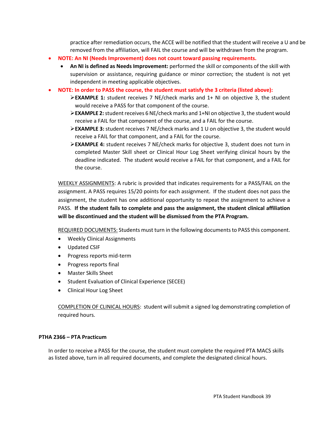practice after remediation occurs, the ACCE will be notified that the student will receive a U and be removed from the affiliation, will FAIL the course and will be withdrawn from the program.

- **NOTE: An NI (Needs Improvement) does not count toward passing requirements.**
	- **An NI is defined as Needs Improvement:** performed the skill or components of the skill with supervision or assistance, requiring guidance or minor correction; the student is not yet independent in meeting applicable objectives.
- **NOTE: In order to PASS the course, the student must satisfy the 3 criteria (listed above):**
	- ➢**EXAMPLE 1:** student receives 7 NE/check marks and 1+ NI on objective 3, the student would receive a PASS for that component of the course.
	- ➢**EXAMPLE 2:** student receives 6 NE/check marks and 1+NI on objective 3, the student would receive a FAIL for that component of the course, and a FAIL for the course.
	- ➢**EXAMPLE 3:** student receives 7 NE/check marks and 1 U on objective 3, the student would receive a FAIL for that component, and a FAIL for the course.
	- ➢**EXAMPLE 4:** student receives 7 NE/check marks for objective 3, student does not turn in completed Master Skill sheet or Clinical Hour Log Sheet verifying clinical hours by the deadline indicated. The student would receive a FAIL for that component, and a FAIL for the course.

WEEKLY ASSIGNMENTS: A rubric is provided that indicates requirements for a PASS/FAIL on the assignment. A PASS requires 15/20 points for each assignment. If the student does not pass the assignment, the student has one additional opportunity to repeat the assignment to achieve a PASS. **If the student fails to complete and pass the assignment, the student clinical affiliation will be discontinued and the student will be dismissed from the PTA Program.**

REQUIRED DOCUMENTS: Students must turn in the following documents to PASS this component.

- Weekly Clinical Assignments
- Updated CSIF
- Progress reports mid-term
- Progress reports final
- Master Skills Sheet
- Student Evaluation of Clinical Experience (SECEE)
- Clinical Hour Log Sheet

COMPLETION OF CLINICAL HOURS: student will submit a signed log demonstrating completion of required hours.

## **PTHA 2366 – PTA Practicum**

In order to receive a PASS for the course, the student must complete the required PTA MACS skills as listed above, turn in all required documents, and complete the designated clinical hours.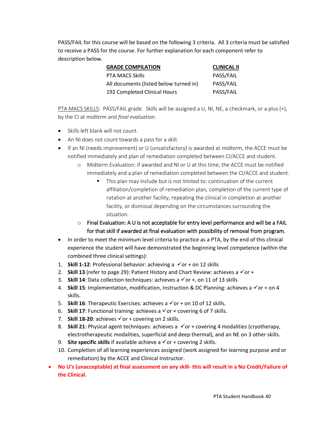PASS/FAIL for this course will be based on the following 3 criteria. All 3 criteria must be satisfied to receive a PASS for the course. For further explanation for each component refer to description below.

| <b>GRADE COMPILATION</b>               | <b>CLINICAL II</b> |
|----------------------------------------|--------------------|
| <b>PTA MACS Skills</b>                 | PASS/FAIL          |
| All documents (listed below turned in) | PASS/FAIL          |
| 192 Completed Clinical Hours           | PASS/FAIL          |

PTA MACS SKILLS: PASS/FAIL grade. Skills will be assigned a U, NI, NE, a checkmark, or a plus (+), by the CI at *midterm* and *final evaluation*.

- Skills left blank will not count.
- An NI does not count towards a pass for a skill.
- If an NI (needs improvement) or U (unsatisfactory) is awarded at *midterm*, the ACCE must be notified immediately and plan of remediation completed between CI/ACCE and student.
	- o Midterm Evaluation: if awarded and NI or U at this time, the ACCE must be notified immediately and a plan of remediation completed between the CI/ACCE and student.
		- This plan may include but is not limited to: continuation of the current affiliation/completion of remediation plan, completion of the current type of rotation at another facility, repeating the clinical in completion at another facility, or dismissal depending on the circumstances surrounding the situation.
	- $\circ$  Final Evaluation: A U is not acceptable for entry level performance and will be a FAIL for that skill if awarded at final evaluation with possibility of removal from program.
- In order to meet the minimum level criteria to practice as a PTA, by the end of this clinical experience the student will have demonstrated the beginning level competence (within the combined three clinical settings):
- 1. **Skill 1-12**: Professional behavior: achieving a  $\checkmark$  or + on 12 skills
- 2. **Skill 13** (refer to page 29): Patient History and Chart Review: achieves a  $\checkmark$  or +
- 3. **Skill 14**: Data collection techniques: achieves a ✓or +, on 11 of 13 skills
- 4. **Skill 15**: Implementation, modification, Instruction & DC Planning: achieves a ✓or + on 4 skills.
- 5. **Skill 16**: Therapeutic Exercises: achieves a √or + on 10 of 12 skills.
- 6. **Skill 17**: Functional training: achieves a  $\checkmark$  or + covering 6 of 7 skills.
- 7. **Skill 18-20**: achieves  $\checkmark$  or + covering on 2 skills.
- 8. **Skill 21**: Physical agent techniques: achieves a √or + covering 4 modalities (cryotherapy, electrotherapeutic modalities, superficial and deep thermal), and an NE on 3 other skills.
- 9. **Site specific skills** if available achieve a √or + covering 2 skills.
- 10. Completion of all learning experiences assigned (work assigned for learning purpose and or remediation) by the ACCE and Clinical Instructor.
- **No U's (unacceptable) at final assessment on any skill- this will result in a No Credit/Failure of the Clinical.**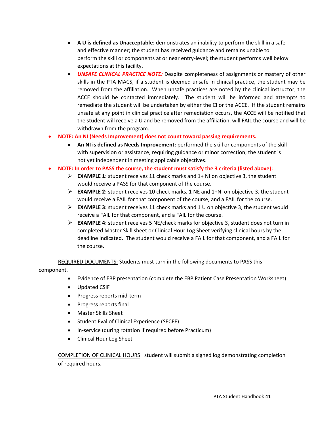- **A U is defined as Unacceptable**: demonstrates an inability to perform the skill in a safe and effective manner; the student has received guidance and remains unable to perform the skill or components at or near entry-level; the student performs well below expectations at this facility.
- *UNSAFE CLINICAL PRACTICE NOTE:* Despite completeness of assignments or mastery of other skills in the PTA MACS, if a student is deemed unsafe in clinical practice, the student may be removed from the affiliation. When unsafe practices are noted by the clinical instructor, the ACCE should be contacted immediately. The student will be informed and attempts to remediate the student will be undertaken by either the CI or the ACCE. If the student remains unsafe at any point in clinical practice after remediation occurs, the ACCE will be notified that the student will receive a U and be removed from the affiliation, will FAIL the course and will be withdrawn from the program.
- **NOTE: An NI (Needs Improvement) does not count toward passing requirements.**
	- **An NI is defined as Needs Improvement:** performed the skill or components of the skill with supervision or assistance, requiring guidance or minor correction; the student is not yet independent in meeting applicable objectives.
- **NOTE: In order to PASS the course, the student must satisfy the 3 criteria (listed above):**
	- ➢ **EXAMPLE 1:** student receives 11 check marks and 1+ NI on objective 3, the student would receive a PASS for that component of the course.
	- ➢ **EXAMPLE 2:** student receives 10 check marks, 1 NE and 1+NI on objective 3, the student would receive a FAIL for that component of the course, and a FAIL for the course.
	- ➢ **EXAMPLE 3:** student receives 11 check marks and 1 U on objective 3, the student would receive a FAIL for that component, and a FAIL for the course.
	- ➢ **EXAMPLE 4:** student receives 5 NE/check marks for objective 3, student does not turn in completed Master Skill sheet or Clinical Hour Log Sheet verifying clinical hours by the deadline indicated. The student would receive a FAIL for that component, and a FAIL for the course.

REQUIRED DOCUMENTS: Students must turn in the following documents to PASS this component.

- Evidence of EBP presentation (complete the EBP Patient Case Presentation Worksheet)
- Updated CSIF
- Progress reports mid-term
- Progress reports final
- Master Skills Sheet
- Student Eval of Clinical Experience (SECEE)
- In-service (during rotation if required before Practicum)
- Clinical Hour Log Sheet

COMPLETION OF CLINICAL HOURS: student will submit a signed log demonstrating completion of required hours.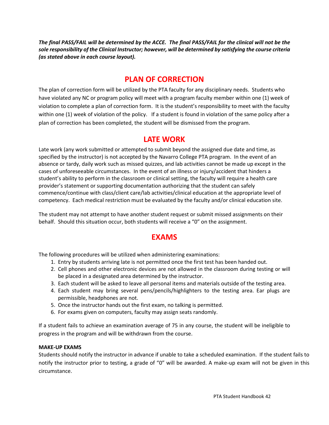*The final PASS/FAIL will be determined by the ACCE. The final PASS/FAIL for the clinical will not be the sole responsibility of the Clinical Instructor; however, will be determined by satisfying the course criteria (as stated above in each course layout).* 

# **PLAN OF CORRECTION**

The plan of correction form will be utilized by the PTA faculty for any disciplinary needs. Students who have violated any NC or program policy will meet with a program faculty member within one (1) week of violation to complete a plan of correction form. It is the student's responsibility to meet with the faculty within one (1) week of violation of the policy. If a student is found in violation of the same policy after a plan of correction has been completed, the student will be dismissed from the program.

# **LATE WORK**

Late work (any work submitted or attempted to submit beyond the assigned due date and time, as specified by the instructor) is not accepted by the Navarro College PTA program. In the event of an absence or tardy, daily work such as missed quizzes, and lab activities cannot be made up except in the cases of unforeseeable circumstances. In the event of an illness or injury/accident that hinders a student's ability to perform in the classroom or clinical setting, the faculty will require a health care provider's statement or supporting documentation authorizing that the student can safely commence/continue with class/client care/lab activities/clinical education at the appropriate level of competency. Each medical restriction must be evaluated by the faculty and/or clinical education site.

The student may not attempt to have another student request or submit missed assignments on their behalf. Should this situation occur, both students will receive a "0" on the assignment.

# **EXAMS**

The following procedures will be utilized when administering examinations:

- 1. Entry by students arriving late is not permitted once the first test has been handed out.
- 2. Cell phones and other electronic devices are not allowed in the classroom during testing or will be placed in a designated area determined by the instructor.
- 3. Each student will be asked to leave all personal items and materials outside of the testing area.
- 4. Each student may bring several pens/pencils/highlighters to the testing area. Ear plugs are permissible, headphones are not.
- 5. Once the instructor hands out the first exam, no talking is permitted.
- 6. For exams given on computers, faculty may assign seats randomly.

If a student fails to achieve an examination average of 75 in any course, the student will be ineligible to progress in the program and will be withdrawn from the course.

## **MAKE-UP EXAMS**

Students should notify the instructor in advance if unable to take a scheduled examination. If the student fails to notify the instructor prior to testing, a grade of "0" will be awarded. A make-up exam will not be given in this circumstance.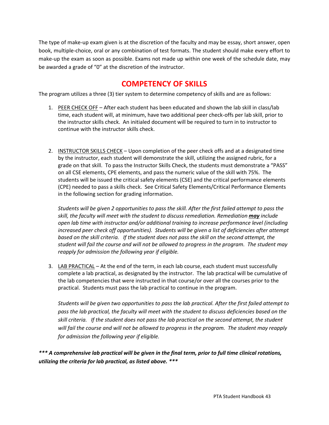The type of make-up exam given is at the discretion of the faculty and may be essay, short answer, open book, multiple-choice, oral or any combination of test formats. The student should make every effort to make-up the exam as soon as possible. Exams not made up within one week of the schedule date, may be awarded a grade of "0" at the discretion of the instructor.

# **COMPETENCY OF SKILLS**

The program utilizes a three (3) tier system to determine competency of skills and are as follows:

- 1. PEER CHECK OFF After each student has been educated and shown the lab skill in class/lab time, each student will, at minimum, have two additional peer check-offs per lab skill, prior to the instructor skills check. An initialed document will be required to turn in to instructor to continue with the instructor skills check.
- 2. INSTRUCTOR SKILLS CHECK Upon completion of the peer check offs and at a designated time by the instructor, each student will demonstrate the skill, utilizing the assigned rubric, for a grade on that skill. To pass the Instructor Skills Check, the students must demonstrate a "PASS" on all CSE elements, CPE elements, and pass the numeric value of the skill with 75%. The students will be issued the critical safety elements (CSE) and the critical performance elements (CPE) needed to pass a skills check. See Critical Safety Elements/Critical Performance Elements in the following section for grading information.

*Students will be given 2 opportunities to pass the skill. After the first failed attempt to pass the skill, the faculty will meet with the student to discuss remediation. Remediation may include open lab time with instructor and/or additional training to increase performance level (including increased peer check off opportunities). Students will be given a list of deficiencies after attempt*  based on the skill criteria. If the student does not pass the skill on the second attempt, the *student will fail the course and will not be allowed to progress in the program. The student may reapply for admission the following year if eligible.*

3. LAB PRACTICAL – At the end of the term, in each lab course, each student must successfully complete a lab practical, as designated by the instructor. The lab practical will be cumulative of the lab competencies that were instructed in that course/or over all the courses prior to the practical. Students must pass the lab practical to continue in the program.

*Students will be given two opportunities to pass the lab practical. After the first failed attempt to pass the lab practical, the faculty will meet with the student to discuss deficiencies based on the skill criteria. If the student does not pass the lab practical on the second attempt, the student will fail the course and will not be allowed to progress in the program. The student may reapply for admission the following year if eligible.*

# *\*\*\* A comprehensive lab practical will be given in the final term, prior to full time clinical rotations, utilizing the criteria for lab practical, as listed above. \*\*\**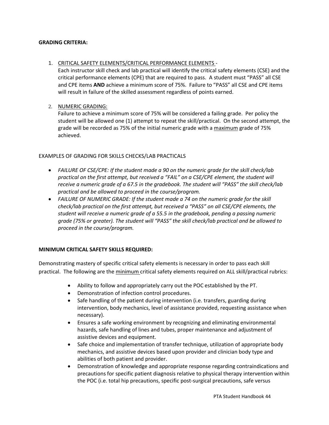## **GRADING CRITERIA:**

# 1. CRITICAL SAFETY ELEMENTS/CRITICAL PERFORMANCE ELEMENTS -

Each instructor skill check and lab practical will identify the critical safety elements (CSE) and the critical performance elements (CPE) that are required to pass. A student must "PASS" all CSE and CPE items **AND** achieve a minimum score of 75%. Failure to "PASS" all CSE and CPE items will result in failure of the skilled assessment regardless of points earned.

# 2. NUMERIC GRADING:

Failure to achieve a minimum score of 75% will be considered a failing grade. Per policy the student will be allowed one (1) attempt to repeat the skill/practical. On the second attempt, the grade will be recorded as 75% of the initial numeric grade with a maximum grade of 75% achieved.

# EXAMPLES OF GRADING FOR SKILLS CHECKS/LAB PRACTICALS

- *FAILURE OF CSE/CPE: If the student made a 90 on the numeric grade for the skill check/lab practical on the first attempt, but received a "FAIL" on a CSE/CPE element, the student will receive a numeric grade of a 67.5 in the gradebook. The student will "PASS" the skill check/lab practical and be allowed to proceed in the course/program.*
- *FAILURE OF NUMERIC GRADE: If the student made a 74 on the numeric grade for the skill check/lab practical on the first attempt, but received a "PASS" on all CSE/CPE elements, the student will receive a numeric grade of a 55.5 in the gradebook, pending a passing numeric grade (75% or greater). The student will "PASS" the skill check/lab practical and be allowed to proceed in the course/program.*

## **MINIMUM CRITICAL SAFETY SKILLS REQUIRED:**

Demonstrating mastery of specific critical safety elements is necessary in order to pass each skill practical. The following are the minimum critical safety elements required on ALL skill/practical rubrics:

- Ability to follow and appropriately carry out the POC established by the PT.
- Demonstration of infection control procedures.
- Safe handling of the patient during intervention (i.e. transfers, guarding during intervention, body mechanics, level of assistance provided, requesting assistance when necessary).
- Ensures a safe working environment by recognizing and eliminating environmental hazards, safe handling of lines and tubes, proper maintenance and adjustment of assistive devices and equipment.
- Safe choice and implementation of transfer technique, utilization of appropriate body mechanics, and assistive devices based upon provider and clinician body type and abilities of both patient and provider.
- Demonstration of knowledge and appropriate response regarding contraindications and precautions for specific patient diagnosis relative to physical therapy intervention within the POC (i.e. total hip precautions, specific post-surgical precautions, safe versus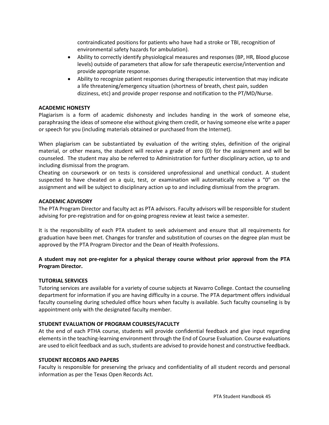contraindicated positions for patients who have had a stroke or TBI, recognition of environmental safety hazards for ambulation).

- Ability to correctly identify physiological measures and responses (BP, HR, Blood glucose levels) outside of parameters that allow for safe therapeutic exercise/intervention and provide appropriate response.
- Ability to recognize patient responses during therapeutic intervention that may indicate a life threatening/emergency situation (shortness of breath, chest pain, sudden dizziness, etc) and provide proper response and notification to the PT/MD/Nurse.

## **ACADEMIC HONESTY**

Plagiarism is a form of academic dishonesty and includes handing in the work of someone else, paraphrasing the ideas of someone else without giving them credit, or having someone else write a paper or speech for you (including materials obtained or purchased from the Internet).

When plagiarism can be substantiated by evaluation of the writing styles, definition of the original material, or other means, the student will receive a grade of zero (0) for the assignment and will be counseled. The student may also be referred to Administration for further disciplinary action, up to and including dismissal from the program.

Cheating on coursework or on tests is considered unprofessional and unethical conduct. A student suspected to have cheated on a quiz, test, or examination will automatically receive a "0" on the assignment and will be subject to disciplinary action up to and including dismissal from the program.

#### **ACADEMIC ADVISORY**

The PTA Program Director and faculty act as PTA advisors. Faculty advisors will be responsible for student advising for pre-registration and for on-going progress review at least twice a semester.

It is the responsibility of each PTA student to seek advisement and ensure that all requirements for graduation have been met. Changes for transfer and substitution of courses on the degree plan must be approved by the PTA Program Director and the Dean of Health Professions.

# **A student may not pre-register for a physical therapy course without prior approval from the PTA Program Director.**

## **TUTORIAL SERVICES**

Tutoring services are available for a variety of course subjects at Navarro College. Contact the counseling department for information if you are having difficulty in a course. The PTA department offers individual faculty counseling during scheduled office hours when faculty is available. Such faculty counseling is by appointment only with the designated faculty member.

## **STUDENT EVALUATION OF PROGRAM COURSES/FACULTY**

At the end of each PTHA course, students will provide confidential feedback and give input regarding elements in the teaching-learning environment through the End of Course Evaluation. Course evaluations are used to elicit feedback and as such, students are advised to provide honest and constructive feedback.

#### **STUDENT RECORDS AND PAPERS**

Faculty is responsible for preserving the privacy and confidentiality of all student records and personal information as per the Texas Open Records Act.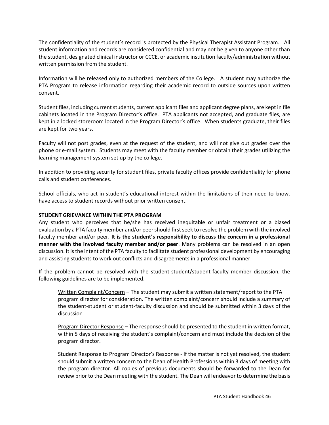The confidentiality of the student's record is protected by the Physical Therapist Assistant Program. All student information and records are considered confidential and may not be given to anyone other than the student, designated clinical instructor or CCCE, or academic institution faculty/administration without written permission from the student.

Information will be released only to authorized members of the College. A student may authorize the PTA Program to release information regarding their academic record to outside sources upon written consent.

Student files, including current students, current applicant files and applicant degree plans, are kept in file cabinets located in the Program Director's office. PTA applicants not accepted, and graduate files, are kept in a locked storeroom located in the Program Director's office. When students graduate, their files are kept for two years.

Faculty will not post grades, even at the request of the student, and will not give out grades over the phone or e-mail system. Students may meet with the faculty member or obtain their grades utilizing the learning management system set up by the college.

In addition to providing security for student files, private faculty offices provide confidentiality for phone calls and student conferences.

School officials, who act in student's educational interest within the limitations of their need to know, have access to student records without prior written consent.

## **STUDENT GRIEVANCE WITHIN THE PTA PROGRAM**

Any student who perceives that he/she has received inequitable or unfair treatment or a biased evaluation by a PTA faculty member and/or peer should first seek to resolve the problem with the involved faculty member and/or peer. **It is the student's responsibility to discuss the concern in a professional manner with the involved faculty member and/or peer**. Many problems can be resolved in an open discussion. It is the intent of the PTA faculty to facilitate student professional development by encouraging and assisting students to work out conflicts and disagreements in a professional manner.

If the problem cannot be resolved with the student-student/student-faculty member discussion, the following guidelines are to be implemented.

Written Complaint/Concern – The student may submit a written statement/report to the PTA program director for consideration. The written complaint/concern should include a summary of the student-student or student-faculty discussion and should be submitted within 3 days of the discussion

Program Director Response – The response should be presented to the student in written format, within 5 days of receiving the student's complaint/concern and must include the decision of the program director.

Student Response to Program Director's Response - If the matter is not yet resolved, the student should submit a written concern to the Dean of Health Professions within 3 days of meeting with the program director. All copies of previous documents should be forwarded to the Dean for review prior to the Dean meeting with the student. The Dean will endeavor to determine the basis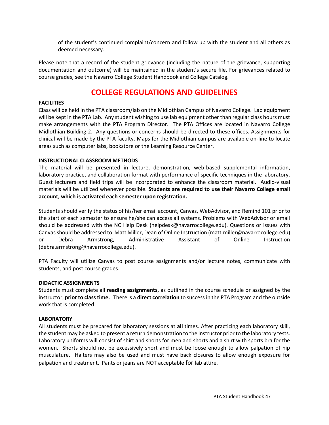of the student's continued complaint/concern and follow up with the student and all others as deemed necessary.

Please note that a record of the student grievance (including the nature of the grievance, supporting documentation and outcome) will be maintained in the student's secure file. For grievances related to course grades, see the Navarro College Student Handbook and College Catalog.

# **COLLEGE REGULATIONS AND GUIDELINES**

## **FACILITIES**

Class will be held in the PTA classroom/lab on the Midlothian Campus of Navarro College. Lab equipment will be kept in the PTA Lab. Any student wishing to use lab equipment other than regular class hours must make arrangements with the PTA Program Director. The PTA Offices are located in Navarro College Midlothian Building 2. Any questions or concerns should be directed to these offices. Assignments for clinical will be made by the PTA faculty. Maps for the Midlothian campus are available on-line to locate areas such as computer labs, bookstore or the Learning Resource Center.

## **INSTRUCTIONAL CLASSROOM METHODS**

The material will be presented in lecture, demonstration, web-based supplemental information, laboratory practice, and collaboration format with performance of specific techniques in the laboratory. Guest lecturers and field trips will be incorporated to enhance the classroom material. Audio-visual materials will be utilized whenever possible. **Students are required to use their Navarro College email account, which is activated each semester upon registration.**

Students should verify the status of his/her email account, Canvas, WebAdvisor, and Remind 101 prior to the start of each semester to ensure he/she can access all systems. Problems with WebAdvisor or email should be addressed with the NC Help Desk (helpdesk@navarrocollege.edu). Questions or issues with Canvas should be addressed to Matt Miller, Dean of Online Instruction (matt.miller@navarrocollege.edu) or Debra Armstrong, Administrative Assistant of Online Instruction (debra.armstrong@navarrocollege.edu).

PTA Faculty will utilize Canvas to post course assignments and/or lecture notes, communicate with students, and post course grades.

#### **DIDACTIC ASSIGNMENTS**

Students must complete all **reading assignments**, as outlined in the course schedule or assigned by the instructor, **prior to class time.** There is a **direct correlation** to success in the PTA Program and the outside work that is completed.

## **LABORATORY**

All students must be prepared for laboratory sessions at **all** times. After practicing each laboratory skill, the student may be asked to present a return demonstration to the instructor prior to the laboratory tests. Laboratory uniforms will consist of shirt and shorts for men and shorts and a shirt with sports bra for the women. Shorts should not be excessively short and must be loose enough to allow palpation of hip musculature. Halters may also be used and must have back closures to allow enough exposure for palpation and treatment. Pants or jeans are NOT acceptable for lab attire.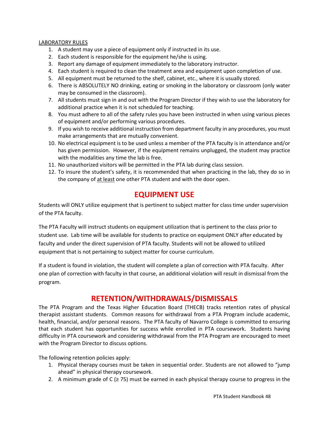## LABORATORY RULES

- 1. A student may use a piece of equipment only if instructed in its use.
- 2. Each student is responsible for the equipment he/she is using.
- 3. Report any damage of equipment immediately to the laboratory instructor.
- 4. Each student is required to clean the treatment area and equipment upon completion of use.
- 5. All equipment must be returned to the shelf, cabinet, etc., where it is usually stored.
- 6. There is ABSOLUTELY NO drinking, eating or smoking in the laboratory or classroom (only water may be consumed in the classroom).
- 7. All students must sign in and out with the Program Director if they wish to use the laboratory for additional practice when it is not scheduled for teaching.
- 8. You must adhere to all of the safety rules you have been instructed in when using various pieces of equipment and/or performing various procedures.
- 9. If you wish to receive additional instruction from department faculty in any procedures, you must make arrangements that are mutually convenient.
- 10. No electrical equipment is to be used unless a member of the PTA faculty is in attendance and/or has given permission. However, if the equipment remains unplugged, the student may practice with the modalities any time the lab is free.
- 11. No unauthorized visitors will be permitted in the PTA lab during class session.
- 12. To insure the student's safety, it is recommended that when practicing in the lab, they do so in the company of at least one other PTA student and with the door open.

# **EQUIPMENT USE**

Students will ONLY utilize equipment that is pertinent to subject matter for class time under supervision of the PTA faculty.

The PTA Faculty will instruct students on equipment utilization that is pertinent to the class prior to student use. Lab time will be available for students to practice on equipment ONLY after educated by faculty and under the direct supervision of PTA faculty. Students will not be allowed to utilized equipment that is not pertaining to subject matter for course curriculum.

If a student is found in violation, the student will complete a plan of correction with PTA faculty. After one plan of correction with faculty in that course, an additional violation will result in dismissal from the program.

# **RETENTION/WITHDRAWALS/DISMISSALS**

The PTA Program and the Texas Higher Education Board (THECB) tracks retention rates of physical therapist assistant students. Common reasons for withdrawal from a PTA Program include academic, health, financial, and/or personal reasons. The PTA faculty of Navarro College is committed to ensuring that each student has opportunities for success while enrolled in PTA coursework. Students having difficulty in PTA coursework and considering withdrawal from the PTA Program are encouraged to meet with the Program Director to discuss options.

The following retention policies apply:

- 1. Physical therapy courses must be taken in sequential order. Students are not allowed to "jump ahead" in physical therapy coursework.
- 2. A minimum grade of  $C$  ( $\geq$  75) must be earned in each physical therapy course to progress in the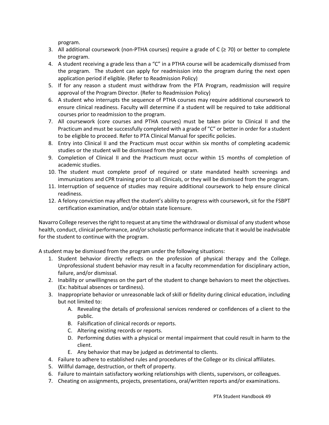program.

- 3. All additional coursework (non-PTHA courses) require a grade of  $C \geq 70$ ) or better to complete the program.
- 4. A student receiving a grade less than a "C" in a PTHA course will be academically dismissed from the program. The student can apply for readmission into the program during the next open application period if eligible. (Refer to Readmission Policy)
- 5. If for any reason a student must withdraw from the PTA Program, readmission will require approval of the Program Director. (Refer to Readmission Policy)
- 6. A student who interrupts the sequence of PTHA courses may require additional coursework to ensure clinical readiness. Faculty will determine if a student will be required to take additional courses prior to readmission to the program.
- 7. All coursework (core courses and PTHA courses) must be taken prior to Clinical II and the Practicum and must be successfully completed with a grade of "C" or better in order for a student to be eligible to proceed. Refer to PTA Clinical Manual for specific policies.
- 8. Entry into Clinical II and the Practicum must occur within six months of completing academic studies or the student will be dismissed from the program.
- 9. Completion of Clinical II and the Practicum must occur within 15 months of completion of academic studies.
- 10. The student must complete proof of required or state mandated health screenings and immunizations and CPR training prior to all Clinicals, or they will be dismissed from the program.
- 11. Interruption of sequence of studies may require additional coursework to help ensure clinical readiness.
- 12. A felony conviction may affect the student's ability to progress with coursework, sit for the FSBPT certification examination, and/or obtain state licensure.

Navarro College reserves the right to request at any time the withdrawal or dismissal of any student whose health, conduct, clinical performance, and/or scholastic performance indicate that it would be inadvisable for the student to continue with the program.

A student may be dismissed from the program under the following situations:

- 1. Student behavior directly reflects on the profession of physical therapy and the College. Unprofessional student behavior may result in a faculty recommendation for disciplinary action, failure, and/or dismissal.
- 2. Inability or unwillingness on the part of the student to change behaviors to meet the objectives. (Ex: habitual absences or tardiness).
- 3. Inappropriate behavior or unreasonable lack of skill or fidelity during clinical education, including but not limited to:
	- A. Revealing the details of professional services rendered or confidences of a client to the public.
	- B. Falsification of clinical records or reports.
	- C. Altering existing records or reports.
	- D. Performing duties with a physical or mental impairment that could result in harm to the client.
	- E. Any behavior that may be judged as detrimental to clients.
- 4. Failure to adhere to established rules and procedures of the College or its clinical affiliates.
- 5. Willful damage, destruction, or theft of property.
- 6. Failure to maintain satisfactory working relationships with clients, supervisors, or colleagues.
- 7. Cheating on assignments, projects, presentations, oral/written reports and/or examinations.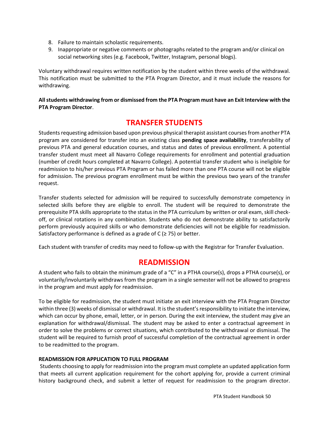- 8. Failure to maintain scholastic requirements.
- 9. Inappropriate or negative comments or photographs related to the program and/or clinical on social networking sites (e.g. Facebook, Twitter, Instagram, personal blogs).

Voluntary withdrawal requires written notification by the student within three weeks of the withdrawal. This notification must be submitted to the PTA Program Director, and it must include the reasons for withdrawing.

**All students withdrawing from or dismissed from the PTA Program must have an Exit Interview with the PTA Program Director**.

# **TRANSFER STUDENTS**

Students requesting admission based upon previous physical therapist assistant courses from another PTA program are considered for transfer into an existing class **pending space availability**, transferability of previous PTA and general education courses, and status and dates of previous enrollment. A potential transfer student must meet all Navarro College requirements for enrollment and potential graduation (number of credit hours completed at Navarro College). A potential transfer student who is ineligible for readmission to his/her previous PTA Program or has failed more than one PTA course will not be eligible for admission. The previous program enrollment must be within the previous two years of the transfer request.

Transfer students selected for admission will be required to successfully demonstrate competency in selected skills before they are eligible to enroll. The student will be required to demonstrate the prerequisite PTA skills appropriate to the status in the PTA curriculum by written or oral exam, skill checkoff, or clinical rotations in any combination. Students who do not demonstrate ability to satisfactorily perform previously acquired skills or who demonstrate deficiencies will not be eligible for readmission. Satisfactory performance is defined as a grade of  $C \geq 75$ ) or better.

Each student with transfer of credits may need to follow-up with the Registrar for Transfer Evaluation.

# **READMISSION**

A student who fails to obtain the minimum grade of a "C" in a PTHA course(s), drops a PTHA course(s), or voluntarily/involuntarily withdraws from the program in a single semester will not be allowed to progress in the program and must apply for readmission.

To be eligible for readmission, the student must initiate an exit interview with the PTA Program Director within three (3) weeks of dismissal or withdrawal. It is the student's responsibility to initiate the interview, which can occur by phone, email, letter, or in person. During the exit interview, the student may give an explanation for withdrawal/dismissal. The student may be asked to enter a contractual agreement in order to solve the problems or correct situations, which contributed to the withdrawal or dismissal. The student will be required to furnish proof of successful completion of the contractual agreement in order to be readmitted to the program.

## **READMISSION FOR APPLICATION TO FULL PROGRAM**

Students choosing to apply for readmission into the program must complete an updated application form that meets all current application requirement for the cohort applying for, provide a current criminal history background check, and submit a letter of request for readmission to the program director.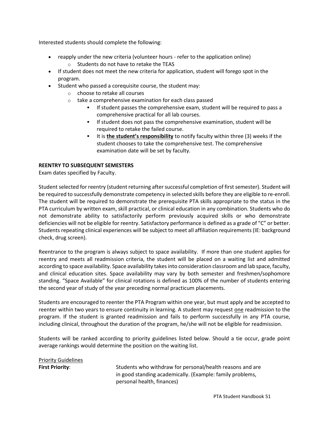Interested students should complete the following:

- reapply under the new criteria (volunteer hours refer to the application online)
	- o Students do not have to retake the TEAS
- If student does not meet the new criteria for application, student will forego spot in the program.
- Student who passed a corequisite course, the student may:
	- o choose to retake all courses
	- o take a comprehensive examination for each class passed
		- If student passes the comprehensive exam, student will be required to pass a comprehensive practical for all lab courses.
		- If student does not pass the comprehensive examination, student will be required to retake the failed course.
		- It is **the student's responsibility** to notify faculty within three (3) weeks if the student chooses to take the comprehensive test. The comprehensive examination date will be set by faculty.

## **REENTRY TO SUBSEQUENT SEMESTERS**

Exam dates specified by Faculty.

Student selected for reentry (student returning after successful completion of first semester). Student will be required to successfully demonstrate competency in selected skills before they are eligible to re-enroll. The student will be required to demonstrate the prerequisite PTA skills appropriate to the status in the PTA curriculum by written exam, skill practical, or clinical education in any combination. Students who do not demonstrate ability to satisfactorily perform previously acquired skills or who demonstrate deficiencies will not be eligible for reentry. Satisfactory performance is defined as a grade of "C" or better. Students repeating clinical experiences will be subject to meet all affiliation requirements (IE: background check, drug screen).

Reentrance to the program is always subject to space availability. If more than one student applies for reentry and meets all readmission criteria, the student will be placed on a waiting list and admitted according to space availability. Space availability takes into consideration classroom and lab space, faculty, and clinical education sites. Space availability may vary by both semester and freshmen/sophomore standing. "Space Available" for clinical rotations is defined as 100% of the number of students entering the second year of study of the year preceding normal practicum placements.

Students are encouraged to reenter the PTA Program within one year, but must apply and be accepted to reenter within two years to ensure continuity in learning. A student may request one readmission to the program. If the student is granted readmission and fails to perform successfully in any PTA course, including clinical, throughout the duration of the program, he/she will not be eligible for readmission.

Students will be ranked according to priority guidelines listed below. Should a tie occur, grade point average rankings would determine the position on the waiting list.

Priority Guidelines

**First Priority:** Students who withdraw for personal/health reasons and are in good standing academically. (Example: family problems, personal health, finances)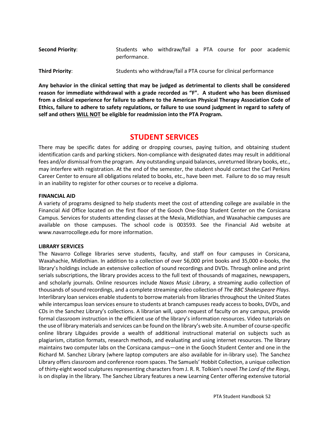| <b>Second Priority:</b> |              | Students who withdraw/fail a PTA course for poor academic |  |  |  |
|-------------------------|--------------|-----------------------------------------------------------|--|--|--|
|                         | performance. |                                                           |  |  |  |
|                         |              |                                                           |  |  |  |

**Third Priority:** Students who withdraw/fail a PTA course for clinical performance

**Any behavior in the clinical setting that may be judged as detrimental to clients shall be considered reason for immediate withdrawal with a grade recorded as "F". A student who has been dismissed from a clinical experience for failure to adhere to the American Physical Therapy Association Code of Ethics, failure to adhere to safety regulations, or failure to use sound judgment in regard to safety of self and others WILL NOT be eligible for readmission into the PTA Program.**

# **STUDENT SERVICES**

There may be specific dates for adding or dropping courses, paying tuition, and obtaining student identification cards and parking stickers. Non-compliance with designated dates may result in additional fees and/or dismissal from the program. Any outstanding unpaid balances, unreturned library books, etc., may interfere with registration. At the end of the semester, the student should contact the Carl Perkins Career Center to ensure all obligations related to books, etc., have been met. Failure to do so may result in an inability to register for other courses or to receive a diploma.

## **FINANCIAL AID**

A variety of programs designed to help students meet the cost of attending college are available in the Financial Aid Office located on the first floor of the Gooch One-Stop Student Center on the Corsicana Campus. Services for students attending classes at the Mexia, Midlothian, and Waxahachie campuses are available on those campuses. The school code is 003593. See the Financial Aid website at www.navarrocollege.edu for more information.

## **LIBRARY SERVICES**

The Navarro College libraries serve students, faculty, and staff on four campuses in Corsicana, Waxahachie, Midlothian. In addition to a collection of over 56,000 print books and 35,000 e-books, the library's holdings include an extensive collection of sound recordings and DVDs. Through online and print serials subscriptions, the library provides access to the full text of thousands of magazines, newspapers, and scholarly journals. Online resources include *Naxos Music Library*, a streaming audio collection of thousands of sound recordings, and a complete streaming video collection of *The BBC Shakespeare Plays*. Interlibrary loan services enable students to borrow materials from libraries throughout the United States while intercampus loan services ensure to students at branch campuses ready access to books, DVDs, and CDs in the Sanchez Library's collections. A librarian will, upon request of faculty on any campus, provide formal classroom instruction in the efficient use of the library's information resources. Video tutorials on the use of library materials and services can be found on the library's web site. A number of course-specific online library Libguides provide a wealth of additional instructional material on subjects such as plagiarism, citation formats, research methods, and evaluating and using internet resources. The library maintains two computer labs on the Corsicana campus—one in the Gooch Student Center and one in the Richard M. Sanchez Library (where laptop computers are also available for in-library use). The Sanchez Library offers classroom and conference room spaces. The Samuels' Hobbit Collection, a unique collection of thirty-eight wood sculptures representing characters from J. R. R. Tolkien's novel *The Lord of the Rings*, is on display in the library*.* The Sanchez Library features a new Learning Center offering extensive tutorial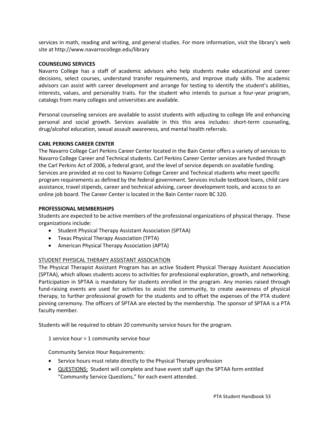services in math, reading and writing, and general studies. For more information, visit the library's web site at http://www.navarrocollege.edu/library

#### **COUNSELING SERVICES**

Navarro College has a staff of academic advisors who help students make educational and career decisions, select courses, understand transfer requirements, and improve study skills. The academic advisors can assist with career development and arrange for testing to identify the student's abilities, interests, values, and personality traits. For the student who intends to pursue a four-year program, catalogs from many colleges and universities are available.

Personal counseling services are available to assist students with adjusting to college life and enhancing personal and social growth. Services available in this this area includes: short-term counseling, drug/alcohol education, sexual assault awareness, and mental health referrals.

#### **CARL PERKINS CAREER CENTER**

The Navarro College Carl Perkins Career Center located in the Bain Center offers a variety of services to Navarro College Career and Technical students. Carl Perkins Career Center services are funded through the Carl Perkins Act of 2006, a federal grant, and the level of service depends on available funding. Services are provided at no cost to Navarro College Career and Technical students who meet specific program requirements as defined by the federal government. Services include textbook loans, child care assistance, travel stipends, career and technical advising, career development tools, and access to an online job board. The Career Center is located in the Bain Center room BC 320.

#### **PROFESSIONAL MEMBERSHIPS**

Students are expected to be active members of the professional organizations of physical therapy. These organizations include:

- Student Physical Therapy Assistant Association (SPTAA)
- Texas Physical Therapy Association (TPTA)
- American Physical Therapy Association (APTA)

## STUDENT PHYSICAL THERAPY ASSISTANT ASSOCIATION

The Physical Therapist Assistant Program has an active Student Physical Therapy Assistant Association (SPTAA), which allows students access to activities for professional exploration, growth, and networking. Participation in SPTAA is mandatory for students enrolled in the program. Any monies raised through fund-raising events are used for activities to assist the community, to create awareness of physical therapy, to further professional growth for the students and to offset the expenses of the PTA student pinning ceremony. The officers of SPTAA are elected by the membership. The sponsor of SPTAA is a PTA faculty member.

Students will be required to obtain 20 community service hours for the program.

1 service hour = 1 community service hour

Community Service Hour Requirements:

- Service hours must relate directly to the Physical Therapy profession
- QUESTIONS: Student will complete and have event staff sign the SPTAA form entitled "Community Service Questions," for each event attended.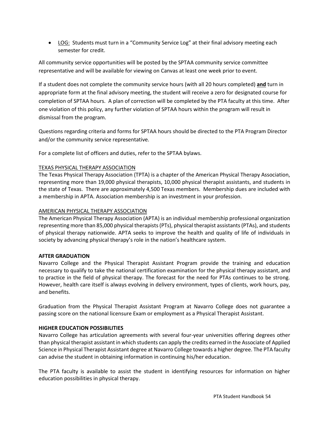• LOG: Students must turn in a "Community Service Log" at their final advisory meeting each semester for credit.

All community service opportunities will be posted by the SPTAA community service committee representative and will be available for viewing on Canvas at least one week prior to event.

If a student does not complete the community service hours (with all 20 hours completed) **and** turn in appropriate form at the final advisory meeting, the student will receive a zero for designated course for completion of SPTAA hours. A plan of correction will be completed by the PTA faculty at this time. After one violation of this policy, any further violation of SPTAA hours within the program will result in dismissal from the program.

Questions regarding criteria and forms for SPTAA hours should be directed to the PTA Program Director and/or the community service representative.

For a complete list of officers and duties, refer to the SPTAA bylaws.

# TEXAS PHYSICAL THERAPY ASSOCIATION

The Texas Physical Therapy Association (TPTA) is a chapter of the American Physical Therapy Association, representing more than 19,000 physical therapists, 10,000 physical therapist assistants, and students in the state of Texas. There are approximately 4,500 Texas members. Membership dues are included with a membership in APTA. Association membership is an investment in your profession.

# AMERICAN PHYSICAL THERAPY ASSOCIATION

The American Physical Therapy Association (APTA) is an individual membership professional organization representing more than 85,000 physical therapists (PTs), physical therapist assistants (PTAs), and students of physical therapy nationwide. APTA seeks to improve the health and quality of life of individuals in society by advancing physical therapy's role in the nation's healthcare system.

## **AFTER GRADUATION**

Navarro College and the Physical Therapist Assistant Program provide the training and education necessary to qualify to take the national certification examination for the physical therapy assistant, and to practice in the field of physical therapy. The forecast for the need for PTAs continues to be strong. However, health care itself is always evolving in delivery environment, types of clients, work hours, pay, and benefits.

Graduation from the Physical Therapist Assistant Program at Navarro College does not guarantee a passing score on the national licensure Exam or employment as a Physical Therapist Assistant.

## **HIGHER EDUCATION POSSIBILITIES**

Navarro College has articulation agreements with several four-year universities offering degrees other than physical therapist assistant in which students can apply the credits earned in the Associate of Applied Science in Physical Therapist Assistant degree at Navarro College towards a higher degree. The PTA faculty can advise the student in obtaining information in continuing his/her education.

The PTA faculty is available to assist the student in identifying resources for information on higher education possibilities in physical therapy.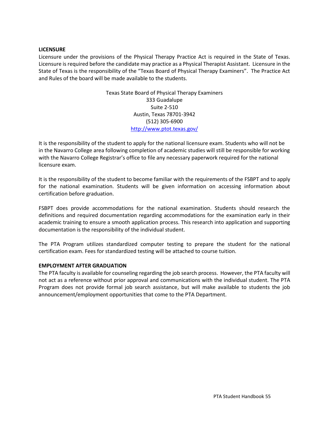#### **LICENSURE**

Licensure under the provisions of the Physical Therapy Practice Act is required in the State of Texas. Licensure is required before the candidate may practice as a Physical Therapist Assistant. Licensure in the State of Texas is the responsibility of the "Texas Board of Physical Therapy Examiners". The Practice Act and Rules of the board will be made available to the students.

> Texas State Board of Physical Therapy Examiners 333 Guadalupe Suite 2-510 Austin, Texas 78701-3942 (512) 305-6900 http://www.ptot.texas.gov/

It is the responsibility of the student to apply for the national licensure exam. Students who will not be in the Navarro College area following completion of academic studies will still be responsible for working with the Navarro College Registrar's office to file any necessary paperwork required for the national licensure exam.

It is the responsibility of the student to become familiar with the requirements of the FSBPT and to apply for the national examination. Students will be given information on accessing information about certification before graduation.

FSBPT does provide accommodations for the national examination. Students should research the definitions and required documentation regarding accommodations for the examination early in their academic training to ensure a smooth application process. This research into application and supporting documentation is the responsibility of the individual student.

The PTA Program utilizes standardized computer testing to prepare the student for the national certification exam. Fees for standardized testing will be attached to course tuition.

### **EMPLOYMENT AFTER GRADUATION**

The PTA faculty is available for counseling regarding the job search process. However, the PTA faculty will not act as a reference without prior approval and communications with the individual student. The PTA Program does not provide formal job search assistance, but will make available to students the job announcement/employment opportunities that come to the PTA Department.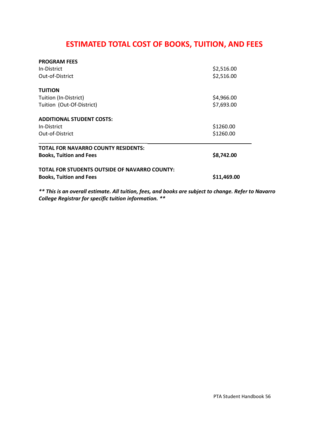# **ESTIMATED TOTAL COST OF BOOKS, TUITION, AND FEES**

| <b>TOTAL FOR STUDENTS OUTSIDE OF NAVARRO COUNTY:</b><br><b>Books, Tuition and Fees</b> | \$11,469.00 |
|----------------------------------------------------------------------------------------|-------------|
| <b>Books, Tuition and Fees</b>                                                         | \$8,742.00  |
| <b>TOTAL FOR NAVARRO COUNTY RESIDENTS:</b>                                             |             |
| Out-of-District                                                                        | \$1260.00   |
| In-District                                                                            | \$1260.00   |
| <b>ADDITIONAL STUDENT COSTS:</b>                                                       |             |
| Tuition (Out-Of-District)                                                              | \$7,693.00  |
| Tuition (In-District)                                                                  | \$4,966.00  |
| <b>TUITION</b>                                                                         |             |
| Out-of-District                                                                        | \$2,516.00  |
| In-District                                                                            | \$2,516.00  |
| <b>PROGRAM FEES</b>                                                                    |             |

*\*\* This is an overall estimate. All tuition, fees, and books are subject to change. Refer to Navarro College Registrar for specific tuition information. \*\**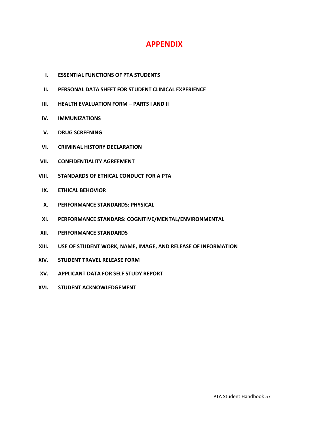# **APPENDIX**

- **I. ESSENTIAL FUNCTIONS OF PTA STUDENTS**
- **II. PERSONAL DATA SHEET FOR STUDENT CLINICAL EXPERIENCE**
- **III. HEALTH EVALUATION FORM – PARTS I AND II**
- **IV. IMMUNIZATIONS**
- **V. DRUG SCREENING**
- **VI. CRIMINAL HISTORY DECLARATION**
- **VII. CONFIDENTIALITY AGREEMENT**
- **VIII. STANDARDS OF ETHICAL CONDUCT FOR A PTA**
- **IX. ETHICAL BEHOVIOR**
- **X. PERFORMANCE STANDARDS: PHYSICAL**
- **XI. PERFORMANCE STANDARS: COGNITIVE/MENTAL/ENVIRONMENTAL**
- **XII. PERFORMANCE STANDARDS**
- **XIII. USE OF STUDENT WORK, NAME, IMAGE, AND RELEASE OF INFORMATION**
- **XIV. STUDENT TRAVEL RELEASE FORM**
- **XV. APPLICANT DATA FOR SELF STUDY REPORT**
- **XVI. STUDENT ACKNOWLEDGEMENT**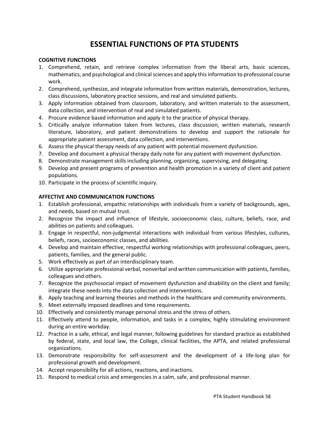# **ESSENTIAL FUNCTIONS OF PTA STUDENTS**

# **COGNITIVE FUNCTIONS**

- 1. Comprehend, retain, and retrieve complex information from the liberal arts, basic sciences, mathematics, and psychological and clinical sciences and apply this information to professional course work.
- 2. Comprehend, synthesize, and integrate information from written materials, demonstration, lectures, class discussions, laboratory practice sessions, and real and simulated patients.
- 3. Apply information obtained from classroom, laboratory, and written materials to the assessment, data collection, and intervention of real and simulated patients.
- 4. Procure evidence based information and apply it to the practice of physical therapy.
- 5. Critically analyze information taken from lectures, class discussion, written materials, research literature, laboratory, and patient demonstrations to develop and support the rationale for appropriate patient assessment, data collection, and interventions.
- 6. Assess the physical therapy needs of any patient with potential movement dysfunction.
- 7. Develop and document a physical therapy daily note for any patient with movement dysfunction.
- 8. Demonstrate management skills including planning, organizing, supervising, and delegating.
- 9. Develop and present programs of prevention and health promotion in a variety of client and patient populations.
- 10. Participate in the process of scientific inquiry.

# **AFFECTIVE AND COMMUNICATION FUNCTIONS**

- 1. Establish professional, empathic relationships with individuals from a variety of backgrounds, ages, and needs, based on mutual trust.
- 2. Recognize the impact and influence of lifestyle, socioeconomic class, culture, beliefs, race, and abilities on patients and colleagues.
- 3. Engage in respectful, non-judgmental interactions with individual from various lifestyles, cultures, beliefs, races, socioeconomic classes, and abilities.
- 4. Develop and maintain effective, respectful working relationships with professional colleagues, peers, patients, families, and the general public.
- 5. Work effectively as part of an interdisciplinary team.
- 6. Utilize appropriate professional verbal, nonverbal and written communication with patients, families, colleagues and others.
- 7. Recognize the psychosocial impact of movement dysfunction and disability on the client and family; integrate these needs into the data collection and interventions.
- 8. Apply teaching and learning theories and methods in the healthcare and community environments.
- 9. Meet externally imposed deadlines and time requirements.
- 10. Effectively and consistently manage personal stress and the stress of others.
- 11. Effectively attend to people, information, and tasks in a complex, highly stimulating environment during an entire workday.
- 12. Practice in a safe, ethical, and legal manner, following guidelines for standard practice as established by federal, state, and local law, the College, clinical facilities, the APTA, and related professional organizations.
- 13. Demonstrate responsibility for self-assessment and the development of a life-long plan for professional growth and development.
- 14. Accept responsibility for all actions, reactions, and inactions.
- 15. Respond to medical crisis and emergencies in a calm, safe, and professional manner.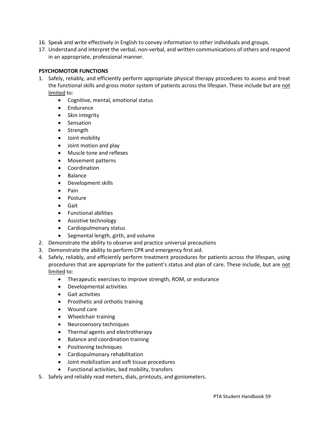- 16. Speak and write effectively in English to convey information to other individuals and groups.
- 17. Understand and interpret the verbal, non-verbal, and written communications of others and respond in an appropriate, professional manner.

## **PSYCHOMOTOR FUNCTIONS**

- 1. Safely, reliably, and efficiently perform appropriate physical therapy procedures to assess and treat the functional skills and gross motor system of patients across the lifespan. These include but are not limited to:
	- Cognitive, mental, emotional status
	- Endurance
	- Skin integrity
	- Sensation
	- Strength
	- Joint mobility
	- Joint motion and play
	- Muscle tone and reflexes
	- Movement patterns
	- Coordination
	- Balance
	- Development skills
	- Pain
	- Posture
	- Gait
	- Functional abilities
	- Assistive technology
	- Cardiopulmonary status
	- Segmental length, girth, and volume
- 2. Demonstrate the ability to observe and practice universal precautions
- 3. Demonstrate the ability to perform CPR and emergency first aid.
- 4. Safely, reliably, and efficiently perform treatment procedures for patients across the lifespan, using procedures that are appropriate for the patient's status and plan of care. These include, but are not limited to:
	- Therapeutic exercises to improve strength, ROM, or endurance
	- Developmental activities
	- Gait activities
	- Prosthetic and orthotic training
	- Wound care
	- Wheelchair training
	- Neurosensory techniques
	- Thermal agents and electrotherapy
	- Balance and coordination training
	- Positioning techniques
	- Cardiopulmonary rehabilitation
	- Joint mobilization and soft tissue procedures
	- Functional activities, bed mobility, transfers
- 5. Safely and reliably read meters, dials, printouts, and goniometers.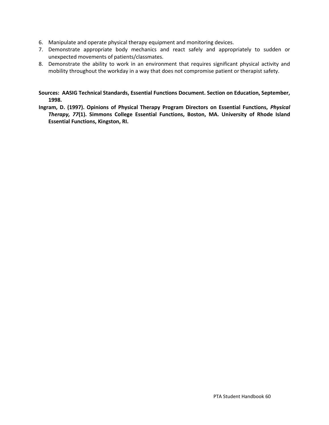- 6. Manipulate and operate physical therapy equipment and monitoring devices.
- 7. Demonstrate appropriate body mechanics and react safely and appropriately to sudden or unexpected movements of patients/classmates.
- 8. Demonstrate the ability to work in an environment that requires significant physical activity and mobility throughout the workday in a way that does not compromise patient or therapist safety.

## **Sources: AASIG Technical Standards, Essential Functions Document. Section on Education, September, 1998.**

**Ingram, D. (1997). Opinions of Physical Therapy Program Directors on Essential Functions,** *Physical Therapy, 77***(1). Simmons College Essential Functions, Boston, MA. University of Rhode Island Essential Functions, Kingston, RI.**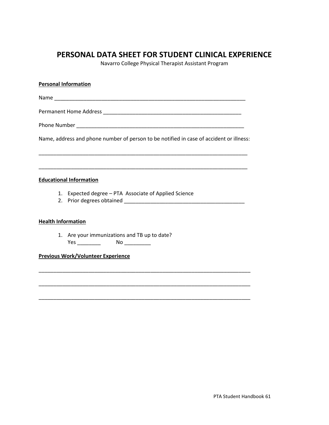# **PERSONAL DATA SHEET FOR STUDENT CLINICAL EXPERIENCE**

Navarro College Physical Therapist Assistant Program

| <b>Personal Information</b> |                                                                                                                       |
|-----------------------------|-----------------------------------------------------------------------------------------------------------------------|
|                             |                                                                                                                       |
|                             |                                                                                                                       |
|                             |                                                                                                                       |
|                             | Name, address and phone number of person to be notified in case of accident or illness:                               |
|                             | <u> 1989 - Johann Harry Harry Harry Harry Harry Harry Harry Harry Harry Harry Harry Harry Harry Harry Harry Harry</u> |
|                             |                                                                                                                       |
|                             | <b>Educational Information</b>                                                                                        |
|                             | 1. Expected degree - PTA Associate of Applied Science                                                                 |
| <b>Health Information</b>   |                                                                                                                       |
|                             | 1. Are your immunizations and TB up to date?                                                                          |
|                             | <b>Previous Work/Volunteer Experience</b>                                                                             |
|                             |                                                                                                                       |
|                             |                                                                                                                       |
|                             |                                                                                                                       |

\_\_\_\_\_\_\_\_\_\_\_\_\_\_\_\_\_\_\_\_\_\_\_\_\_\_\_\_\_\_\_\_\_\_\_\_\_\_\_\_\_\_\_\_\_\_\_\_\_\_\_\_\_\_\_\_\_\_\_\_\_\_\_\_\_\_\_\_\_\_\_\_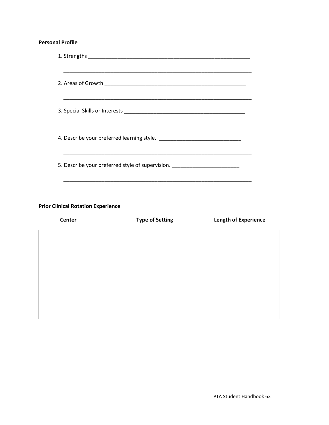# **Personal Profile**

| 5. Describe your preferred style of supervision. _______________________________ |
|----------------------------------------------------------------------------------|
|                                                                                  |

# **Prior Clinical Rotation Experience**

| <b>Center</b> | <b>Type of Setting</b> | <b>Length of Experience</b> |
|---------------|------------------------|-----------------------------|
|               |                        |                             |
|               |                        |                             |
|               |                        |                             |
|               |                        |                             |
|               |                        |                             |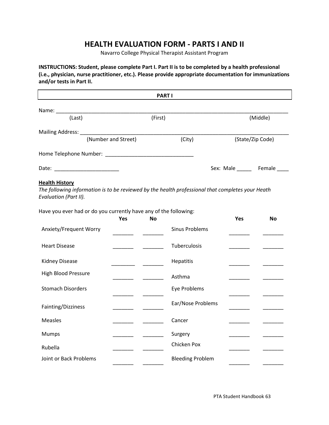# **HEALTH EVALUATION FORM - PARTS I AND II**

Navarro College Physical Therapist Assistant Program

**INSTRUCTIONS: Student, please complete Part I. Part II is to be completed by a health professional (i.e., physician, nurse practitioner, etc.). Please provide appropriate documentation for immunizations and/or tests in Part II.**

| <b>PART I</b>                                                                                                             |                                                   |           |                         |            |                  |
|---------------------------------------------------------------------------------------------------------------------------|---------------------------------------------------|-----------|-------------------------|------------|------------------|
| (Last)                                                                                                                    |                                                   | (First)   |                         |            | (Middle)         |
|                                                                                                                           |                                                   |           |                         |            |                  |
|                                                                                                                           | (Number and Street)                               |           |                         |            |                  |
|                                                                                                                           |                                                   |           | (City)                  |            | (State/Zip Code) |
|                                                                                                                           |                                                   |           |                         |            |                  |
| Date: ___________________________                                                                                         |                                                   |           |                         |            | Sex: Male Female |
| <b>Health History</b>                                                                                                     |                                                   |           |                         |            |                  |
| The following information is to be reviewed by the health professional that completes your Heath<br>Evaluation (Part II). |                                                   |           |                         |            |                  |
| Have you ever had or do you currently have any of the following:                                                          | <b>Yes</b>                                        | <b>No</b> |                         | <b>Yes</b> | No               |
| Anxiety/Frequent Worry                                                                                                    |                                                   |           | <b>Sinus Problems</b>   |            |                  |
| <b>Heart Disease</b>                                                                                                      |                                                   |           | Tuberculosis            |            |                  |
| <b>Kidney Disease</b>                                                                                                     | $\frac{1}{2}$ and $\frac{1}{2}$ and $\frac{1}{2}$ |           | Hepatitis               |            |                  |
| High Blood Pressure                                                                                                       |                                                   |           | Asthma                  |            |                  |
| <b>Stomach Disorders</b>                                                                                                  |                                                   |           | Eye Problems            |            |                  |
| Fainting/Dizziness                                                                                                        |                                                   |           | Ear/Nose Problems       |            |                  |
| Measles                                                                                                                   |                                                   |           | Cancer                  |            |                  |
| Mumps                                                                                                                     | $\overline{\phantom{a}}$                          |           | Surgery                 |            |                  |
| Rubella                                                                                                                   |                                                   |           | Chicken Pox             |            |                  |
| Joint or Back Problems                                                                                                    |                                                   |           | <b>Bleeding Problem</b> |            |                  |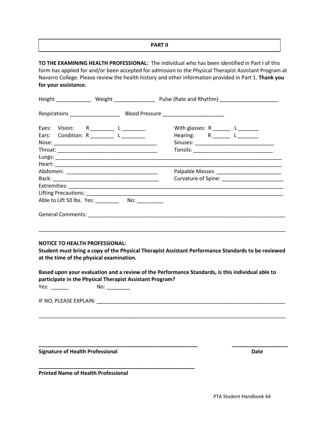|                                                                                                                                                                            | <b>PART II</b>                                                                                                                                                                                                                                                                                                    |
|----------------------------------------------------------------------------------------------------------------------------------------------------------------------------|-------------------------------------------------------------------------------------------------------------------------------------------------------------------------------------------------------------------------------------------------------------------------------------------------------------------|
| for your assistance.                                                                                                                                                       | TO THE EXAMINING HEALTH PROFESSIONAL: The individual who has been identified in Part I of this<br>form has applied for and/or been accepted for admission to the Physical Therapist Assistant Program at<br>Navarro College. Please review the health history and other information provided in Part 1. Thank you |
|                                                                                                                                                                            | Height _______________ Weight __________________ Pulse (Rate and Rhythm) __________________________                                                                                                                                                                                                               |
|                                                                                                                                                                            |                                                                                                                                                                                                                                                                                                                   |
| Eyes: Vision: R ________ L ________<br>Ears: Condition: R ________ L ________                                                                                              | With glasses: R ___________ L _________                                                                                                                                                                                                                                                                           |
|                                                                                                                                                                            |                                                                                                                                                                                                                                                                                                                   |
|                                                                                                                                                                            |                                                                                                                                                                                                                                                                                                                   |
|                                                                                                                                                                            |                                                                                                                                                                                                                                                                                                                   |
|                                                                                                                                                                            |                                                                                                                                                                                                                                                                                                                   |
|                                                                                                                                                                            |                                                                                                                                                                                                                                                                                                                   |
| <b>NOTICE TO HEALTH PROFESSIONAL:</b><br>at the time of the physical examination.<br>participate in the Physical Therapist Assistant Program?<br>Yes: $\frac{1}{1}$<br>No: | Student must bring a copy of the Physical Therapist Assistant Performance Standards to be reviewed<br>Based upon your evaluation and a review of the Performance Standards, is this individual able to                                                                                                            |
|                                                                                                                                                                            |                                                                                                                                                                                                                                                                                                                   |
|                                                                                                                                                                            |                                                                                                                                                                                                                                                                                                                   |
| <b>Signature of Health Professional</b>                                                                                                                                    | <b>Date</b>                                                                                                                                                                                                                                                                                                       |
|                                                                                                                                                                            |                                                                                                                                                                                                                                                                                                                   |

**Printed Name of Health Professional**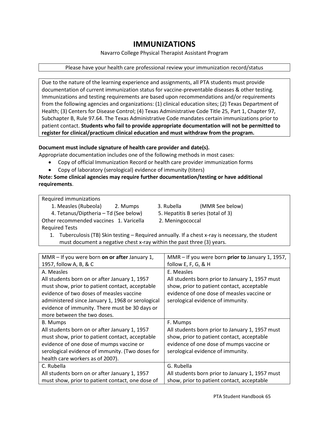# **IMMUNIZATIONS**

Navarro College Physical Therapist Assistant Program

# Please have your health care professional review your immunization record/status

Due to the nature of the learning experience and assignments, all PTA students must provide documentation of current immunization status for vaccine-preventable diseases & other testing. Immunizations and testing requirements are based upon recommendations and/or requirements from the following agencies and organizations: (1) clinical education sites; (2) Texas Department of Health; (3) Centers for Disease Control; (4) Texas Administrative Code Title 25, Part 1, Chapter 97, Subchapter B, Rule 97.64. The Texas Administrative Code mandates certain immunizations prior to patient contact. **Students who fail to provide appropriate documentation will not be permitted to register for clinical/practicum clinical education and must withdraw from the program.**

# **Document must include signature of health care provider and date(s).**

Appropriate documentation includes one of the following methods in most cases:

- Copy of official Immunization Record or health care provider immunization forms
- Copy of laboratory (serological) evidence of immunity (titers)

**Note: Some clinical agencies may require further documentation/testing or have additional requirements**.

Required immunizations

4. Tetanus/Diptheria – Td (See below) 5. Hepatitis B series (total of 3) Other recommended vaccines 1. Varicella 2. Meningococcal

- 1. Measles (Rubeola) 2. Mumps 3. Rubella (MMR See below)
	-
	-

Required Tests

1. Tuberculosis (TB) Skin testing – Required annually. If a chest x-ray is necessary, the student must document a negative chest x-ray within the past three (3) years.

| MMR - If you were born on or after January 1,     | MMR - If you were born prior to January 1, 1957, |
|---------------------------------------------------|--------------------------------------------------|
| 1957, follow A, B, & C                            | follow E, F, G, & H                              |
| A. Measles                                        | E. Measles                                       |
| All students born on or after January 1, 1957     | All students born prior to January 1, 1957 must  |
| must show, prior to patient contact, acceptable   | show, prior to patient contact, acceptable       |
| evidence of two doses of measles vaccine          | evidence of one dose of measles vaccine or       |
| administered since January 1, 1968 or serological | serological evidence of immunity.                |
| evidence of immunity. There must be 30 days or    |                                                  |
| more between the two doses.                       |                                                  |
| B. Mumps                                          | F. Mumps                                         |
|                                                   |                                                  |
| All students born on or after January 1, 1957     | All students born prior to January 1, 1957 must  |
| must show, prior to patient contact, acceptable   | show, prior to patient contact, acceptable       |
| evidence of one dose of mumps vaccine or          | evidence of one dose of mumps vaccine or         |
| serological evidence of immunity. (Two doses for  | serological evidence of immunity.                |
| health care workers as of 2007).                  |                                                  |
| C. Rubella                                        | G. Rubella                                       |
| All students born on or after January 1, 1957     | All students born prior to January 1, 1957 must  |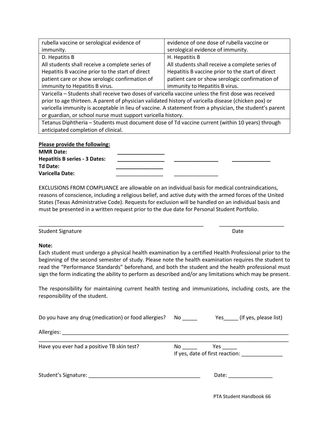| rubella vaccine or serological evidence of                                                              | evidence of one dose of rubella vaccine or       |  |  |
|---------------------------------------------------------------------------------------------------------|--------------------------------------------------|--|--|
| immunity.                                                                                               | serological evidence of immunity.                |  |  |
| D. Hepatitis B                                                                                          | H. Hepatitis B                                   |  |  |
| All students shall receive a complete series of                                                         | All students shall receive a complete series of  |  |  |
| Hepatitis B vaccine prior to the start of direct                                                        | Hepatitis B vaccine prior to the start of direct |  |  |
| patient care or show serologic confirmation of                                                          | patient care or show serologic confirmation of   |  |  |
| immunity to Hepatitis B virus.                                                                          | immunity to Hepatitis B virus.                   |  |  |
| Varicella - Students shall receive two doses of varicella vaccine unless the first dose was received    |                                                  |  |  |
| prior to age thirteen. A parent of physician validated history of varicella disease (chicken pox) or    |                                                  |  |  |
| varicella immunity is acceptable in lieu of vaccine. A statement from a physician, the student's parent |                                                  |  |  |
| or guardian, or school nurse must support varicella history.                                            |                                                  |  |  |
| Tetanus Diphtheria - Students must document dose of Td vaccine current (within 10 years) through        |                                                  |  |  |
| anticipated completion of clinical.                                                                     |                                                  |  |  |
|                                                                                                         |                                                  |  |  |

| Please provide the following:        |  |  |
|--------------------------------------|--|--|
| <b>MMR Date:</b>                     |  |  |
| <b>Hepatitis B series - 3 Dates:</b> |  |  |
| <b>Td Date:</b>                      |  |  |
| <b>Varicella Date:</b>               |  |  |

EXCLUSIONS FROM COMPLIANCE are allowable on an individual basis for medical contraindications, reasons of conscience, including a religious belief, and active duty with the armed forces of the United States (Texas Administrative Code). Requests for exclusion will be handled on an individual basis and must be presented in a written request prior to the due date for Personal Student Portfolio.

\_\_\_\_\_\_\_\_\_\_\_\_\_\_\_\_\_\_\_\_\_\_\_\_\_\_\_\_\_\_\_\_\_\_\_\_\_\_\_\_\_\_\_\_\_\_\_\_\_\_\_\_\_\_\_\_ \_\_\_\_\_\_\_\_\_\_\_\_\_\_\_\_\_\_\_\_\_\_

| <b>Student Signature</b> | Date |  |
|--------------------------|------|--|
|                          |      |  |

#### **Note:**

Each student must undergo a physical health examination by a certified Health Professional prior to the beginning of the second semester of study. Please note the health examination requires the student to read the "Performance Standards" beforehand, and both the student and the health professional must sign the form indicating the ability to perform as described and/or any limitations which may be present.

The responsibility for maintaining current health testing and immunizations, including costs, are the responsibility of the student.

| Do you have any drug (medication) or food allergies? | No the set of the set of the set of the set of the set of the set of the set of the set of the set of the set o                                                                                                                |  | Yes (If yes, please list) |  |
|------------------------------------------------------|--------------------------------------------------------------------------------------------------------------------------------------------------------------------------------------------------------------------------------|--|---------------------------|--|
| Allergies: Allergies:                                |                                                                                                                                                                                                                                |  |                           |  |
| Have you ever had a positive TB skin test?           | No l<br>If yes, date of first reaction:                                                                                                                                                                                        |  |                           |  |
| Student's Signature: The Student's Signature:        | Date: the control of the control of the control of the control of the control of the control of the control of the control of the control of the control of the control of the control of the control of the control of the co |  |                           |  |

PTA Student Handbook 66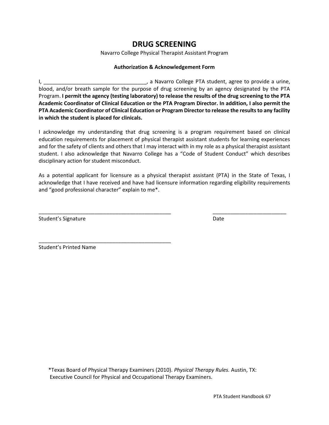# **DRUG SCREENING**

Navarro College Physical Therapist Assistant Program

## **Authorization & Acknowledgement Form**

I, \_\_\_\_\_\_\_\_\_\_\_\_\_\_\_\_\_\_\_\_\_\_\_\_\_\_\_\_\_\_\_\_\_\_\_, a Navarro College PTA student, agree to provide a urine, blood, and/or breath sample for the purpose of drug screening by an agency designated by the PTA Program. **I permit the agency (testing laboratory) to release the results of the drug screening to the PTA Academic Coordinator of Clinical Education or the PTA Program Director. In addition, I also permit the PTA Academic Coordinator of Clinical Education or Program Director to release the results to any facility in which the student is placed for clinicals.**

I acknowledge my understanding that drug screening is a program requirement based on clinical education requirements for placement of physical therapist assistant students for learning experiences and for the safety of clients and others that I may interact with in my role as a physical therapist assistant student. I also acknowledge that Navarro College has a "Code of Student Conduct" which describes disciplinary action for student misconduct.

As a potential applicant for licensure as a physical therapist assistant (PTA) in the State of Texas, I acknowledge that I have received and have had licensure information regarding eligibility requirements and "good professional character" explain to me\*.

\_\_\_\_\_\_\_\_\_\_\_\_\_\_\_\_\_\_\_\_\_\_\_\_\_\_\_\_\_\_\_\_\_\_\_\_\_\_\_\_\_\_\_\_\_ \_\_\_\_\_\_\_\_\_\_\_\_\_\_\_\_\_\_\_\_\_\_\_\_\_

Student's Signature Date Date Controller and Date Date Date

\_\_\_\_\_\_\_\_\_\_\_\_\_\_\_\_\_\_\_\_\_\_\_\_\_\_\_\_\_\_\_\_\_\_\_\_\_\_\_\_\_\_\_\_\_ Student's Printed Name

\*Texas Board of Physical Therapy Examiners (2010). *Physical Therapy Rules.* Austin, TX: Executive Council for Physical and Occupational Therapy Examiners.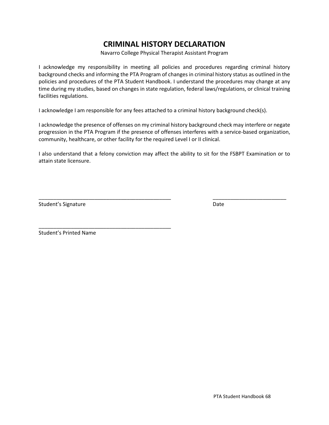# **CRIMINAL HISTORY DECLARATION**

Navarro College Physical Therapist Assistant Program

I acknowledge my responsibility in meeting all policies and procedures regarding criminal history background checks and informing the PTA Program of changes in criminal history status as outlined in the policies and procedures of the PTA Student Handbook. I understand the procedures may change at any time during my studies, based on changes in state regulation, federal laws/regulations, or clinical training facilities regulations.

I acknowledge I am responsible for any fees attached to a criminal history background check(s).

I acknowledge the presence of offenses on my criminal history background check may interfere or negate progression in the PTA Program if the presence of offenses interferes with a service-based organization, community, healthcare, or other facility for the required Level I or II clinical.

I also understand that a felony conviction may affect the ability to sit for the FSBPT Examination or to attain state licensure.

\_\_\_\_\_\_\_\_\_\_\_\_\_\_\_\_\_\_\_\_\_\_\_\_\_\_\_\_\_\_\_\_\_\_\_\_\_\_\_\_\_\_\_\_\_ \_\_\_\_\_\_\_\_\_\_\_\_\_\_\_\_\_\_\_\_\_\_\_\_\_

Student's Signature Date Date Date Date

Student's Printed Name

\_\_\_\_\_\_\_\_\_\_\_\_\_\_\_\_\_\_\_\_\_\_\_\_\_\_\_\_\_\_\_\_\_\_\_\_\_\_\_\_\_\_\_\_\_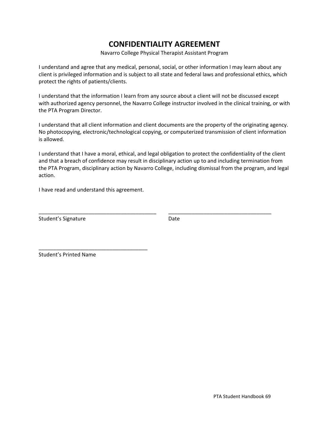# **CONFIDENTIALITY AGREEMENT**

Navarro College Physical Therapist Assistant Program

I understand and agree that any medical, personal, social, or other information I may learn about any client is privileged information and is subject to all state and federal laws and professional ethics, which protect the rights of patients/clients.

I understand that the information I learn from any source about a client will not be discussed except with authorized agency personnel, the Navarro College instructor involved in the clinical training, or with the PTA Program Director.

I understand that all client information and client documents are the property of the originating agency. No photocopying, electronic/technological copying, or computerized transmission of client information is allowed.

I understand that I have a moral, ethical, and legal obligation to protect the confidentiality of the client and that a breach of confidence may result in disciplinary action up to and including termination from the PTA Program, disciplinary action by Navarro College, including dismissal from the program, and legal action.

\_\_\_\_\_\_\_\_\_\_\_\_\_\_\_\_\_\_\_\_\_\_\_\_\_\_\_\_\_\_\_\_\_\_\_\_\_\_\_\_ \_\_\_\_\_\_\_\_\_\_\_\_\_\_\_\_\_\_\_\_\_\_\_\_\_\_\_\_\_\_\_\_\_\_\_

I have read and understand this agreement.

\_\_\_\_\_\_\_\_\_\_\_\_\_\_\_\_\_\_\_\_\_\_\_\_\_\_\_\_\_\_\_\_\_\_\_\_\_

Student's Signature Date

Student's Printed Name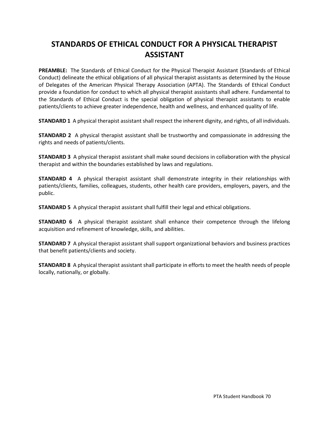# **STANDARDS OF ETHICAL CONDUCT FOR A PHYSICAL THERAPIST ASSISTANT**

**PREAMBLE:** The Standards of Ethical Conduct for the Physical Therapist Assistant (Standards of Ethical Conduct) delineate the ethical obligations of all physical therapist assistants as determined by the House of Delegates of the American Physical Therapy Association (APTA). The Standards of Ethical Conduct provide a foundation for conduct to which all physical therapist assistants shall adhere. Fundamental to the Standards of Ethical Conduct is the special obligation of physical therapist assistants to enable patients/clients to achieve greater independence, health and wellness, and enhanced quality of life.

**STANDARD 1** A physical therapist assistant shall respect the inherent dignity, and rights, of all individuals.

**STANDARD 2** A physical therapist assistant shall be trustworthy and compassionate in addressing the rights and needs of patients/clients.

**STANDARD 3** A physical therapist assistant shall make sound decisions in collaboration with the physical therapist and within the boundaries established by laws and regulations.

**STANDARD 4** A physical therapist assistant shall demonstrate integrity in their relationships with patients/clients, families, colleagues, students, other health care providers, employers, payers, and the public.

**STANDARD 5** A physical therapist assistant shall fulfill their legal and ethical obligations.

**STANDARD 6** A physical therapist assistant shall enhance their competence through the lifelong acquisition and refinement of knowledge, skills, and abilities.

**STANDARD 7** A physical therapist assistant shall support organizational behaviors and business practices that benefit patients/clients and society.

**STANDARD 8** A physical therapist assistant shall participate in efforts to meet the health needs of people locally, nationally, or globally.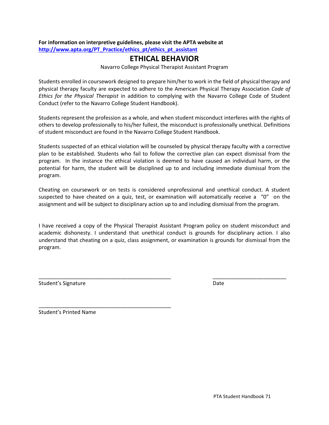**For information on interpretive guidelines, please visit the APTA website at [http://www.apta.org/PT\\_Practice/ethics\\_pt/ethics\\_pt\\_assistant](http://www.apta.org/PT_Practice/ethics_pt/ethics_pt_assistant)**

# **ETHICAL BEHAVIOR**

Navarro College Physical Therapist Assistant Program

Students enrolled in coursework designed to prepare him/her to work in the field of physical therapy and physical therapy faculty are expected to adhere to the American Physical Therapy Association *Code of Ethics for the Physical Therapist* in addition to complying with the Navarro College Code of Student Conduct (refer to the Navarro College Student Handbook).

Students represent the profession as a whole, and when student misconduct interferes with the rights of others to develop professionally to his/her fullest, the misconduct is professionally unethical. Definitions of student misconduct are found in the Navarro College Student Handbook.

Students suspected of an ethical violation will be counseled by physical therapy faculty with a corrective plan to be established. Students who fail to follow the corrective plan can expect dismissal from the program. In the instance the ethical violation is deemed to have caused an individual harm, or the potential for harm, the student will be disciplined up to and including immediate dismissal from the program.

Cheating on coursework or on tests is considered unprofessional and unethical conduct. A student suspected to have cheated on a quiz, test, or examination will automatically receive a "0" on the assignment and will be subject to disciplinary action up to and including dismissal from the program.

I have received a copy of the Physical Therapist Assistant Program policy on student misconduct and academic dishonesty. I understand that unethical conduct is grounds for disciplinary action. I also understand that cheating on a quiz, class assignment, or examination is grounds for dismissal from the program.

\_\_\_\_\_\_\_\_\_\_\_\_\_\_\_\_\_\_\_\_\_\_\_\_\_\_\_\_\_\_\_\_\_\_\_\_\_\_\_\_\_\_\_\_\_ \_\_\_\_\_\_\_\_\_\_\_\_\_\_\_\_\_\_\_\_\_\_\_\_\_

Student's Signature Date Date Date Date

Student's Printed Name

\_\_\_\_\_\_\_\_\_\_\_\_\_\_\_\_\_\_\_\_\_\_\_\_\_\_\_\_\_\_\_\_\_\_\_\_\_\_\_\_\_\_\_\_\_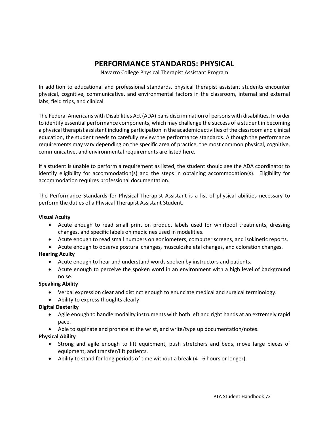# **PERFORMANCE STANDARDS: PHYSICAL**

Navarro College Physical Therapist Assistant Program

In addition to educational and professional standards, physical therapist assistant students encounter physical, cognitive, communicative, and environmental factors in the classroom, internal and external labs, field trips, and clinical.

The Federal Americans with Disabilities Act (ADA) bans discrimination of persons with disabilities. In order to identify essential performance components, which may challenge the success of a student in becoming a physical therapist assistant including participation in the academic activities of the classroom and clinical education, the student needs to carefully review the performance standards. Although the performance requirements may vary depending on the specific area of practice, the most common physical, cognitive, communicative, and environmental requirements are listed here.

If a student is unable to perform a requirement as listed, the student should see the ADA coordinator to identify eligibility for accommodation(s) and the steps in obtaining accommodation(s). Eligibility for accommodation requires professional documentation.

The Performance Standards for Physical Therapist Assistant is a list of physical abilities necessary to perform the duties of a Physical Therapist Assistant Student.

#### **Visual Acuity**

- Acute enough to read small print on product labels used for whirlpool treatments, dressing changes, and specific labels on medicines used in modalities.
- Acute enough to read small numbers on goniometers, computer screens, and isokinetic reports.
- Acute enough to observe postural changes, musculoskeletal changes, and coloration changes.

#### **Hearing Acuity**

- Acute enough to hear and understand words spoken by instructors and patients.
- Acute enough to perceive the spoken word in an environment with a high level of background noise.

#### **Speaking Ability**

- Verbal expression clear and distinct enough to enunciate medical and surgical terminology.
- Ability to express thoughts clearly

#### **Digital Dexterity**

- Agile enough to handle modality instruments with both left and right hands at an extremely rapid pace.
- Able to supinate and pronate at the wrist, and write/type up documentation/notes.

#### **Physical Ability**

- Strong and agile enough to lift equipment, push stretchers and beds, move large pieces of equipment, and transfer/lift patients.
- Ability to stand for long periods of time without a break (4 6 hours or longer).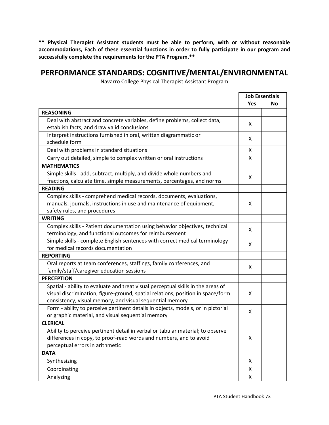**\*\* Physical Therapist Assistant students must be able to perform, with or without reasonable accommodations, Each of these essential functions in order to fully participate in our program and successfully complete the requirements for the PTA Program.\*\***

## **PERFORMANCE STANDARDS: COGNITIVE/MENTAL/ENVIRONMENTAL**

Navarro College Physical Therapist Assistant Program

|                                                                                  | <b>Job Essentials</b> |    |
|----------------------------------------------------------------------------------|-----------------------|----|
|                                                                                  | <b>Yes</b>            | No |
| <b>REASONING</b>                                                                 |                       |    |
| Deal with abstract and concrete variables, define problems, collect data,        |                       |    |
| establish facts, and draw valid conclusions                                      | X                     |    |
| Interpret instructions furnished in oral, written diagrammatic or                |                       |    |
| schedule form                                                                    | X                     |    |
| Deal with problems in standard situations                                        | X                     |    |
| Carry out detailed, simple to complex written or oral instructions               | x                     |    |
| <b>MATHEMATICS</b>                                                               |                       |    |
| Simple skills - add, subtract, multiply, and divide whole numbers and            |                       |    |
| fractions, calculate time, simple measurements, percentages, and norms           | X                     |    |
| <b>READING</b>                                                                   |                       |    |
| Complex skills - comprehend medical records, documents, evaluations,             |                       |    |
| manuals, journals, instructions in use and maintenance of equipment,             | X                     |    |
| safety rules, and procedures                                                     |                       |    |
| <b>WRITING</b>                                                                   |                       |    |
| Complex skills - Patient documentation using behavior objectives, technical      | X                     |    |
| terminology, and functional outcomes for reimbursement                           |                       |    |
| Simple skills - complete English sentences with correct medical terminology      | X                     |    |
| for medical records documentation                                                |                       |    |
| <b>REPORTING</b>                                                                 |                       |    |
| Oral reports at team conferences, staffings, family conferences, and             | X                     |    |
| family/staff/caregiver education sessions                                        |                       |    |
| <b>PERCEPTION</b>                                                                |                       |    |
| Spatial - ability to evaluate and treat visual perceptual skills in the areas of |                       |    |
| visual discrimination, figure-ground, spatial relations, position in space/form  | X                     |    |
| consistency, visual memory, and visual sequential memory                         |                       |    |
| Form - ability to perceive pertinent details in objects, models, or in pictorial | X                     |    |
| or graphic material, and visual sequential memory                                |                       |    |
| <b>CLERICAL</b>                                                                  |                       |    |
| Ability to perceive pertinent detail in verbal or tabular material; to observe   |                       |    |
| differences in copy, to proof-read words and numbers, and to avoid               | X                     |    |
| perceptual errors in arithmetic                                                  |                       |    |
| <b>DATA</b>                                                                      |                       |    |
| Synthesizing                                                                     | X                     |    |
| Coordinating                                                                     | Χ                     |    |
| Analyzing                                                                        | Χ                     |    |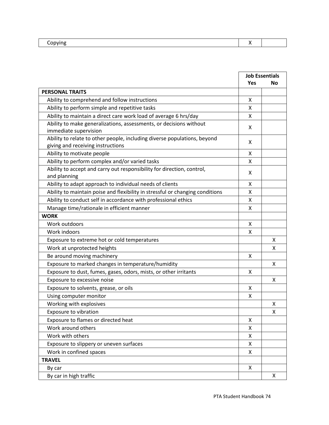| Copying |  | Χ |
|---------|--|---|
|---------|--|---|

|                                                                                                               | <b>Job Essentials</b> |           |
|---------------------------------------------------------------------------------------------------------------|-----------------------|-----------|
|                                                                                                               | <b>Yes</b>            | <b>No</b> |
| <b>PERSONAL TRAITS</b>                                                                                        |                       |           |
| Ability to comprehend and follow instructions                                                                 | X                     |           |
| Ability to perform simple and repetitive tasks                                                                | Χ                     |           |
| Ability to maintain a direct care work load of average 6 hrs/day                                              | X                     |           |
| Ability to make generalizations, assessments, or decisions without<br>immediate supervision                   | X                     |           |
| Ability to relate to other people, including diverse populations, beyond<br>giving and receiving instructions | X                     |           |
| Ability to motivate people                                                                                    | X                     |           |
| Ability to perform complex and/or varied tasks                                                                | X                     |           |
| Ability to accept and carry out responsibility for direction, control,<br>and planning                        | X                     |           |
| Ability to adapt approach to individual needs of clients                                                      | X                     |           |
| Ability to maintain poise and flexibility in stressful or changing conditions                                 | X                     |           |
| Ability to conduct self in accordance with professional ethics                                                | Χ                     |           |
| Manage time/rationale in efficient manner                                                                     | X                     |           |
| <b>WORK</b>                                                                                                   |                       |           |
| Work outdoors                                                                                                 | X                     |           |
| Work indoors                                                                                                  | X                     |           |
| Exposure to extreme hot or cold temperatures                                                                  |                       | X         |
| Work at unprotected heights                                                                                   |                       | X         |
| Be around moving machinery                                                                                    | X                     |           |
| Exposure to marked changes in temperature/humidity                                                            |                       | X         |
| Exposure to dust, fumes, gases, odors, mists, or other irritants                                              |                       |           |
| Exposure to excessive noise                                                                                   |                       | X         |
| Exposure to solvents, grease, or oils                                                                         | Χ                     |           |
| Using computer monitor                                                                                        | Χ                     |           |
| Working with explosives                                                                                       |                       | X         |
| Exposure to vibration                                                                                         |                       | Χ         |
| Exposure to flames or directed heat                                                                           |                       |           |
| Work around others                                                                                            |                       |           |
| Work with others                                                                                              |                       |           |
| Exposure to slippery or uneven surfaces                                                                       | X                     |           |
| Work in confined spaces                                                                                       | X                     |           |
| <b>TRAVEL</b>                                                                                                 |                       |           |
| By car                                                                                                        | X                     |           |
| By car in high traffic                                                                                        |                       | X         |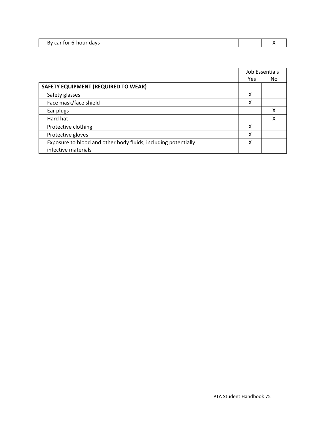| .<br>B٧<br>.<br>$\cdot$ |  |  |
|-------------------------|--|--|
|                         |  |  |

|                                                                                       |     | Job Essentials |  |
|---------------------------------------------------------------------------------------|-----|----------------|--|
|                                                                                       | Yes | No             |  |
| SAFETY EQUIPMENT (REQUIRED TO WEAR)                                                   |     |                |  |
| Safety glasses                                                                        | x   |                |  |
| Face mask/face shield                                                                 | X   |                |  |
| Ear plugs                                                                             |     |                |  |
| Hard hat                                                                              |     | x              |  |
| Protective clothing                                                                   | х   |                |  |
| Protective gloves                                                                     | x   |                |  |
| Exposure to blood and other body fluids, including potentially<br>infective materials | х   |                |  |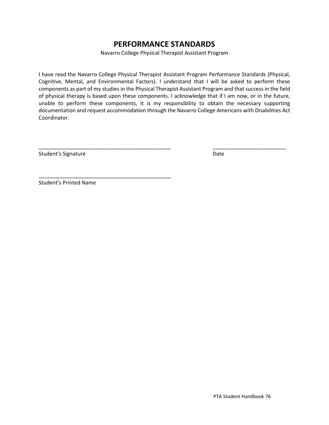### **PERFORMANCE STANDARDS**

Navarro College Physical Therapist Assistant Program

I have read the Navarro College Physical Therapist Assistant Program Performance Standards (Physical, Cognitive, Mental, and Environmental Factors). I understand that I will be asked to perform these components as part of my studies in the Physical Therapist Assistant Program and that success in the field of physical therapy is based upon these components. I acknowledge that if I am now, or in the future, unable to perform these components, it is my responsibility to obtain the necessary supporting documentation and request accommodation through the Navarro College Americans with Disabilities Act Coordinator.

\_\_\_\_\_\_\_\_\_\_\_\_\_\_\_\_\_\_\_\_\_\_\_\_\_\_\_\_\_\_\_\_\_\_\_\_\_\_\_\_\_\_\_\_\_ \_\_\_\_\_\_\_\_\_\_\_\_\_\_\_\_\_\_\_\_\_\_\_\_\_

Student's Signature Date Date

Student's Printed Name

\_\_\_\_\_\_\_\_\_\_\_\_\_\_\_\_\_\_\_\_\_\_\_\_\_\_\_\_\_\_\_\_\_\_\_\_\_\_\_\_\_\_\_\_\_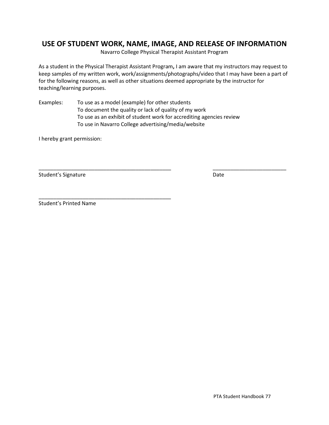#### **USE OF STUDENT WORK, NAME, IMAGE, AND RELEASE OF INFORMATION**

Navarro College Physical Therapist Assistant Program

As a student in the Physical Therapist Assistant Program**,** I am aware that my instructors may request to keep samples of my written work, work/assignments/photographs/video that I may have been a part of for the following reasons, as well as other situations deemed appropriate by the instructor for teaching/learning purposes.

\_\_\_\_\_\_\_\_\_\_\_\_\_\_\_\_\_\_\_\_\_\_\_\_\_\_\_\_\_\_\_\_\_\_\_\_\_\_\_\_\_\_\_\_\_ \_\_\_\_\_\_\_\_\_\_\_\_\_\_\_\_\_\_\_\_\_\_\_\_\_

Examples: To use as a model (example) for other students To document the quality or lack of quality of my work To use as an exhibit of student work for accrediting agencies review To use in Navarro College advertising/media/website

I hereby grant permission:

Student's Signature Date Date Controller and Date Date

Student's Printed Name

\_\_\_\_\_\_\_\_\_\_\_\_\_\_\_\_\_\_\_\_\_\_\_\_\_\_\_\_\_\_\_\_\_\_\_\_\_\_\_\_\_\_\_\_\_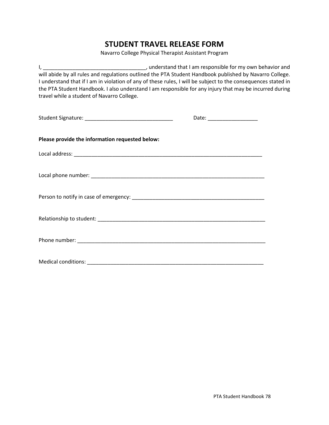### **STUDENT TRAVEL RELEASE FORM**

Navarro College Physical Therapist Assistant Program

I, \_\_\_\_\_\_\_\_\_\_\_\_\_\_\_\_\_\_\_\_\_\_\_\_\_\_\_\_\_\_\_\_\_\_\_, understand that I am responsible for my own behavior and will abide by all rules and regulations outlined the PTA Student Handbook published by Navarro College. I understand that if I am in violation of any of these rules, I will be subject to the consequences stated in the PTA Student Handbook. I also understand I am responsible for any injury that may be incurred during travel while a student of Navarro College.

|                                                 | Date: ____________________ |
|-------------------------------------------------|----------------------------|
| Please provide the information requested below: |                            |
|                                                 |                            |
|                                                 |                            |
|                                                 |                            |
|                                                 |                            |
|                                                 |                            |
|                                                 |                            |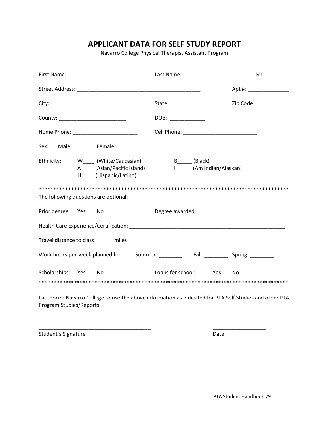## **APPLICANT DATA FOR SELF STUDY REPORT**

Navarro College Physical Therapist Assistant Program

|                                       |  |                                                                                             | State: _____________                                                              | Zip Code: ___________ |  |
|---------------------------------------|--|---------------------------------------------------------------------------------------------|-----------------------------------------------------------------------------------|-----------------------|--|
| County: _________________________     |  |                                                                                             | DOB: ___________                                                                  |                       |  |
|                                       |  |                                                                                             |                                                                                   |                       |  |
| Sex: Male Female                      |  |                                                                                             |                                                                                   |                       |  |
|                                       |  | Ethnicity: W____ (White/Caucasian)<br>A _____ (Asian/Pacific Island)<br>H (Hispanic/Latino) | B_______ (Black)<br>I _______ (Am Indian/Alaskan)                                 |                       |  |
|                                       |  |                                                                                             |                                                                                   |                       |  |
| The following questions are optional: |  |                                                                                             |                                                                                   |                       |  |
| Prior degree: Yes No                  |  |                                                                                             |                                                                                   |                       |  |
|                                       |  |                                                                                             |                                                                                   |                       |  |
| Travel distance to class ______ miles |  |                                                                                             |                                                                                   |                       |  |
|                                       |  |                                                                                             | Work hours-per-week planned for: Summer: _________ Fall: ________ Spring: _______ |                       |  |
|                                       |  |                                                                                             | Loans for school: Yes No                                                          |                       |  |

I authorize Navarro College to use the above information as indicated for PTA Self Studies and other PTA Program Studies/Reports.

\_\_\_\_\_\_\_\_\_\_\_\_\_\_\_\_\_\_\_\_\_\_\_\_\_\_\_\_\_\_\_\_\_\_\_\_\_\_ \_\_\_\_\_\_\_\_\_\_\_\_\_\_\_\_\_\_

Student's Signature **Date**